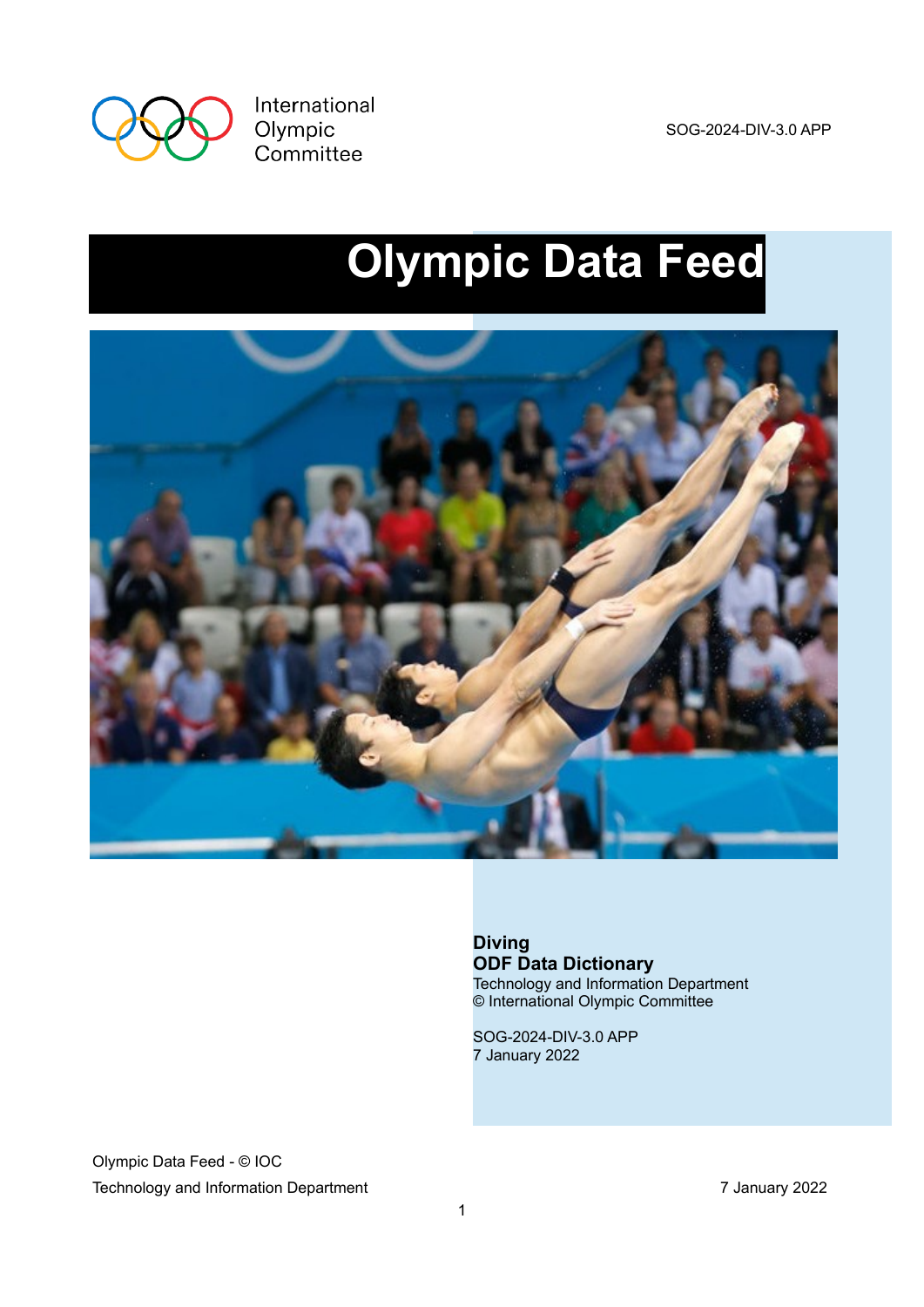

SOG-2024-DIV-3.0 APP

# **Olympic Data Feed**



**Diving ODF Data Dictionary** Technology and Information Department © International Olympic Committee

SOG-2024-DIV-3.0 APP 7 January 2022

Olympic Data Feed - © IOC Technology and Information Department 7 January 2022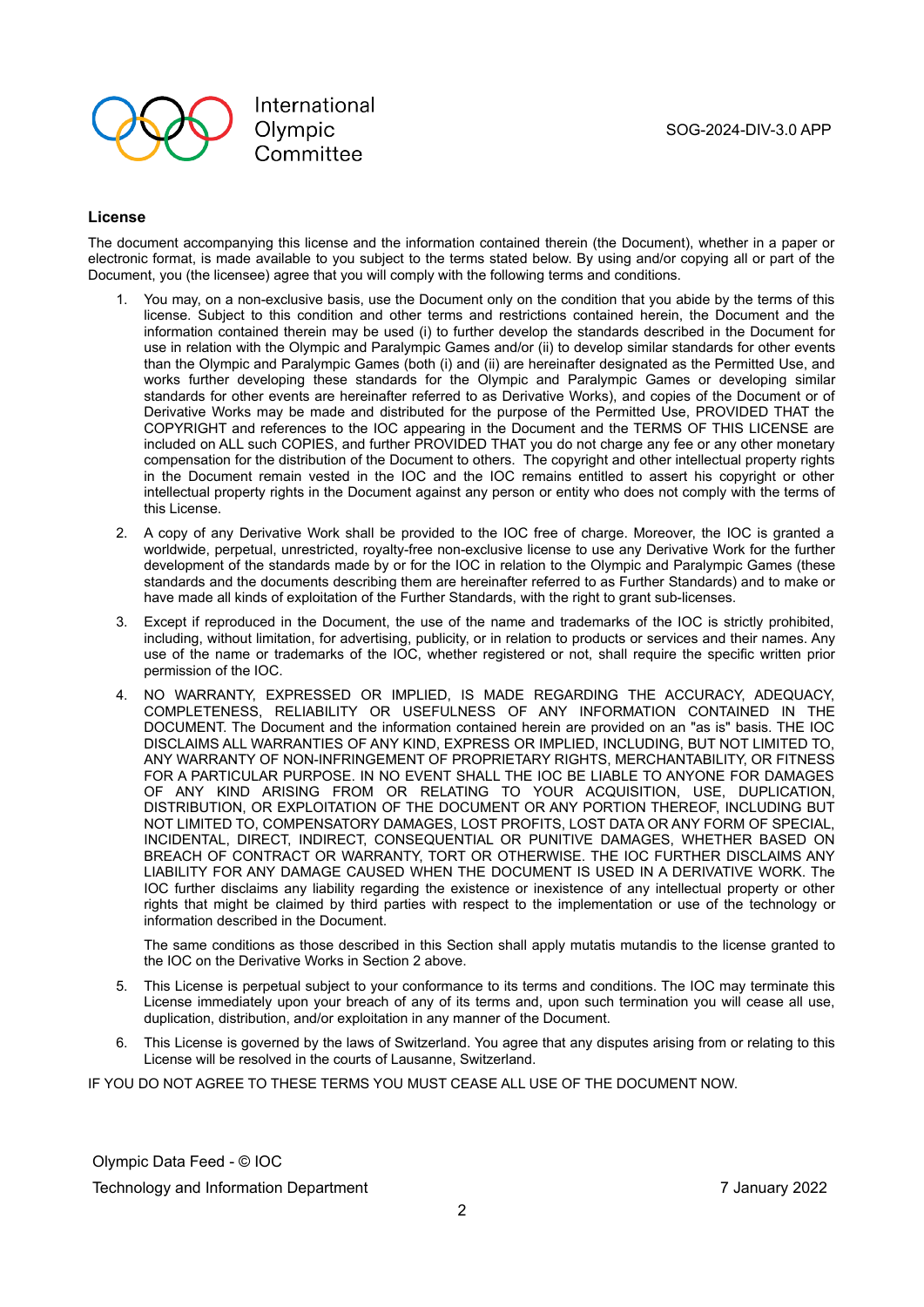

#### **License**

The document accompanying this license and the information contained therein (the Document), whether in a paper or electronic format, is made available to you subject to the terms stated below. By using and/or copying all or part of the Document, you (the licensee) agree that you will comply with the following terms and conditions.

- 1. You may, on a non-exclusive basis, use the Document only on the condition that you abide by the terms of this license. Subject to this condition and other terms and restrictions contained herein, the Document and the information contained therein may be used (i) to further develop the standards described in the Document for use in relation with the Olympic and Paralympic Games and/or (ii) to develop similar standards for other events than the Olympic and Paralympic Games (both (i) and (ii) are hereinafter designated as the Permitted Use, and works further developing these standards for the Olympic and Paralympic Games or developing similar standards for other events are hereinafter referred to as Derivative Works), and copies of the Document or of Derivative Works may be made and distributed for the purpose of the Permitted Use, PROVIDED THAT the COPYRIGHT and references to the IOC appearing in the Document and the TERMS OF THIS LICENSE are included on ALL such COPIES, and further PROVIDED THAT you do not charge any fee or any other monetary compensation for the distribution of the Document to others. The copyright and other intellectual property rights in the Document remain vested in the IOC and the IOC remains entitled to assert his copyright or other intellectual property rights in the Document against any person or entity who does not comply with the terms of this License.
- 2. A copy of any Derivative Work shall be provided to the IOC free of charge. Moreover, the IOC is granted a worldwide, perpetual, unrestricted, royalty-free non-exclusive license to use any Derivative Work for the further development of the standards made by or for the IOC in relation to the Olympic and Paralympic Games (these standards and the documents describing them are hereinafter referred to as Further Standards) and to make or have made all kinds of exploitation of the Further Standards, with the right to grant sub-licenses.
- 3. Except if reproduced in the Document, the use of the name and trademarks of the IOC is strictly prohibited, including, without limitation, for advertising, publicity, or in relation to products or services and their names. Any use of the name or trademarks of the IOC, whether registered or not, shall require the specific written prior permission of the IOC.
- 4. NO WARRANTY, EXPRESSED OR IMPLIED, IS MADE REGARDING THE ACCURACY, ADEQUACY, COMPLETENESS, RELIABILITY OR USEFULNESS OF ANY INFORMATION CONTAINED IN THE DOCUMENT. The Document and the information contained herein are provided on an "as is" basis. THE IOC DISCLAIMS ALL WARRANTIES OF ANY KIND, EXPRESS OR IMPLIED, INCLUDING, BUT NOT LIMITED TO, ANY WARRANTY OF NON-INFRINGEMENT OF PROPRIETARY RIGHTS, MERCHANTABILITY, OR FITNESS FOR A PARTICULAR PURPOSE. IN NO EVENT SHALL THE IOC BE LIABLE TO ANYONE FOR DAMAGES OF ANY KIND ARISING FROM OR RELATING TO YOUR ACQUISITION, USE, DUPLICATION, DISTRIBUTION, OR EXPLOITATION OF THE DOCUMENT OR ANY PORTION THEREOF, INCLUDING BUT NOT LIMITED TO, COMPENSATORY DAMAGES, LOST PROFITS, LOST DATA OR ANY FORM OF SPECIAL, INCIDENTAL, DIRECT, INDIRECT, CONSEQUENTIAL OR PUNITIVE DAMAGES, WHETHER BASED ON BREACH OF CONTRACT OR WARRANTY, TORT OR OTHERWISE. THE IOC FURTHER DISCLAIMS ANY LIABILITY FOR ANY DAMAGE CAUSED WHEN THE DOCUMENT IS USED IN A DERIVATIVE WORK. The IOC further disclaims any liability regarding the existence or inexistence of any intellectual property or other rights that might be claimed by third parties with respect to the implementation or use of the technology or information described in the Document.

The same conditions as those described in this Section shall apply mutatis mutandis to the license granted to the IOC on the Derivative Works in Section 2 above.

- 5. This License is perpetual subject to your conformance to its terms and conditions. The IOC may terminate this License immediately upon your breach of any of its terms and, upon such termination you will cease all use, duplication, distribution, and/or exploitation in any manner of the Document.
- 6. This License is governed by the laws of Switzerland. You agree that any disputes arising from or relating to this License will be resolved in the courts of Lausanne, Switzerland.

IF YOU DO NOT AGREE TO THESE TERMS YOU MUST CEASE ALL USE OF THE DOCUMENT NOW.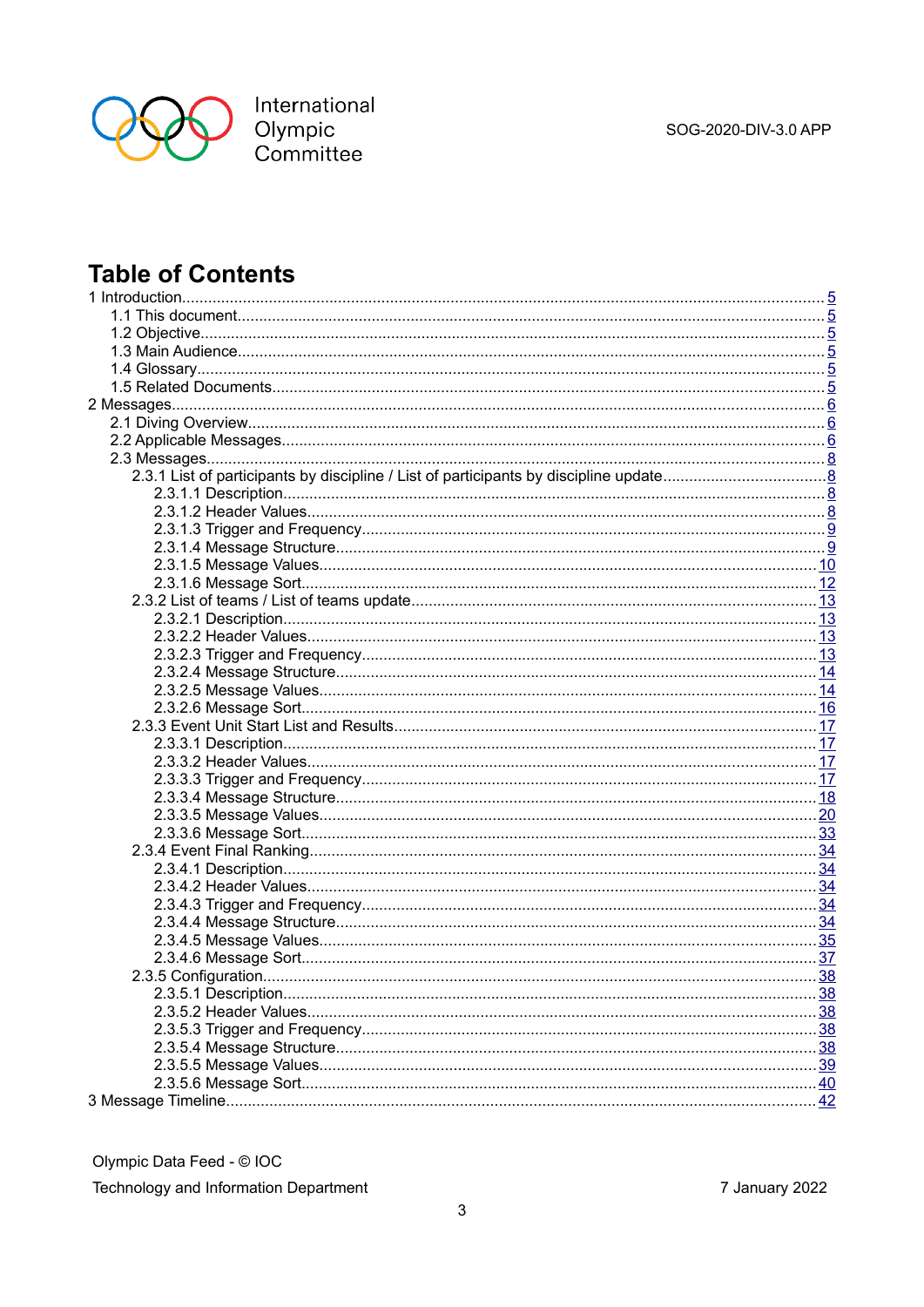

# **Table of Contents**

Olympic Data Feed - © IOC Technology and Information Department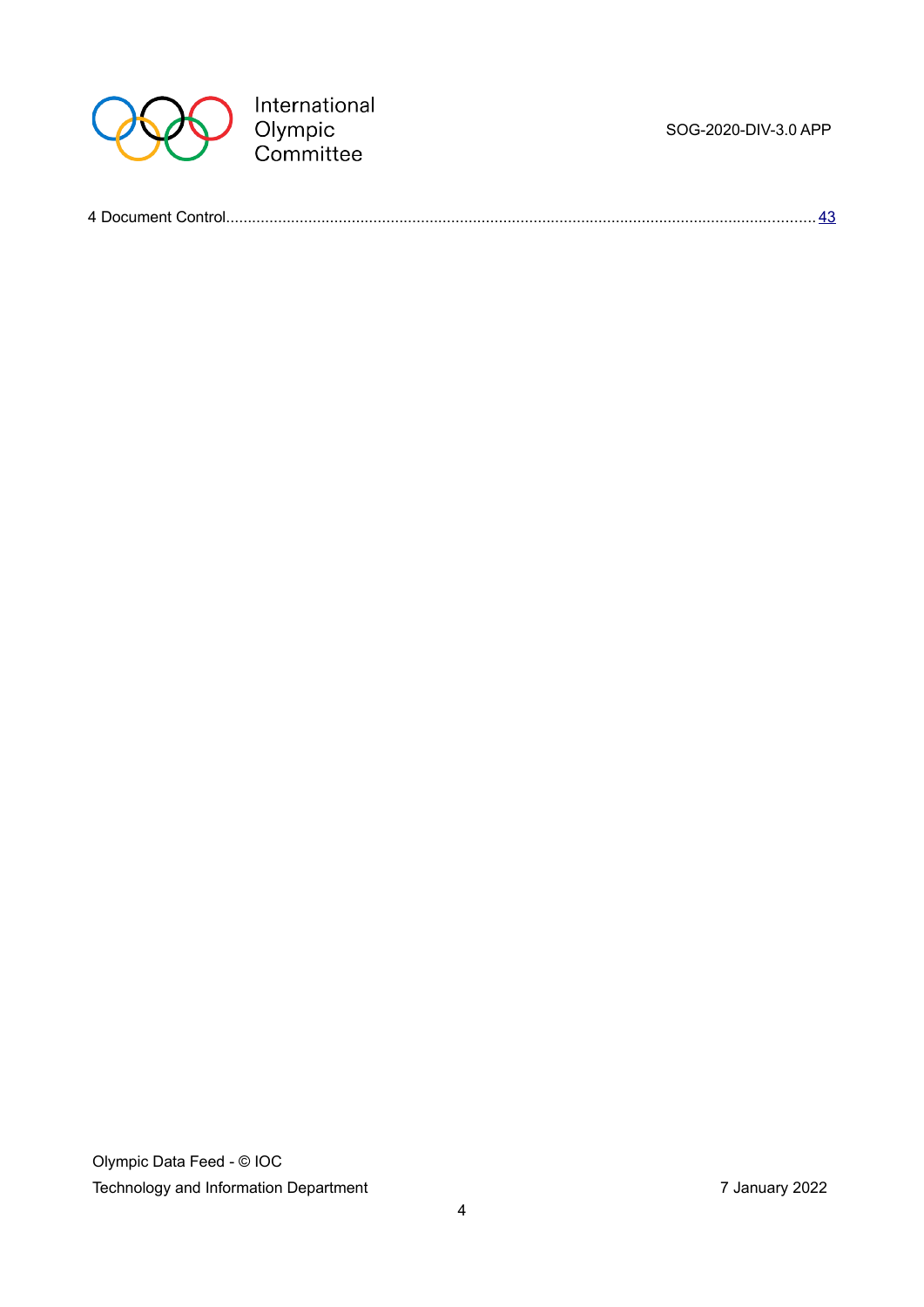

SOG-2020-DIV-3.0 APP

|--|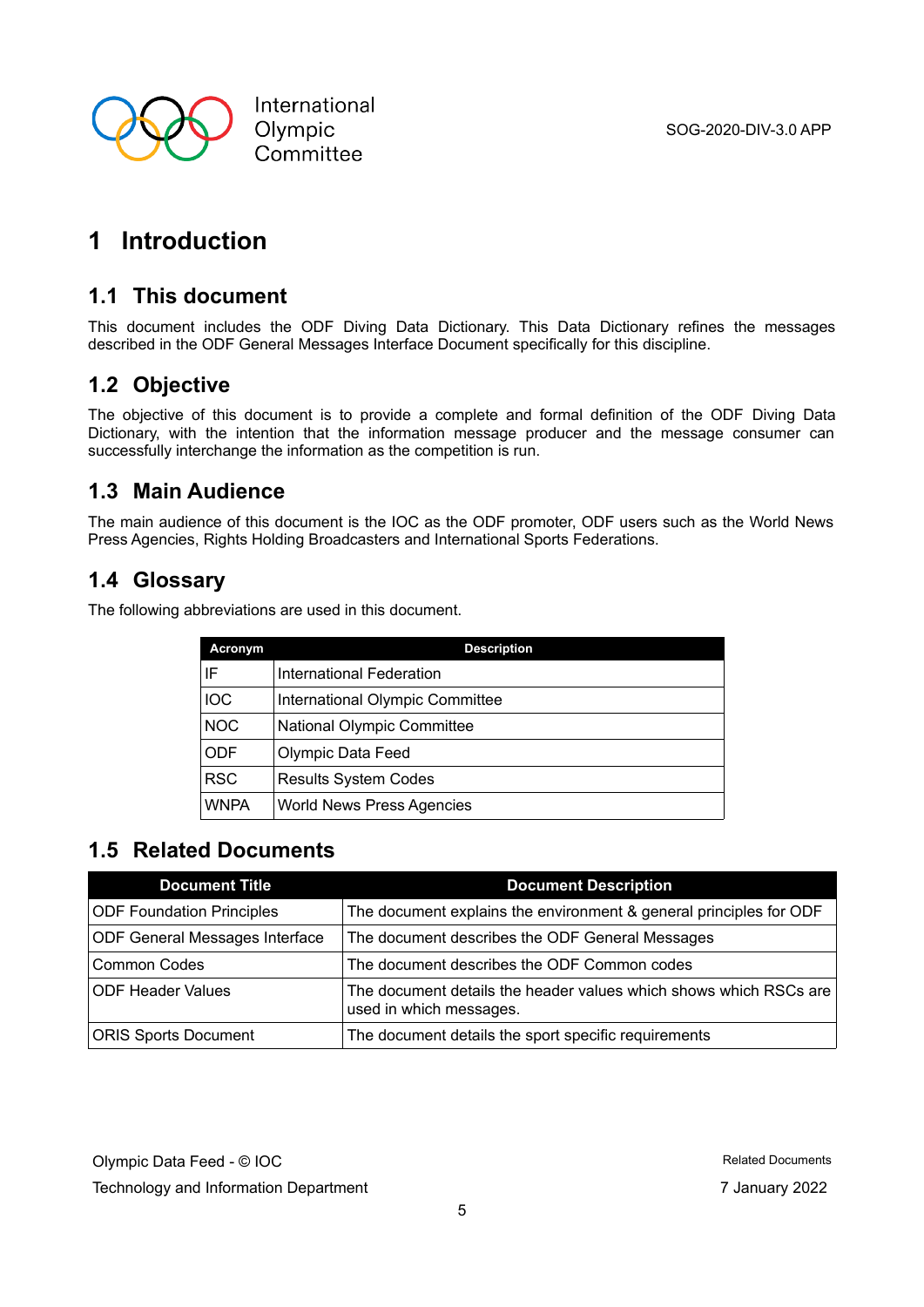SOG-2020-DIV-3.0 APP



# <span id="page-4-5"></span>**1 Introduction**

### <span id="page-4-4"></span>**1.1 This document**

This document includes the ODF Diving Data Dictionary. This Data Dictionary refines the messages described in the ODF General Messages Interface Document specifically for this discipline.

### <span id="page-4-3"></span>**1.2 Objective**

The objective of this document is to provide a complete and formal definition of the ODF Diving Data Dictionary, with the intention that the information message producer and the message consumer can successfully interchange the information as the competition is run.

### <span id="page-4-2"></span>**1.3 Main Audience**

The main audience of this document is the IOC as the ODF promoter, ODF users such as the World News Press Agencies, Rights Holding Broadcasters and International Sports Federations.

### <span id="page-4-1"></span>**1.4 Glossary**

The following abbreviations are used in this document.

| Acronym     | <b>Description</b>                |  |  |
|-------------|-----------------------------------|--|--|
| IF          | International Federation          |  |  |
| <b>IOC</b>  | International Olympic Committee   |  |  |
| <b>NOC</b>  | <b>National Olympic Committee</b> |  |  |
| <b>ODF</b>  | Olympic Data Feed                 |  |  |
| <b>RSC</b>  | <b>Results System Codes</b>       |  |  |
| <b>WNPA</b> | <b>World News Press Agencies</b>  |  |  |

### <span id="page-4-0"></span>**1.5 Related Documents**

| <b>Document Title</b>                 | <b>Document Description</b>                                                                  |
|---------------------------------------|----------------------------------------------------------------------------------------------|
| <b>ODF Foundation Principles</b>      | The document explains the environment & general principles for ODF                           |
| <b>ODF General Messages Interface</b> | The document describes the ODF General Messages                                              |
| <b>Common Codes</b>                   | The document describes the ODF Common codes                                                  |
| <b>ODF Header Values</b>              | The document details the header values which shows which RSCs are<br>used in which messages. |
| <b>ORIS Sports Document</b>           | The document details the sport specific requirements                                         |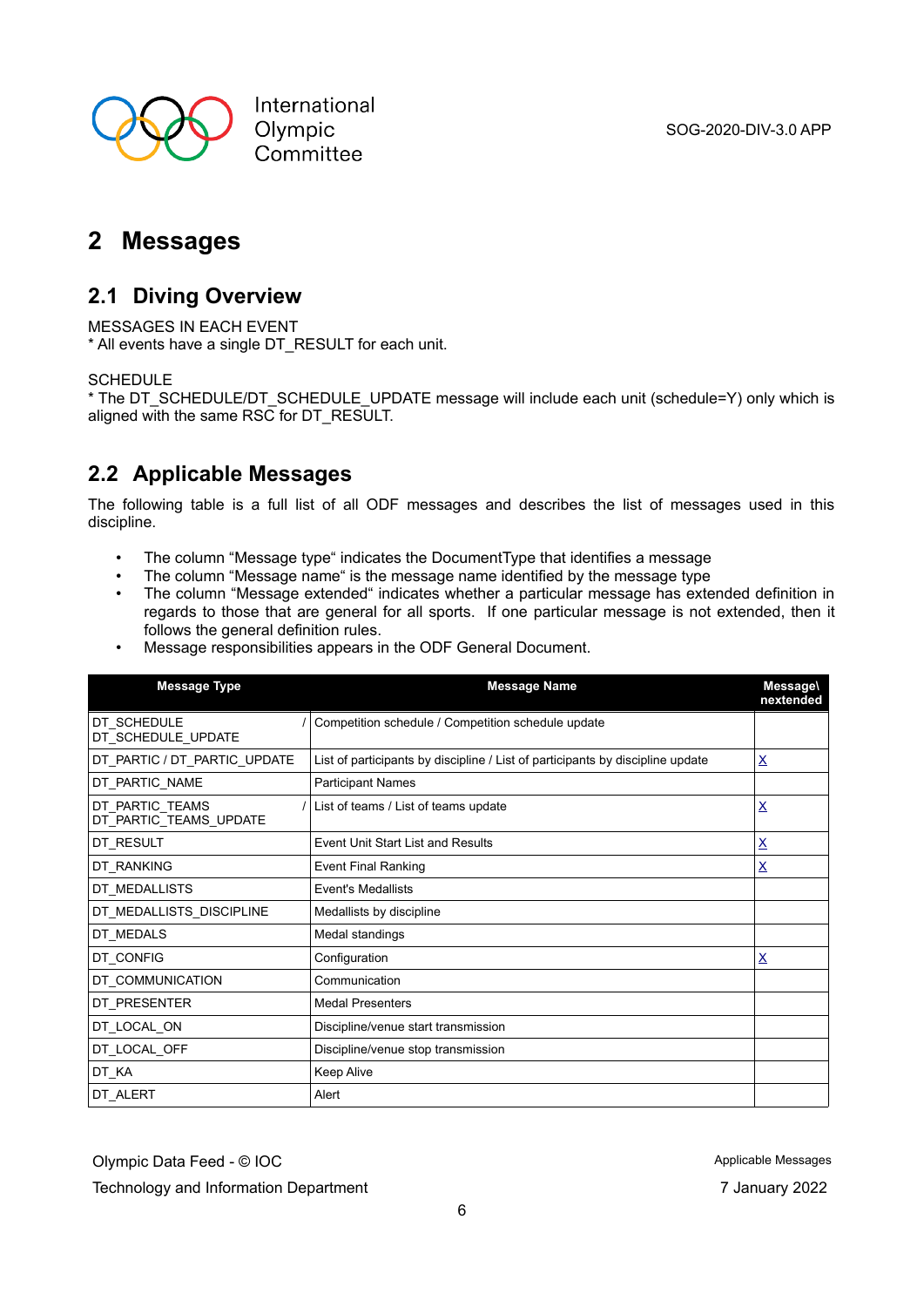

## <span id="page-5-2"></span>**2 Messages**

### <span id="page-5-1"></span>**2.1 Diving Overview**

MESSAGES IN EACH EVENT

\* All events have a single DT\_RESULT for each unit.

**SCHEDULE** 

\* The DT\_SCHEDULE/DT\_SCHEDULE\_UPDATE message will include each unit (schedule=Y) only which is aligned with the same RSC for DT\_RESULT.

### <span id="page-5-0"></span>**2.2 Applicable Messages**

The following table is a full list of all ODF messages and describes the list of messages used in this discipline.

- The column "Message type" indicates the DocumentType that identifies a message
- The column "Message name" is the message name identified by the message type
- The column "Message extended" indicates whether a particular message has extended definition in regards to those that are general for all sports. If one particular message is not extended, then it follows the general definition rules.

| <b>Message Type</b>                       | <b>Message Name</b>                                                            | Message\<br>nextended   |
|-------------------------------------------|--------------------------------------------------------------------------------|-------------------------|
| DT SCHEDULE<br>DT SCHEDULE UPDATE         | Competition schedule / Competition schedule update                             |                         |
| DT_PARTIC / DT_PARTIC_UPDATE              | List of participants by discipline / List of participants by discipline update | $\overline{\mathsf{X}}$ |
| DT_PARTIC_NAME                            | <b>Participant Names</b>                                                       |                         |
| DT PARTIC TEAMS<br>DT_PARTIC_TEAMS_UPDATE | List of teams / List of teams update                                           | $\overline{\mathsf{X}}$ |
| DT_RESULT                                 | Event Unit Start List and Results                                              | $\overline{\mathsf{X}}$ |
| DT_RANKING                                | <b>Event Final Ranking</b>                                                     | $\overline{\mathsf{x}}$ |
| DT MEDALLISTS                             | <b>Event's Medallists</b>                                                      |                         |
| DT_MEDALLISTS_DISCIPLINE                  | Medallists by discipline                                                       |                         |
| DT_MEDALS                                 | Medal standings                                                                |                         |
| DT_CONFIG                                 | Configuration                                                                  | $\overline{\mathsf{X}}$ |
| DT_COMMUNICATION                          | Communication                                                                  |                         |
| DT_PRESENTER                              | <b>Medal Presenters</b>                                                        |                         |
| DT_LOCAL_ON                               | Discipline/venue start transmission                                            |                         |
| DT_LOCAL_OFF                              | Discipline/venue stop transmission                                             |                         |
| DT_KA                                     | <b>Keep Alive</b>                                                              |                         |
| DT_ALERT                                  | Alert                                                                          |                         |

• Message responsibilities appears in the ODF General Document.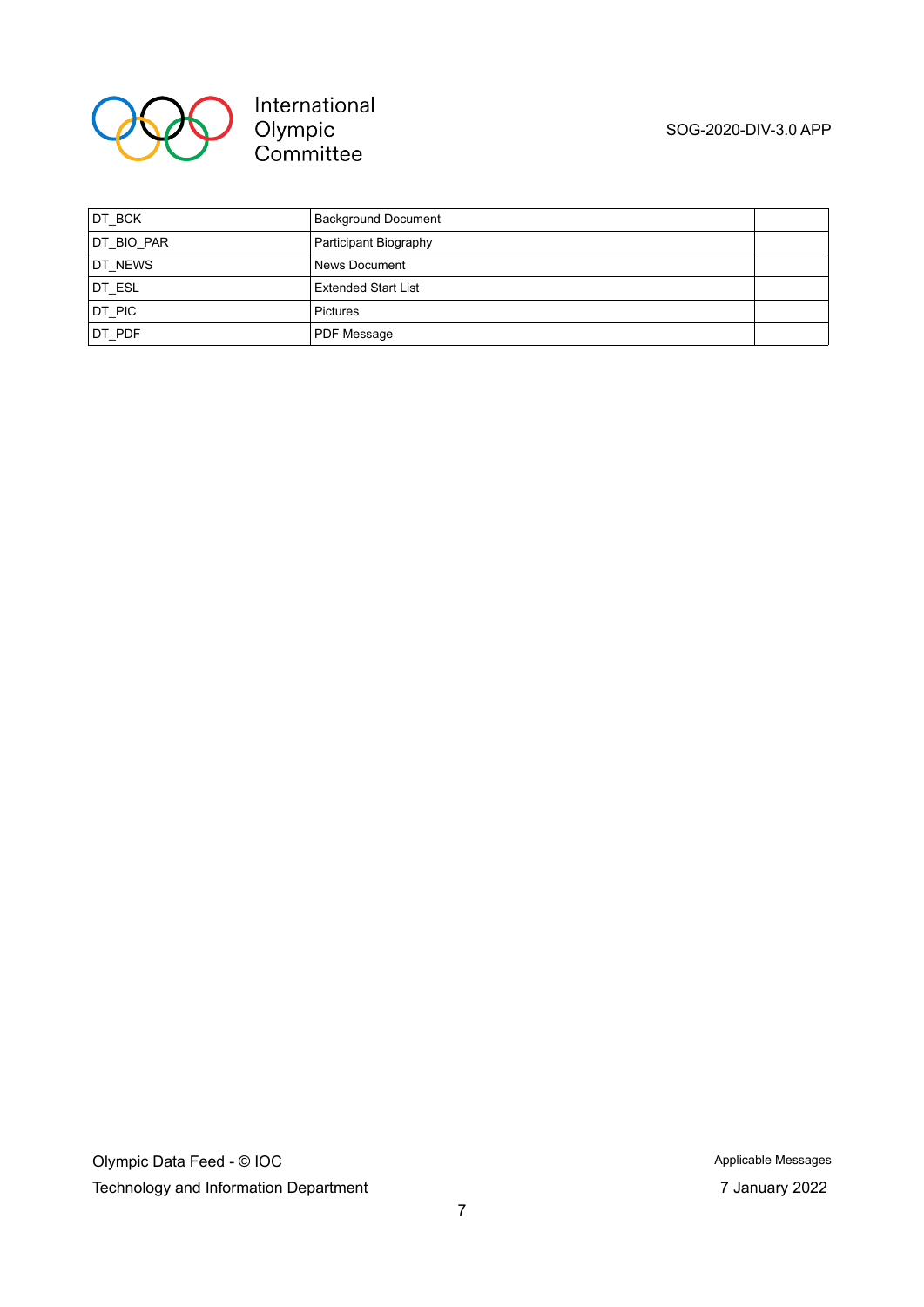

| DT BCK     | <b>Background Document</b> |  |  |
|------------|----------------------------|--|--|
| DT BIO PAR | Participant Biography      |  |  |
| DT NEWS    | News Document              |  |  |
| DT ESL     | <b>Extended Start List</b> |  |  |
| DT PIC     | <b>Pictures</b>            |  |  |
| DT PDF     | PDF Message                |  |  |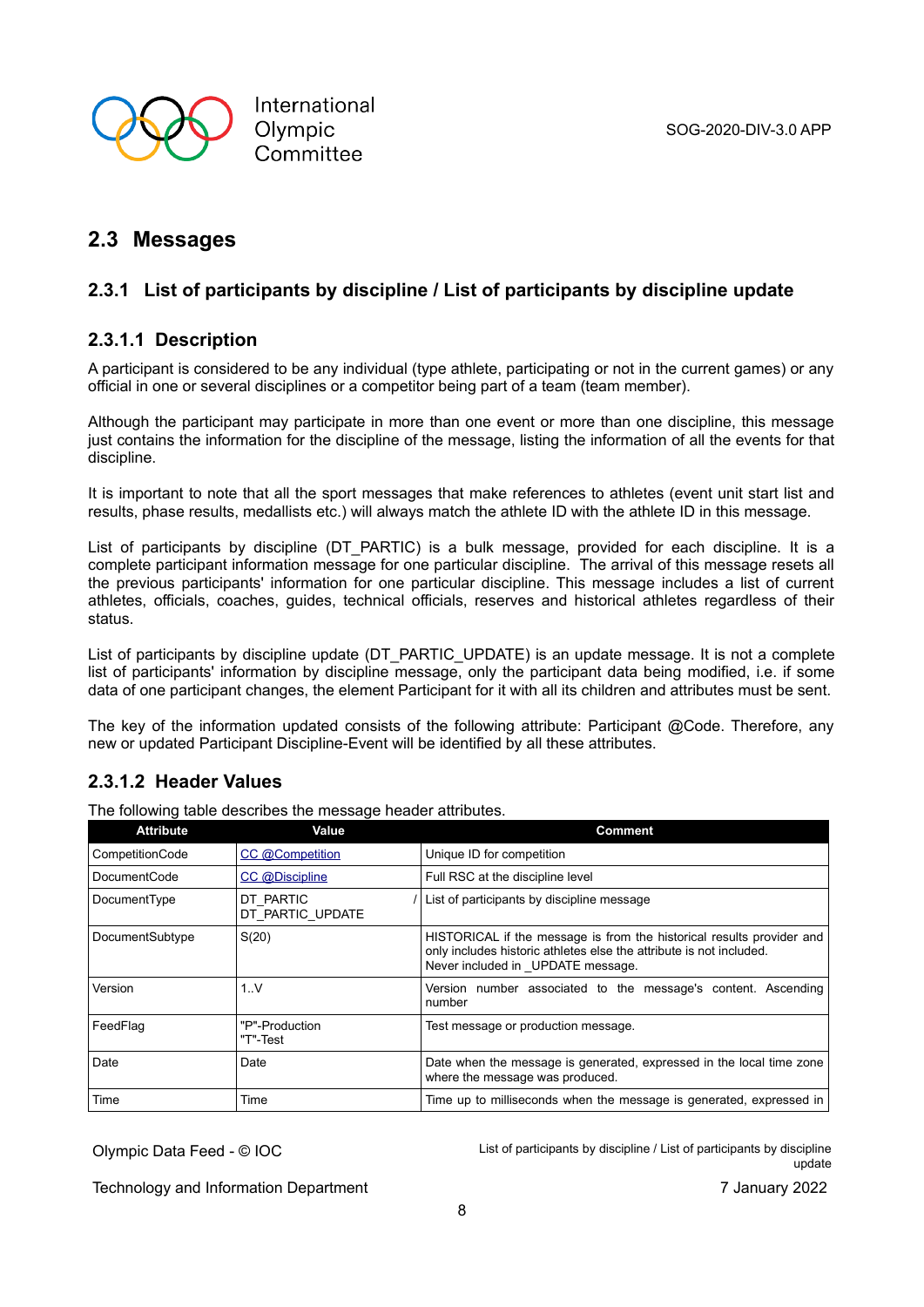

### <span id="page-7-3"></span>**2.3 Messages**

### <span id="page-7-2"></span>**2.3.1 List of participants by discipline / List of participants by discipline update**

### <span id="page-7-1"></span>**2.3.1.1 Description**

A participant is considered to be any individual (type athlete, participating or not in the current games) or any official in one or several disciplines or a competitor being part of a team (team member).

Although the participant may participate in more than one event or more than one discipline, this message just contains the information for the discipline of the message, listing the information of all the events for that discipline.

It is important to note that all the sport messages that make references to athletes (event unit start list and results, phase results, medallists etc.) will always match the athlete ID with the athlete ID in this message.

List of participants by discipline (DT\_PARTIC) is a bulk message, provided for each discipline. It is a complete participant information message for one particular discipline. The arrival of this message resets all the previous participants' information for one particular discipline. This message includes a list of current athletes, officials, coaches, guides, technical officials, reserves and historical athletes regardless of their status.

List of participants by discipline update (DT\_PARTIC\_UPDATE) is an update message. It is not a complete list of participants' information by discipline message, only the participant data being modified, i.e. if some data of one participant changes, the element Participant for it with all its children and attributes must be sent.

The key of the information updated consists of the following attribute: Participant @Code. Therefore, any new or updated Participant Discipline-Event will be identified by all these attributes.

### <span id="page-7-0"></span>**2.3.1.2 Header Values**

The following table describes the message header attributes.

| <b>Attribute</b> | Value                         | <b>Comment</b>                                                                                                                                                                    |
|------------------|-------------------------------|-----------------------------------------------------------------------------------------------------------------------------------------------------------------------------------|
| CompetitionCode  | CC @Competition               | Unique ID for competition                                                                                                                                                         |
| DocumentCode     | CC @Discipline                | Full RSC at the discipline level                                                                                                                                                  |
| DocumentType     | DT PARTIC<br>DT PARTIC UPDATE | List of participants by discipline message                                                                                                                                        |
| DocumentSubtype  | S(20)                         | HISTORICAL if the message is from the historical results provider and<br>only includes historic athletes else the attribute is not included.<br>Never included in UPDATE message. |
| Version          | 1.1 <sub>Y</sub>              | Version number associated to the message's content. Ascending<br>number                                                                                                           |
| FeedFlag         | "P"-Production<br>"T"-Test    | Test message or production message.                                                                                                                                               |
| Date             | Date                          | Date when the message is generated, expressed in the local time zone<br>where the message was produced.                                                                           |
| Time             | Time                          | Time up to milliseconds when the message is generated, expressed in                                                                                                               |

Olympic Data Feed - © IOC List of participants by discipline / List of participants by discipline update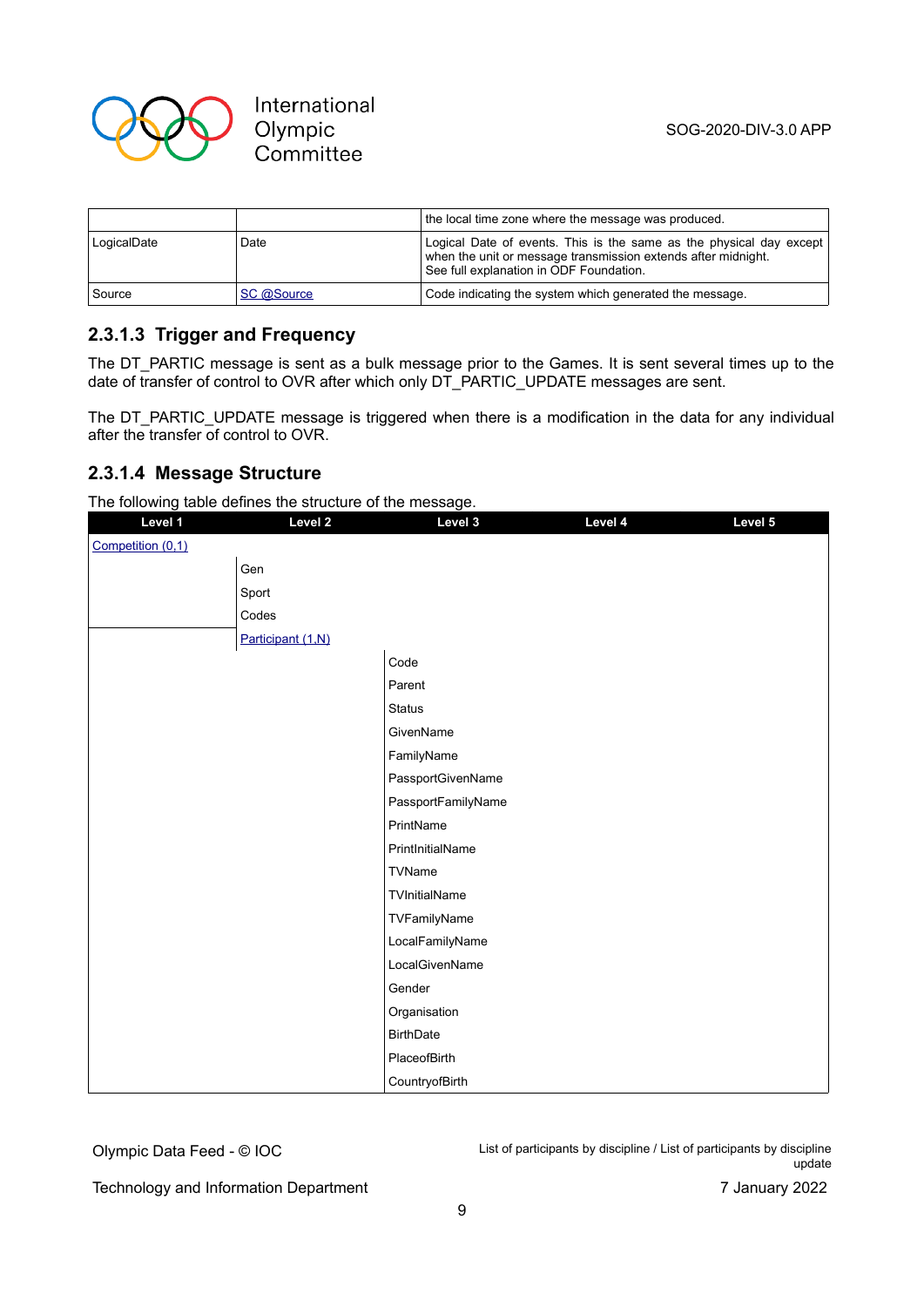

|             |            | the local time zone where the message was produced.                                                                                                                             |
|-------------|------------|---------------------------------------------------------------------------------------------------------------------------------------------------------------------------------|
| LogicalDate | Date       | Logical Date of events. This is the same as the physical day except<br>when the unit or message transmission extends after midnight.<br>See full explanation in ODF Foundation. |
| Source      | SC @Source | Code indicating the system which generated the message.                                                                                                                         |

### <span id="page-8-1"></span>**2.3.1.3 Trigger and Frequency**

The DT\_PARTIC message is sent as a bulk message prior to the Games. It is sent several times up to the date of transfer of control to OVR after which only DT\_PARTIC\_UPDATE messages are sent.

The DT\_PARTIC\_UPDATE message is triggered when there is a modification in the data for any individual after the transfer of control to OVR.

### <span id="page-8-0"></span>**2.3.1.4 Message Structure**

The following table defines the structure of the message.

| Level 1           | Level 2           | Level 3            | Level 4 | Level 5 |
|-------------------|-------------------|--------------------|---------|---------|
| Competition (0,1) |                   |                    |         |         |
|                   | Gen               |                    |         |         |
|                   | Sport             |                    |         |         |
|                   | Codes             |                    |         |         |
|                   | Participant (1,N) |                    |         |         |
|                   |                   | Code               |         |         |
|                   |                   | Parent             |         |         |
|                   |                   | <b>Status</b>      |         |         |
|                   |                   | GivenName          |         |         |
|                   |                   | FamilyName         |         |         |
|                   |                   | PassportGivenName  |         |         |
|                   |                   | PassportFamilyName |         |         |
|                   |                   | PrintName          |         |         |
|                   |                   | PrintlnitialName   |         |         |
|                   |                   | TVName             |         |         |
|                   |                   | TVInitialName      |         |         |
|                   |                   | TVFamilyName       |         |         |
|                   |                   | LocalFamilyName    |         |         |
|                   |                   | LocalGivenName     |         |         |
|                   |                   | Gender             |         |         |
|                   |                   | Organisation       |         |         |
|                   |                   | <b>BirthDate</b>   |         |         |
|                   |                   | PlaceofBirth       |         |         |
|                   |                   | CountryofBirth     |         |         |

Olympic Data Feed - © IOC **List of participants by discipline** / List of participants by discipline update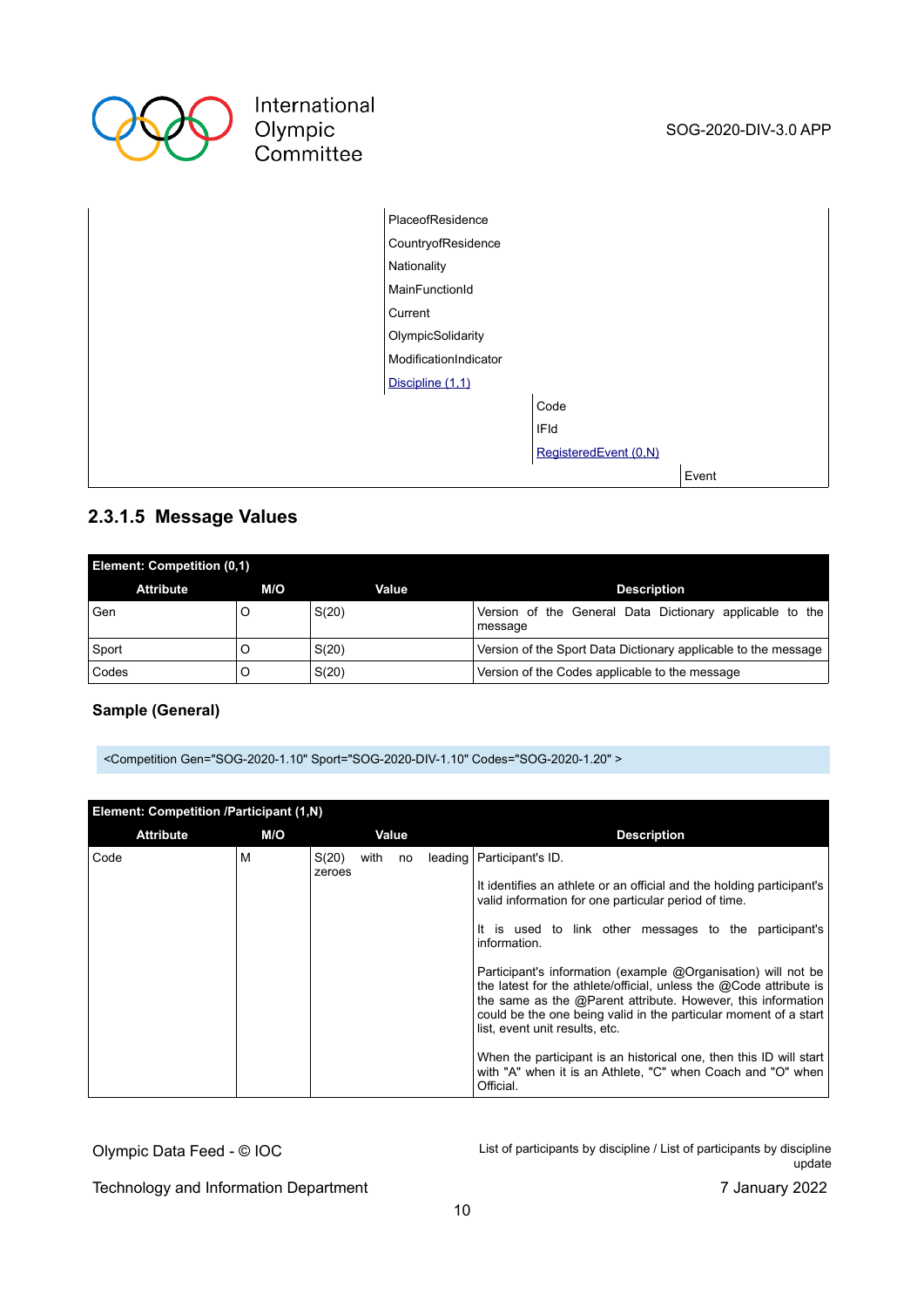| International<br>Olympic<br>Committee |                       |                       | SOG-2020-DIV-3.0 APP |  |
|---------------------------------------|-----------------------|-----------------------|----------------------|--|
|                                       | PlaceofResidence      |                       |                      |  |
|                                       | CountryofResidence    |                       |                      |  |
|                                       | Nationality           |                       |                      |  |
|                                       | MainFunctionId        |                       |                      |  |
|                                       | Current               |                       |                      |  |
|                                       | OlympicSolidarity     |                       |                      |  |
|                                       | ModificationIndicator |                       |                      |  |
|                                       | Discipline (1,1)      |                       |                      |  |
|                                       |                       | Code                  |                      |  |
|                                       |                       | <b>IFId</b>           |                      |  |
|                                       |                       | RegisteredEvent (0,N) |                      |  |

# Event

### <span id="page-9-0"></span>**2.3.1.5 Message Values**

<span id="page-9-2"></span>

| <b>Element: Competition (0,1)</b> |     |       |                                                                     |  |
|-----------------------------------|-----|-------|---------------------------------------------------------------------|--|
| <b>Attribute</b>                  | M/O | Value | <b>Description</b>                                                  |  |
| Gen                               |     | S(20) | Version of the General Data Dictionary applicable to the<br>message |  |
| Sport                             |     | S(20) | Version of the Sport Data Dictionary applicable to the message      |  |
| Codes                             |     | S(20) | Version of the Codes applicable to the message                      |  |

#### **Sample (General)**

<Competition Gen="SOG-2020-1.10" Sport="SOG-2020-DIV-1.10" Codes="SOG-2020-1.20" >

<span id="page-9-1"></span>

| Element: Competition /Participant (1,N) |     |                         |                 |                                                                                                                                                                                                                                                                                                                                                                                                                                                                                                                                                                                                                                                                                             |
|-----------------------------------------|-----|-------------------------|-----------------|---------------------------------------------------------------------------------------------------------------------------------------------------------------------------------------------------------------------------------------------------------------------------------------------------------------------------------------------------------------------------------------------------------------------------------------------------------------------------------------------------------------------------------------------------------------------------------------------------------------------------------------------------------------------------------------------|
| <b>Attribute</b>                        | M/O | Value                   |                 | <b>Description</b>                                                                                                                                                                                                                                                                                                                                                                                                                                                                                                                                                                                                                                                                          |
| Code                                    | M   | S(20)<br>with<br>zeroes | leading  <br>no | Participant's ID.<br>It identifies an athlete or an official and the holding participant's<br>valid information for one particular period of time.<br>It is used to link other messages to the participant's<br>information.<br>Participant's information (example @Organisation) will not be<br>the latest for the athlete/official, unless the @Code attribute is<br>the same as the @Parent attribute. However, this information<br>could be the one being valid in the particular moment of a start<br>list, event unit results, etc.<br>When the participant is an historical one, then this ID will start<br>with "A" when it is an Athlete, "C" when Coach and "O" when<br>Official. |

Olympic Data Feed - © IOC List of participants by discipline / List of participants by discipline update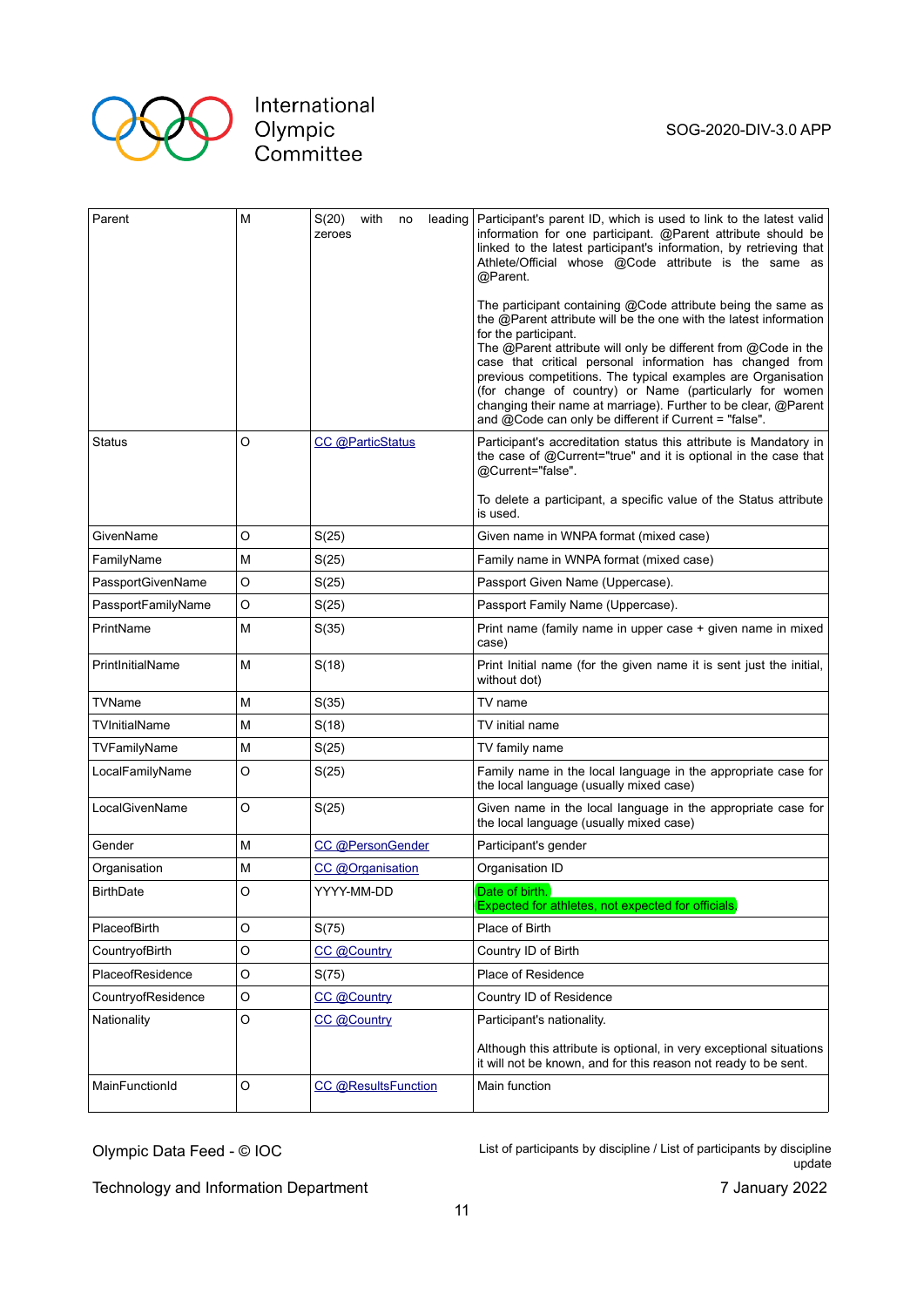

| Parent             | M | S(20)<br>with<br>no<br>zeroes | leading Participant's parent ID, which is used to link to the latest valid<br>information for one participant. @Parent attribute should be<br>linked to the latest participant's information, by retrieving that<br>Athlete/Official whose @Code attribute is the same as<br>@Parent.<br>The participant containing @Code attribute being the same as<br>the @Parent attribute will be the one with the latest information<br>for the participant.<br>The @Parent attribute will only be different from @Code in the<br>case that critical personal information has changed from<br>previous competitions. The typical examples are Organisation<br>(for change of country) or Name (particularly for women<br>changing their name at marriage). Further to be clear, @Parent<br>and @Code can only be different if Current = "false". |
|--------------------|---|-------------------------------|----------------------------------------------------------------------------------------------------------------------------------------------------------------------------------------------------------------------------------------------------------------------------------------------------------------------------------------------------------------------------------------------------------------------------------------------------------------------------------------------------------------------------------------------------------------------------------------------------------------------------------------------------------------------------------------------------------------------------------------------------------------------------------------------------------------------------------------|
| Status             | O | CC @ParticStatus              | Participant's accreditation status this attribute is Mandatory in<br>the case of @Current="true" and it is optional in the case that<br>@Current="false".<br>To delete a participant, a specific value of the Status attribute<br>is used.                                                                                                                                                                                                                                                                                                                                                                                                                                                                                                                                                                                             |
| GivenName          | O | S(25)                         | Given name in WNPA format (mixed case)                                                                                                                                                                                                                                                                                                                                                                                                                                                                                                                                                                                                                                                                                                                                                                                                 |
| FamilyName         | М | S(25)                         | Family name in WNPA format (mixed case)                                                                                                                                                                                                                                                                                                                                                                                                                                                                                                                                                                                                                                                                                                                                                                                                |
| PassportGivenName  | O | S(25)                         | Passport Given Name (Uppercase).                                                                                                                                                                                                                                                                                                                                                                                                                                                                                                                                                                                                                                                                                                                                                                                                       |
| PassportFamilyName | O | S(25)                         | Passport Family Name (Uppercase).                                                                                                                                                                                                                                                                                                                                                                                                                                                                                                                                                                                                                                                                                                                                                                                                      |
| PrintName          | М | S(35)                         | Print name (family name in upper case + given name in mixed<br>case)                                                                                                                                                                                                                                                                                                                                                                                                                                                                                                                                                                                                                                                                                                                                                                   |
| PrintlnitialName   | М | S(18)                         | Print Initial name (for the given name it is sent just the initial,<br>without dot)                                                                                                                                                                                                                                                                                                                                                                                                                                                                                                                                                                                                                                                                                                                                                    |
| TVName             | М | S(35)                         | TV name                                                                                                                                                                                                                                                                                                                                                                                                                                                                                                                                                                                                                                                                                                                                                                                                                                |
| TVInitialName      | м | S(18)                         | TV initial name                                                                                                                                                                                                                                                                                                                                                                                                                                                                                                                                                                                                                                                                                                                                                                                                                        |
| TVFamilyName       | М | S(25)                         | TV family name                                                                                                                                                                                                                                                                                                                                                                                                                                                                                                                                                                                                                                                                                                                                                                                                                         |
| LocalFamilyName    | O | S(25)                         | Family name in the local language in the appropriate case for<br>the local language (usually mixed case)                                                                                                                                                                                                                                                                                                                                                                                                                                                                                                                                                                                                                                                                                                                               |
| LocalGivenName     | O | S(25)                         | Given name in the local language in the appropriate case for<br>the local language (usually mixed case)                                                                                                                                                                                                                                                                                                                                                                                                                                                                                                                                                                                                                                                                                                                                |
| Gender             | м | CC @PersonGender              | Participant's gender                                                                                                                                                                                                                                                                                                                                                                                                                                                                                                                                                                                                                                                                                                                                                                                                                   |
| Organisation       | м | CC @Organisation              | Organisation ID                                                                                                                                                                                                                                                                                                                                                                                                                                                                                                                                                                                                                                                                                                                                                                                                                        |
| <b>BirthDate</b>   | O | YYYY-MM-DD                    | Date of birth.<br>Expected for athletes, not expected for officials.                                                                                                                                                                                                                                                                                                                                                                                                                                                                                                                                                                                                                                                                                                                                                                   |
| PlaceofBirth       | O | S(75)                         | Place of Birth                                                                                                                                                                                                                                                                                                                                                                                                                                                                                                                                                                                                                                                                                                                                                                                                                         |
| CountryofBirth     | O | CC @Country                   | Country ID of Birth                                                                                                                                                                                                                                                                                                                                                                                                                                                                                                                                                                                                                                                                                                                                                                                                                    |
| PlaceofResidence   | O | S(75)                         | Place of Residence                                                                                                                                                                                                                                                                                                                                                                                                                                                                                                                                                                                                                                                                                                                                                                                                                     |
| CountryofResidence | O | CC @Country                   | Country ID of Residence                                                                                                                                                                                                                                                                                                                                                                                                                                                                                                                                                                                                                                                                                                                                                                                                                |
| Nationality        | O | CC @Country                   | Participant's nationality.                                                                                                                                                                                                                                                                                                                                                                                                                                                                                                                                                                                                                                                                                                                                                                                                             |
|                    |   |                               | Although this attribute is optional, in very exceptional situations<br>it will not be known, and for this reason not ready to be sent.                                                                                                                                                                                                                                                                                                                                                                                                                                                                                                                                                                                                                                                                                                 |
| MainFunctionId     | O | CC @ResultsFunction           | Main function                                                                                                                                                                                                                                                                                                                                                                                                                                                                                                                                                                                                                                                                                                                                                                                                                          |

Olympic Data Feed - © IOC List of participants by discipline / List of participants by discipline update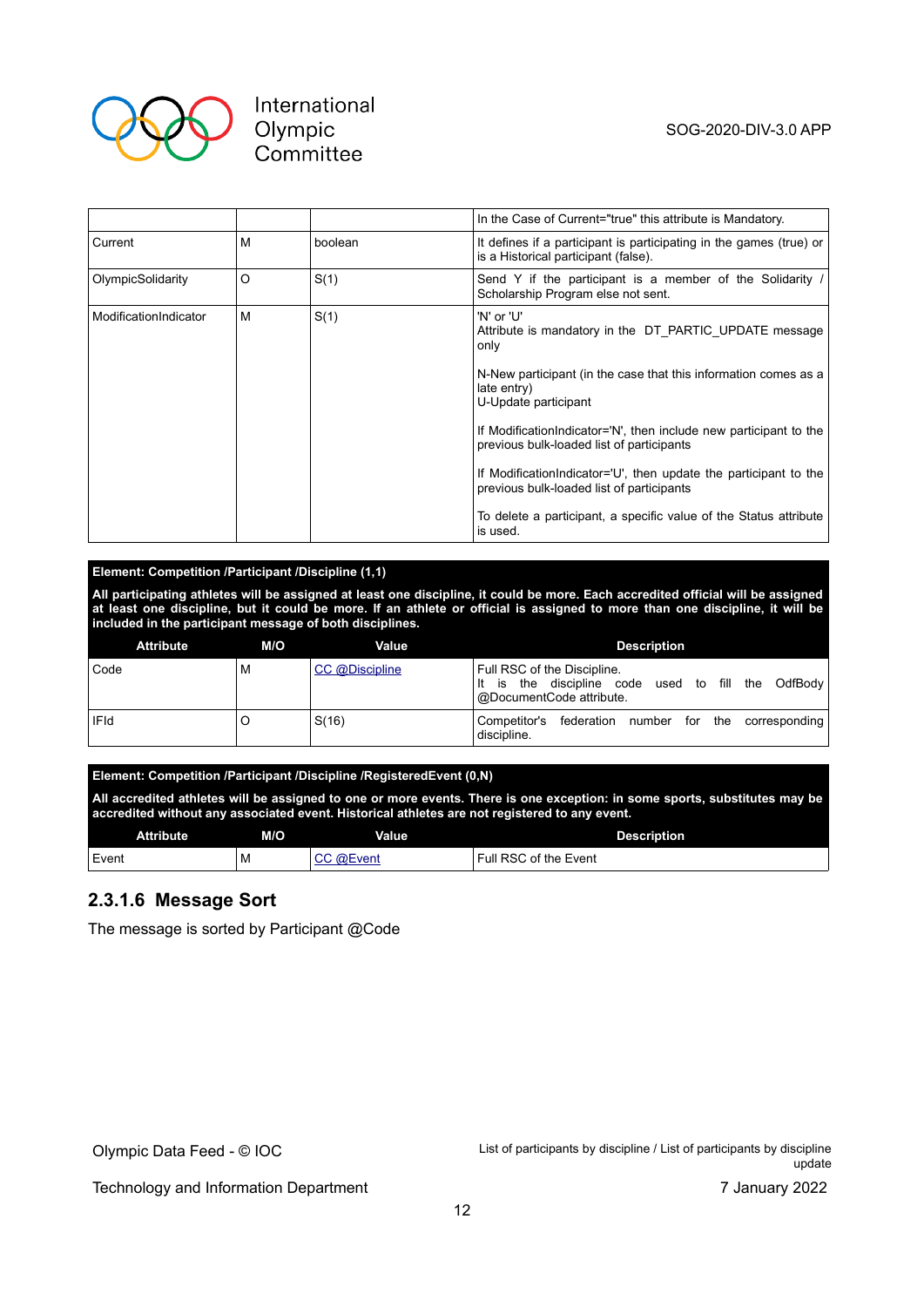

#### SOG-2020-DIV-3.0 APP

|                       |   |         | In the Case of Current="true" this attribute is Mandatory.                                                                                                                                                                                                                                                                                                                                                                                                                                                   |
|-----------------------|---|---------|--------------------------------------------------------------------------------------------------------------------------------------------------------------------------------------------------------------------------------------------------------------------------------------------------------------------------------------------------------------------------------------------------------------------------------------------------------------------------------------------------------------|
| Current               | М | boolean | It defines if a participant is participating in the games (true) or<br>is a Historical participant (false).                                                                                                                                                                                                                                                                                                                                                                                                  |
| OlympicSolidarity     | O | S(1)    | Send Y if the participant is a member of the Solidarity /<br>Scholarship Program else not sent.                                                                                                                                                                                                                                                                                                                                                                                                              |
| ModificationIndicator | м | S(1)    | 'N' or 'U'<br>Attribute is mandatory in the DT PARTIC UPDATE message<br>only<br>N-New participant (in the case that this information comes as a<br>late entry)<br>U-Update participant<br>If Modification Indicator='N', then include new participant to the<br>previous bulk-loaded list of participants<br>If Modification Indicator="U", then update the participant to the<br>previous bulk-loaded list of participants<br>To delete a participant, a specific value of the Status attribute<br>is used. |

#### <span id="page-11-2"></span>**Element: Competition /Participant /Discipline (1,1)**

**All participating athletes will be assigned at least one discipline, it could be more. Each accredited official will be assigned at least one discipline, but it could be more. If an athlete or official is assigned to more than one discipline, it will be included in the participant message of both disciplines.**

| Attribute | M/O | Value          | <b>Description</b>                                                                                            |
|-----------|-----|----------------|---------------------------------------------------------------------------------------------------------------|
| Code      | M   | CC @Discipline | Full RSC of the Discipline.<br>It is the discipline code used to fill the OdfBody<br>@DocumentCode attribute. |
| IFId      | U   | S(16)          | federation<br>Competitor's<br>the<br>corresponding<br>number<br>for 1<br>discipline.                          |

#### <span id="page-11-1"></span>**Element: Competition /Participant /Discipline /RegisteredEvent (0,N)**

**All accredited athletes will be assigned to one or more events. There is one exception: in some sports, substitutes may be accredited without any associated event. Historical athletes are not registered to any event.**

| Attribute | M/O | <b>Value</b>     | <b>Description</b>                   |
|-----------|-----|------------------|--------------------------------------|
| Event     | M   | @Event<br>$\sim$ | ; of the Event<br><b>RSC</b><br>iull |

#### <span id="page-11-0"></span>**2.3.1.6 Message Sort**

The message is sorted by Participant @Code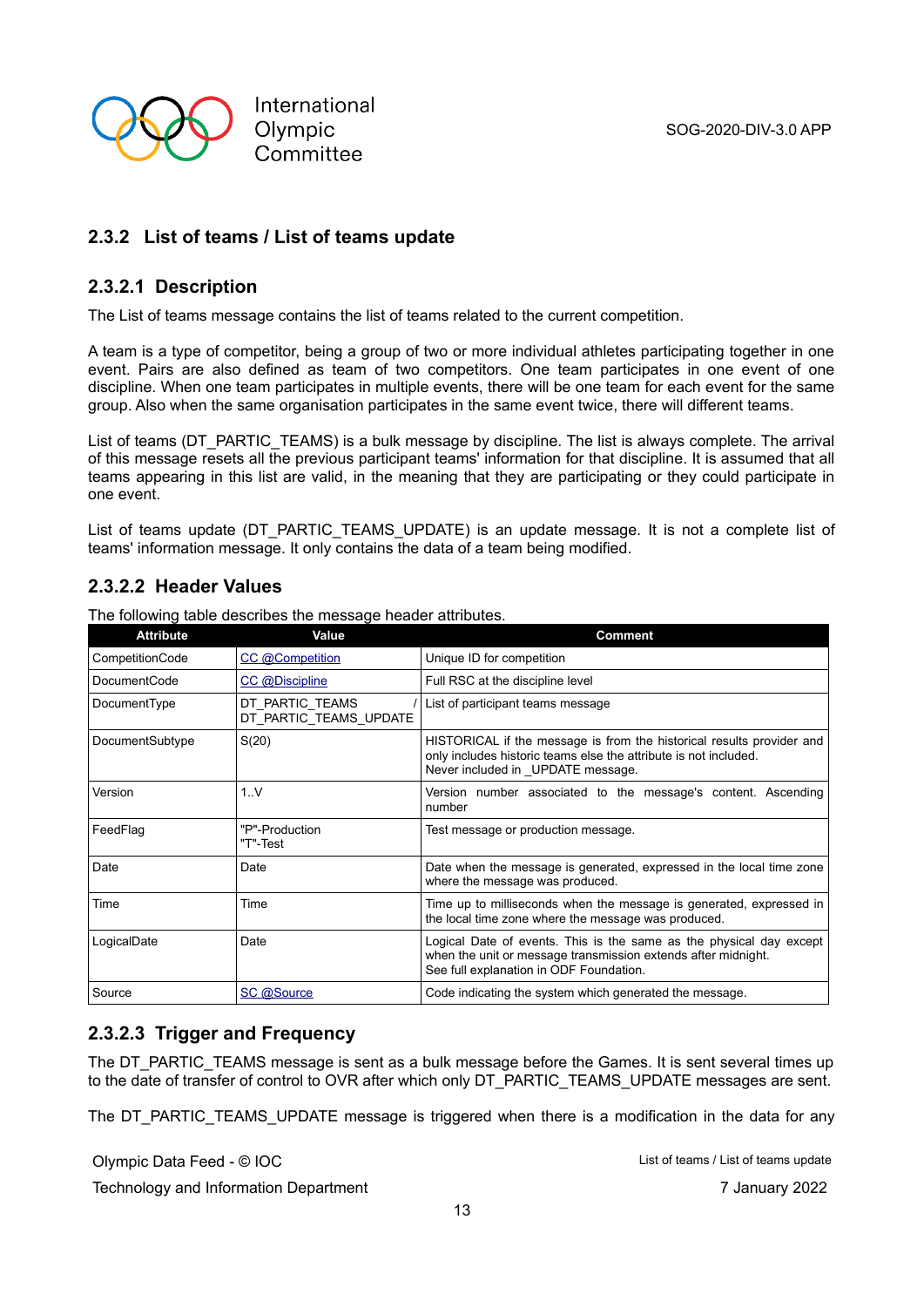

### <span id="page-12-3"></span>**2.3.2 List of teams / List of teams update**

### <span id="page-12-2"></span>**2.3.2.1 Description**

The List of teams message contains the list of teams related to the current competition.

A team is a type of competitor, being a group of two or more individual athletes participating together in one event. Pairs are also defined as team of two competitors. One team participates in one event of one discipline. When one team participates in multiple events, there will be one team for each event for the same group. Also when the same organisation participates in the same event twice, there will different teams.

List of teams (DT\_PARTIC\_TEAMS) is a bulk message by discipline. The list is always complete. The arrival of this message resets all the previous participant teams' information for that discipline. It is assumed that all teams appearing in this list are valid, in the meaning that they are participating or they could participate in one event.

List of teams update (DT\_PARTIC\_TEAMS\_UPDATE) is an update message. It is not a complete list of teams' information message. It only contains the data of a team being modified.

| <b>Attribute</b> | Value                                     | <b>Comment</b>                                                                                                                                                                  |
|------------------|-------------------------------------------|---------------------------------------------------------------------------------------------------------------------------------------------------------------------------------|
| CompetitionCode  | CC @Competition                           | Unique ID for competition                                                                                                                                                       |
| DocumentCode     | CC @Discipline                            | Full RSC at the discipline level                                                                                                                                                |
| DocumentType     | DT PARTIC TEAMS<br>DT_PARTIC_TEAMS_UPDATE | List of participant teams message                                                                                                                                               |
| DocumentSubtype  | S(20)                                     | HISTORICAL if the message is from the historical results provider and<br>only includes historic teams else the attribute is not included.<br>Never included in _UPDATE message. |
| Version          | 1. V                                      | Version number associated to the message's content. Ascending<br>number                                                                                                         |
| FeedFlag         | "P"-Production<br>"T"-Test                | Test message or production message.                                                                                                                                             |
| Date             | Date                                      | Date when the message is generated, expressed in the local time zone<br>where the message was produced.                                                                         |
| Time             | Time                                      | Time up to milliseconds when the message is generated, expressed in<br>the local time zone where the message was produced.                                                      |
| LogicalDate      | Date                                      | Logical Date of events. This is the same as the physical day except<br>when the unit or message transmission extends after midnight.<br>See full explanation in ODF Foundation. |
| Source           | SC @Source                                | Code indicating the system which generated the message.                                                                                                                         |

### <span id="page-12-1"></span>**2.3.2.2 Header Values**

The following table describes the message header attributes.

### <span id="page-12-0"></span>**2.3.2.3 Trigger and Frequency**

The DT\_PARTIC\_TEAMS message is sent as a bulk message before the Games. It is sent several times up to the date of transfer of control to OVR after which only DT\_PARTIC\_TEAMS\_UPDATE messages are sent.

The DT\_PARTIC\_TEAMS\_UPDATE message is triggered when there is a modification in the data for any

Technology and Information Department 7 January 2022

Olympic Data Feed - © IOC <br>
Colympic Data Feed - © IOC List of teams update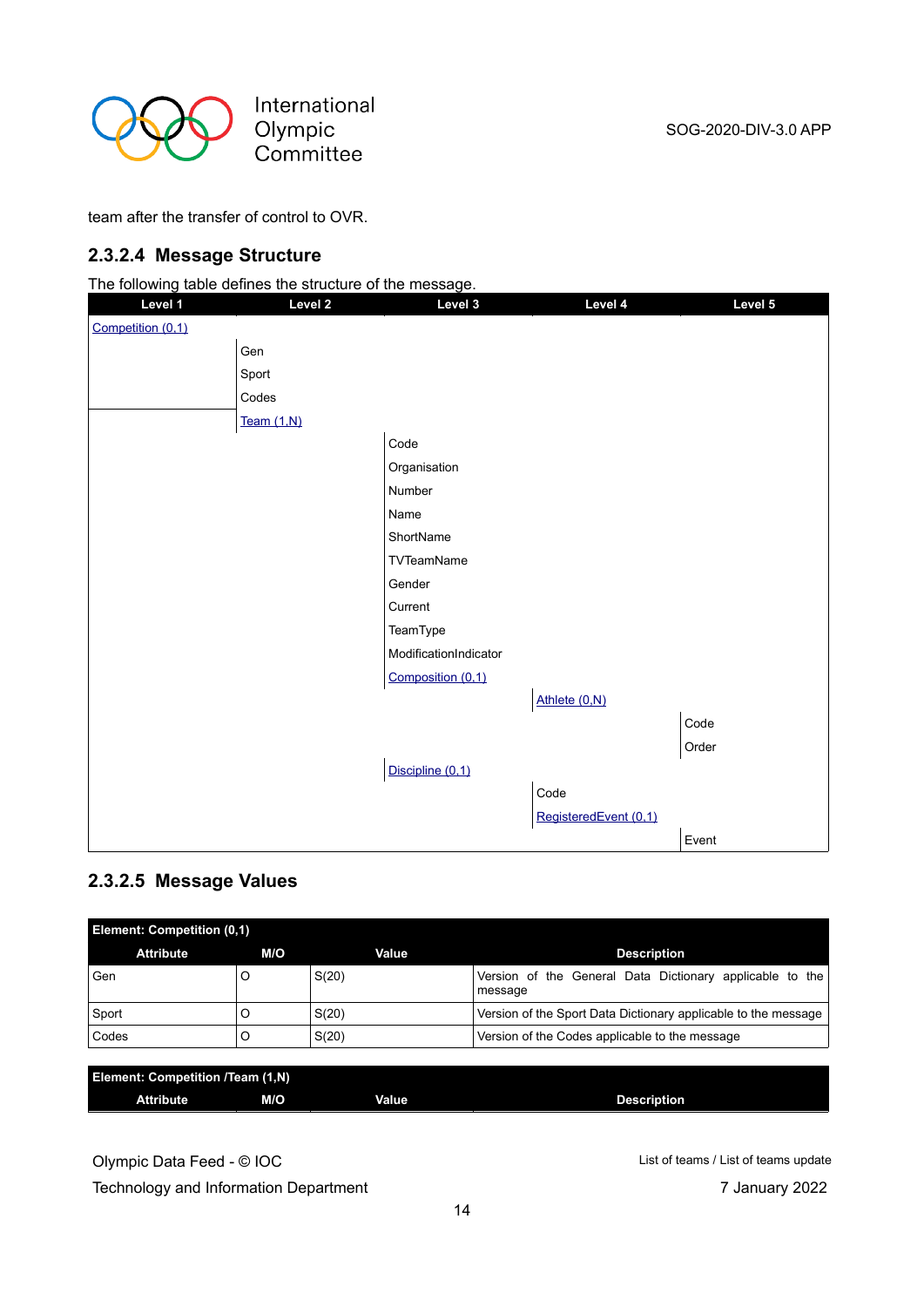

team after the transfer of control to OVR.

### <span id="page-13-1"></span>**2.3.2.4 Message Structure**

The following table defines the structure of the message.

| Level 1           | Level 2      | Level 3               | Level 4               | Level 5 |
|-------------------|--------------|-----------------------|-----------------------|---------|
| Competition (0,1) |              |                       |                       |         |
|                   | Gen          |                       |                       |         |
|                   | Sport        |                       |                       |         |
|                   | Codes        |                       |                       |         |
|                   | Team $(1,N)$ |                       |                       |         |
|                   |              | Code                  |                       |         |
|                   |              | Organisation          |                       |         |
|                   |              | Number                |                       |         |
|                   |              | Name                  |                       |         |
|                   |              | ShortName             |                       |         |
|                   |              | TVTeamName            |                       |         |
|                   |              | Gender                |                       |         |
|                   |              | Current               |                       |         |
|                   |              | TeamType              |                       |         |
|                   |              | ModificationIndicator |                       |         |
|                   |              | Composition (0,1)     |                       |         |
|                   |              |                       | Athlete (0,N)         |         |
|                   |              |                       |                       | Code    |
|                   |              |                       |                       | Order   |
|                   |              | Discipline (0,1)      |                       |         |
|                   |              |                       | Code                  |         |
|                   |              |                       | RegisteredEvent (0,1) |         |
|                   |              |                       |                       | Event   |

### <span id="page-13-0"></span>**2.3.2.5 Message Values**

<span id="page-13-3"></span>

| <b>Element: Competition (0,1)</b> |     |       |                                                                     |
|-----------------------------------|-----|-------|---------------------------------------------------------------------|
| <b>Attribute</b>                  | M/O | Value | <b>Description</b>                                                  |
| Gen                               |     | S(20) | Version of the General Data Dictionary applicable to the<br>message |
| Sport                             |     | S(20) | Version of the Sport Data Dictionary applicable to the message      |
| Codes                             |     | S(20) | Version of the Codes applicable to the message                      |

<span id="page-13-2"></span>

| <b>Element: Competition /Team (1,N)</b> |     |       |                    |  |
|-----------------------------------------|-----|-------|--------------------|--|
| <b>Attribute</b>                        | M/O | Value | <b>Description</b> |  |
|                                         |     |       |                    |  |

Olympic Data Feed - © IOC <br>
Colympic Data Feed - © IOC List of teams update Technology and Information Department 7 January 2022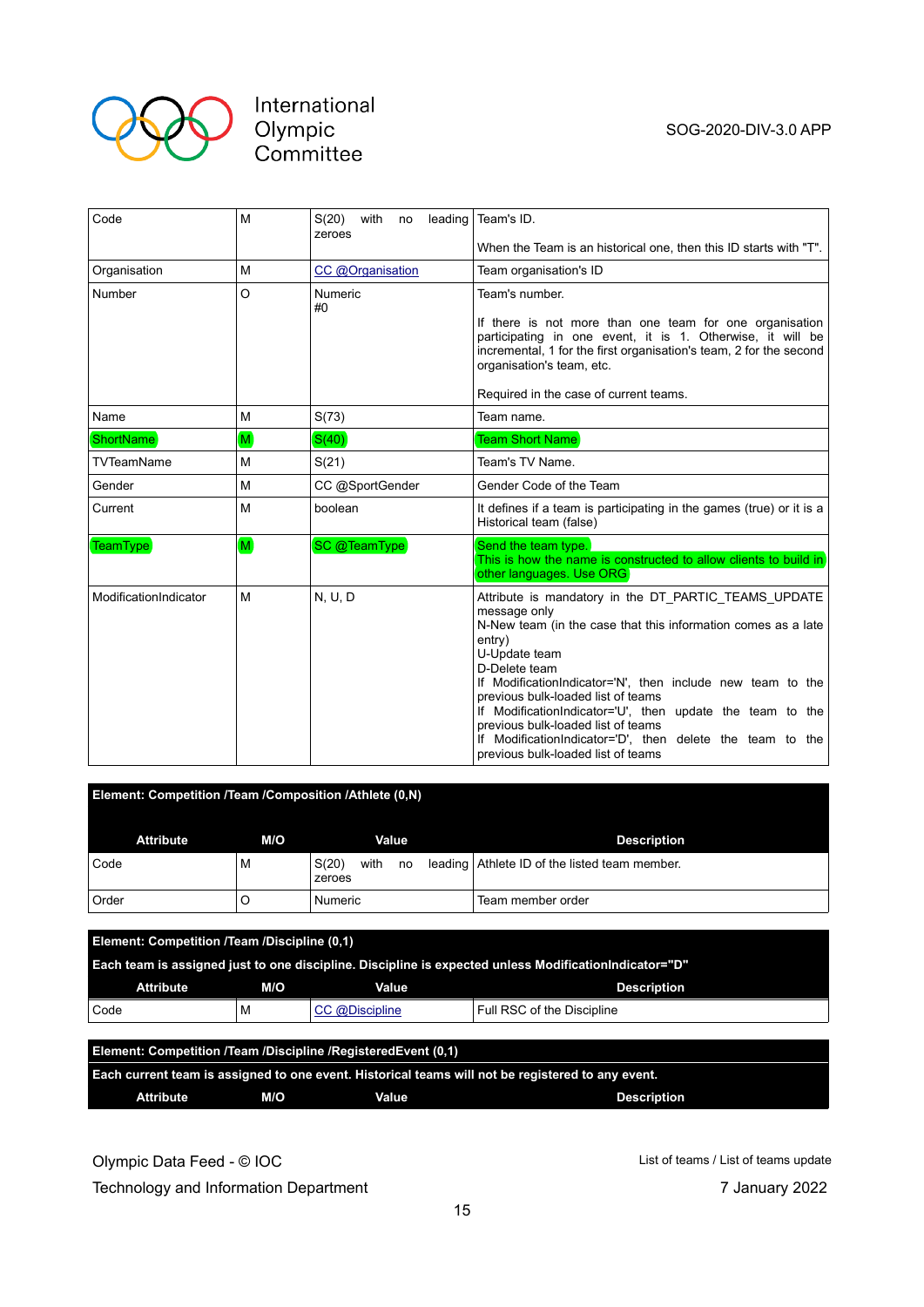

#### SOG-2020-DIV-3.0 APP

| Code                  | M | S(20)<br>with<br>leading<br>no<br>zeroes | Team's ID.                                                                                                                                                                                                                                                                                                                                                                                                                                                                                  |
|-----------------------|---|------------------------------------------|---------------------------------------------------------------------------------------------------------------------------------------------------------------------------------------------------------------------------------------------------------------------------------------------------------------------------------------------------------------------------------------------------------------------------------------------------------------------------------------------|
|                       |   |                                          | When the Team is an historical one, then this ID starts with "T".                                                                                                                                                                                                                                                                                                                                                                                                                           |
| Organisation          | м | CC @Organisation                         | Team organisation's ID                                                                                                                                                                                                                                                                                                                                                                                                                                                                      |
| Number                | O | <b>Numeric</b><br>#0                     | Team's number.<br>If there is not more than one team for one organisation<br>participating in one event, it is 1. Otherwise, it will be<br>incremental, 1 for the first organisation's team, 2 for the second<br>organisation's team, etc.<br>Required in the case of current teams.                                                                                                                                                                                                        |
| Name                  | М | S(73)                                    | Team name.                                                                                                                                                                                                                                                                                                                                                                                                                                                                                  |
| <b>ShortName</b>      | M | S(40)                                    | <b>Team Short Name</b>                                                                                                                                                                                                                                                                                                                                                                                                                                                                      |
| <b>TVTeamName</b>     | М | S(21)                                    | Team's TV Name.                                                                                                                                                                                                                                                                                                                                                                                                                                                                             |
| Gender                | м | CC @SportGender                          | Gender Code of the Team                                                                                                                                                                                                                                                                                                                                                                                                                                                                     |
| Current               | М | boolean                                  | It defines if a team is participating in the games (true) or it is a<br>Historical team (false)                                                                                                                                                                                                                                                                                                                                                                                             |
| <b>TeamType</b>       | M | SC @TeamType                             | Send the team type.<br>This is how the name is constructed to allow clients to build in<br>other languages. Use ORG                                                                                                                                                                                                                                                                                                                                                                         |
| ModificationIndicator | М | N, U, D                                  | Attribute is mandatory in the DT PARTIC TEAMS UPDATE<br>message only<br>N-New team (in the case that this information comes as a late<br>entry)<br>U-Update team<br>D-Delete team<br>If ModificationIndicator='N', then include new team to the<br>previous bulk-loaded list of teams<br>If ModificationIndicator='U', then update the team to the<br>previous bulk-loaded list of teams<br>If ModificationIndicator='D', then delete the team to the<br>previous bulk-loaded list of teams |

<span id="page-14-2"></span><span id="page-14-1"></span>

| Element: Competition /Team /Composition /Athlete (0,N) |     |                                                               |                                                                                                        |  |
|--------------------------------------------------------|-----|---------------------------------------------------------------|--------------------------------------------------------------------------------------------------------|--|
| <b>Attribute</b>                                       | M/O | Value                                                         | <b>Description</b>                                                                                     |  |
| Code                                                   | M   | S(20)<br>with<br>leading<br>no<br>zeroes                      | Athlete ID of the listed team member.                                                                  |  |
| Order                                                  | O   | Numeric                                                       | Team member order                                                                                      |  |
|                                                        |     |                                                               |                                                                                                        |  |
| Element: Competition /Team /Discipline (0,1)           |     |                                                               |                                                                                                        |  |
|                                                        |     |                                                               | "Each team is assigned just to one discipline. Discipline is expected unless Modification Indicator="D |  |
| <b>Attribute</b>                                       | M/O | Value                                                         | <b>Description</b>                                                                                     |  |
| Code                                                   | M   | CC @Discipline                                                | Full RSC of the Discipline                                                                             |  |
|                                                        |     |                                                               |                                                                                                        |  |
|                                                        |     | Element: Competition /Team /Discipline /RegisteredEvent (0.1) |                                                                                                        |  |

<span id="page-14-0"></span>

|           |     |              | Each current team is assigned to one event. Historical teams will not be registered to any event. |
|-----------|-----|--------------|---------------------------------------------------------------------------------------------------|
| Attribute | M/O | <b>Value</b> | Description                                                                                       |

Olympic Data Feed - © IOC **List of teams / List of teams / List of teams update**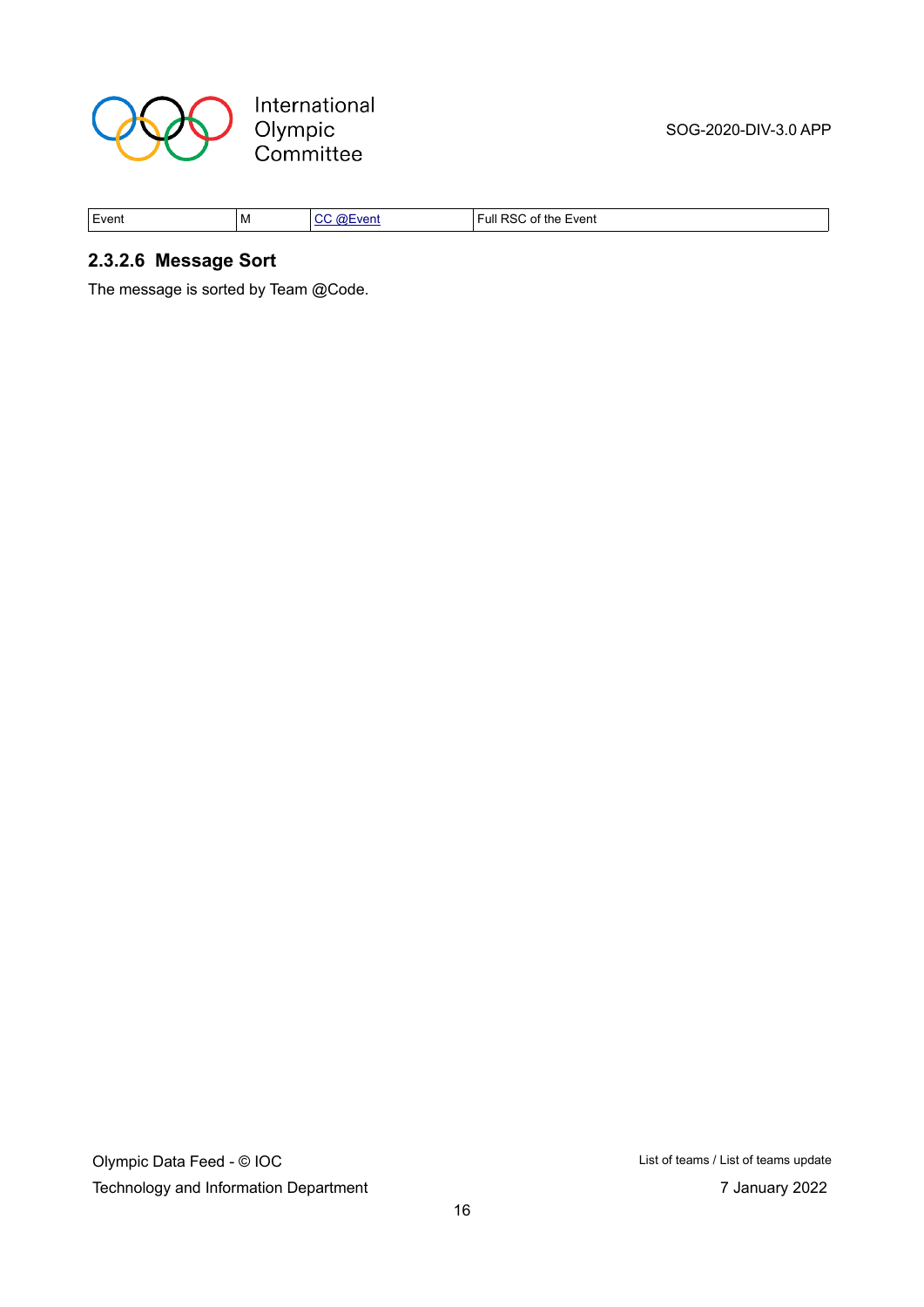

| $\overline{\phantom{0}}$<br>Event | - IVI | ∼<br>- - -<br>$\sim$ | Event<br>шI<br>me<br>n<br>___ |
|-----------------------------------|-------|----------------------|-------------------------------|

### <span id="page-15-0"></span>**2.3.2.6 Message Sort**

The message is sorted by Team @Code.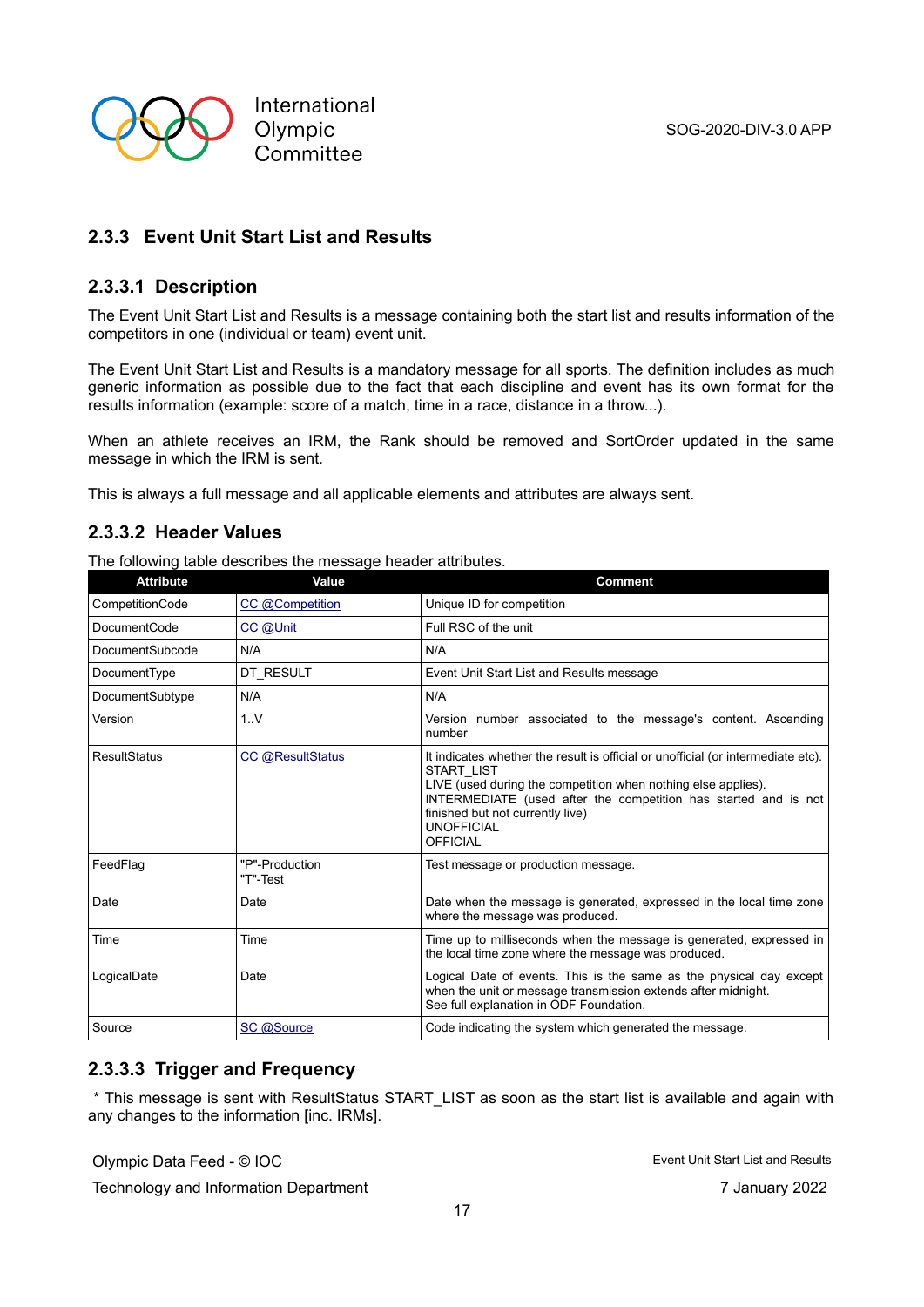

### <span id="page-16-3"></span>**2.3.3 Event Unit Start List and Results**

### <span id="page-16-2"></span>**2.3.3.1 Description**

The Event Unit Start List and Results is a message containing both the start list and results information of the competitors in one (individual or team) event unit.

The Event Unit Start List and Results is a mandatory message for all sports. The definition includes as much generic information as possible due to the fact that each discipline and event has its own format for the results information (example: score of a match, time in a race, distance in a throw...).

When an athlete receives an IRM, the Rank should be removed and SortOrder updated in the same message in which the IRM is sent.

This is always a full message and all applicable elements and attributes are always sent.

### <span id="page-16-1"></span>**2.3.3.2 Header Values**

The following table describes the message header attributes.

| <b>Attribute</b>       | Value                      | <b>Comment</b>                                                                                                                                                                                                                                                                                                        |
|------------------------|----------------------------|-----------------------------------------------------------------------------------------------------------------------------------------------------------------------------------------------------------------------------------------------------------------------------------------------------------------------|
| CompetitionCode        | CC @Competition            | Unique ID for competition                                                                                                                                                                                                                                                                                             |
| <b>DocumentCode</b>    | CC @Unit                   | Full RSC of the unit                                                                                                                                                                                                                                                                                                  |
| <b>DocumentSubcode</b> | N/A                        | N/A                                                                                                                                                                                                                                                                                                                   |
| DocumentType           | DT RESULT                  | Event Unit Start List and Results message                                                                                                                                                                                                                                                                             |
| DocumentSubtype        | N/A                        | N/A                                                                                                                                                                                                                                                                                                                   |
| Version                | 1.1V                       | Version number associated to the message's content. Ascending<br>number                                                                                                                                                                                                                                               |
| <b>ResultStatus</b>    | CC @ResultStatus           | It indicates whether the result is official or unofficial (or intermediate etc).<br><b>START LIST</b><br>LIVE (used during the competition when nothing else applies).<br>INTERMEDIATE (used after the competition has started and is not<br>finished but not currently live)<br><b>UNOFFICIAL</b><br><b>OFFICIAL</b> |
| FeedFlag               | "P"-Production<br>"T"-Test | Test message or production message.                                                                                                                                                                                                                                                                                   |
| Date                   | Date                       | Date when the message is generated, expressed in the local time zone<br>where the message was produced.                                                                                                                                                                                                               |
| Time                   | Time                       | Time up to milliseconds when the message is generated, expressed in<br>the local time zone where the message was produced.                                                                                                                                                                                            |
| LogicalDate            | Date                       | Logical Date of events. This is the same as the physical day except<br>when the unit or message transmission extends after midnight.<br>See full explanation in ODF Foundation.                                                                                                                                       |
| Source                 | SC @Source                 | Code indicating the system which generated the message.                                                                                                                                                                                                                                                               |

#### <span id="page-16-0"></span>**2.3.3.3 Trigger and Frequency**

 \* This message is sent with ResultStatus START\_LIST as soon as the start list is available and again with any changes to the information [inc. IRMs].

Olympic Data Feed - © IOC **Event Unit Start List and Results**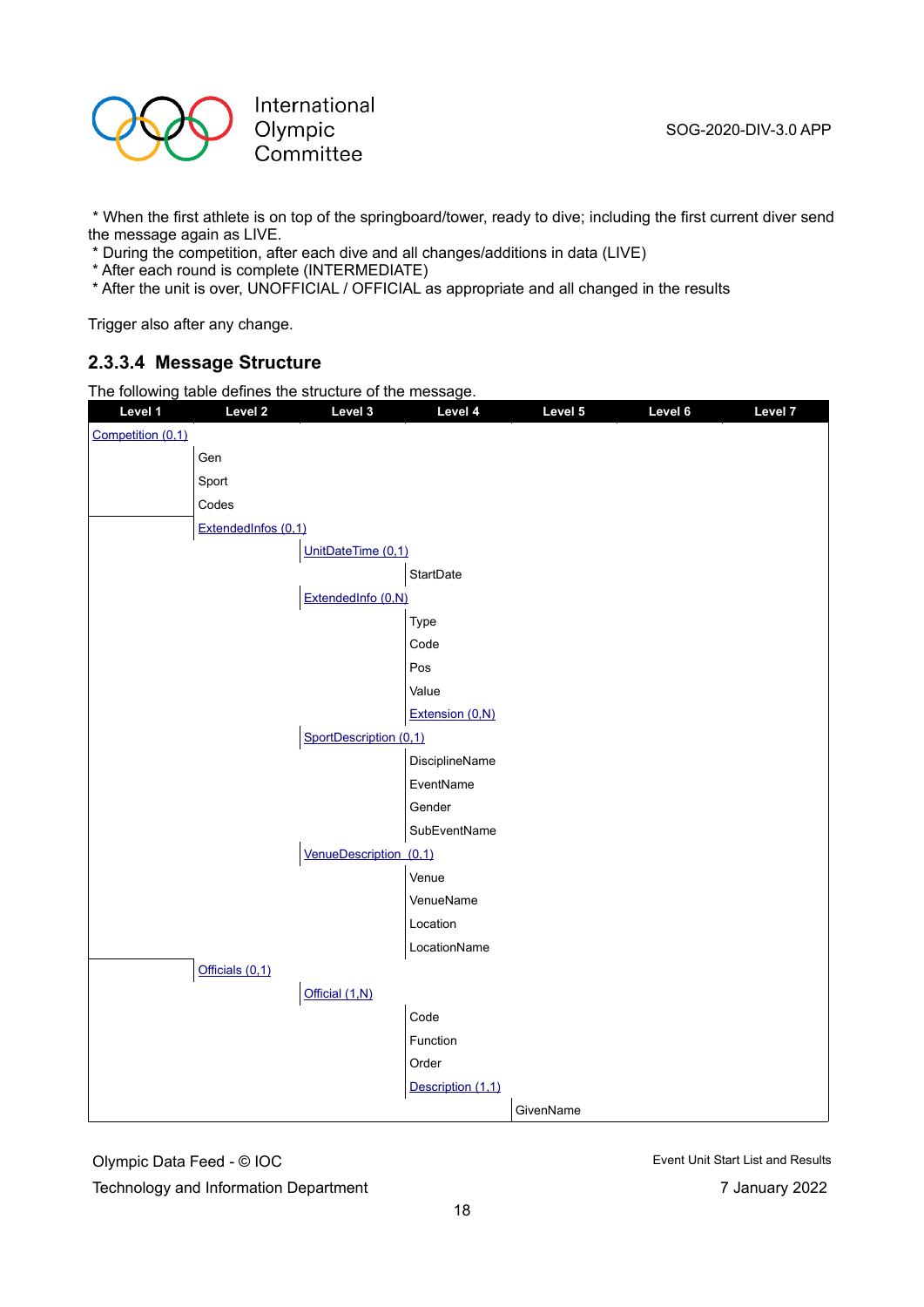

 \* When the first athlete is on top of the springboard/tower, ready to dive; including the first current diver send the message again as LIVE.

\* During the competition, after each dive and all changes/additions in data (LIVE)

\* After each round is complete (INTERMEDIATE)

\* After the unit is over, UNOFFICIAL / OFFICIAL as appropriate and all changed in the results

Trigger also after any change.

### <span id="page-17-0"></span>**2.3.3.4 Message Structure**

The following table defines the structure of the message.



Olympic Data Feed - © IOC **Event Unit Start List and Results** Technology and Information Department 7 January 2022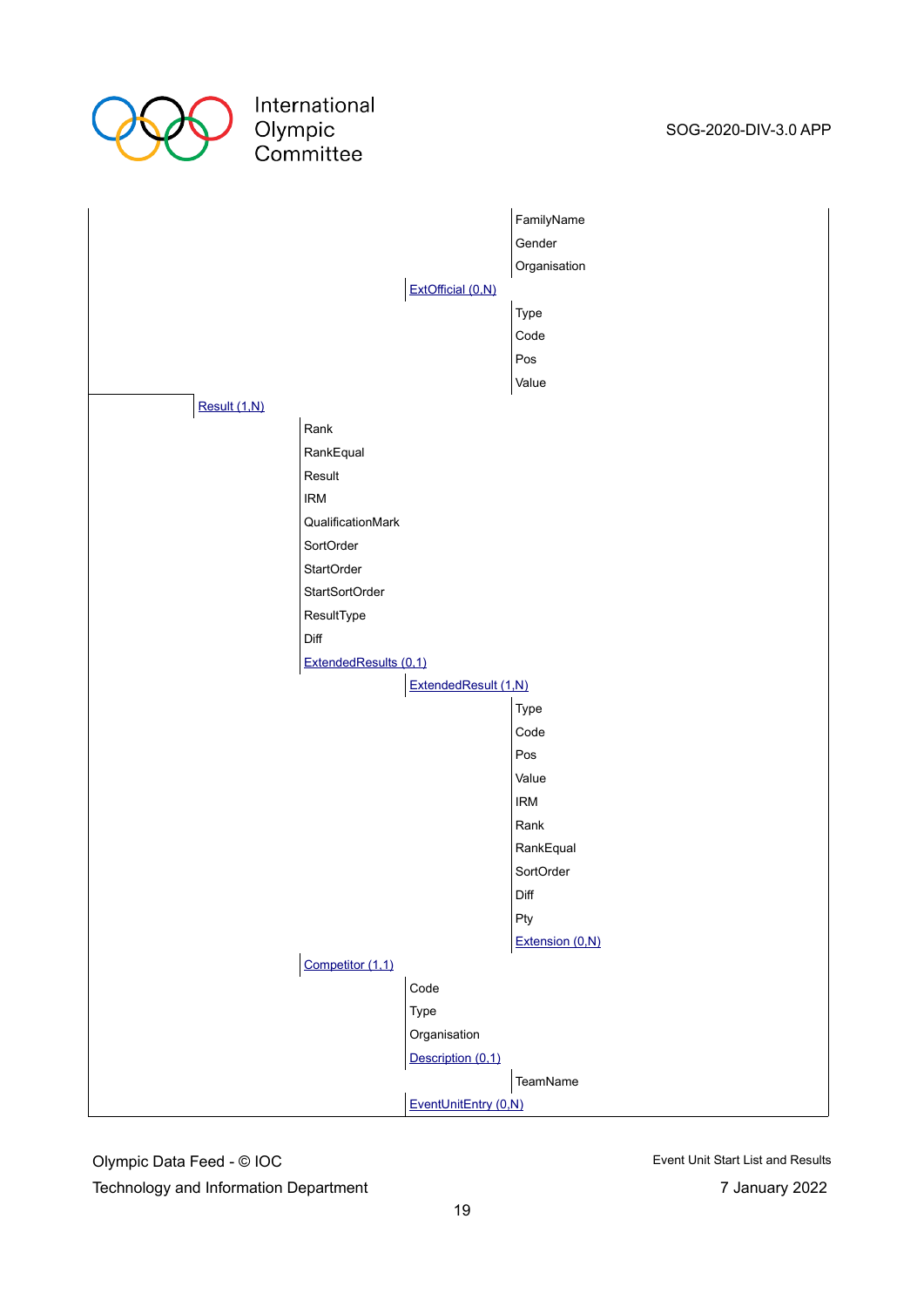

|                       | FamilyName           |
|-----------------------|----------------------|
|                       | Gender               |
|                       | Organisation         |
|                       | ExtOfficial (0,N)    |
|                       | Type                 |
|                       | Code                 |
|                       | Pos                  |
|                       | Value                |
| Result (1,N)          |                      |
| Rank                  |                      |
| RankEqual             |                      |
| Result                |                      |
| <b>IRM</b>            |                      |
| QualificationMark     |                      |
| SortOrder             |                      |
| StartOrder            |                      |
| <b>StartSortOrder</b> |                      |
| ResultType            |                      |
| Diff                  |                      |
| ExtendedResults (0,1) |                      |
|                       | ExtendedResult (1,N) |
|                       | Type                 |
|                       | Code                 |
|                       | Pos                  |
|                       | Value                |
|                       | <b>IRM</b>           |
|                       | Rank                 |
|                       | RankEqual            |
|                       | SortOrder            |
|                       | Diff                 |
|                       | Pty                  |
|                       | Extension (0,N)      |
| Competitor (1,1)      |                      |
|                       | Code                 |
|                       | Type                 |
|                       | Organisation         |
|                       | Description (0,1)    |
|                       | TeamName             |
|                       | EventUnitEntry (0,N) |

Olympic Data Feed - © IOC **Example 2018** Event Unit Start List and Results Technology and Information Department 7 January 2022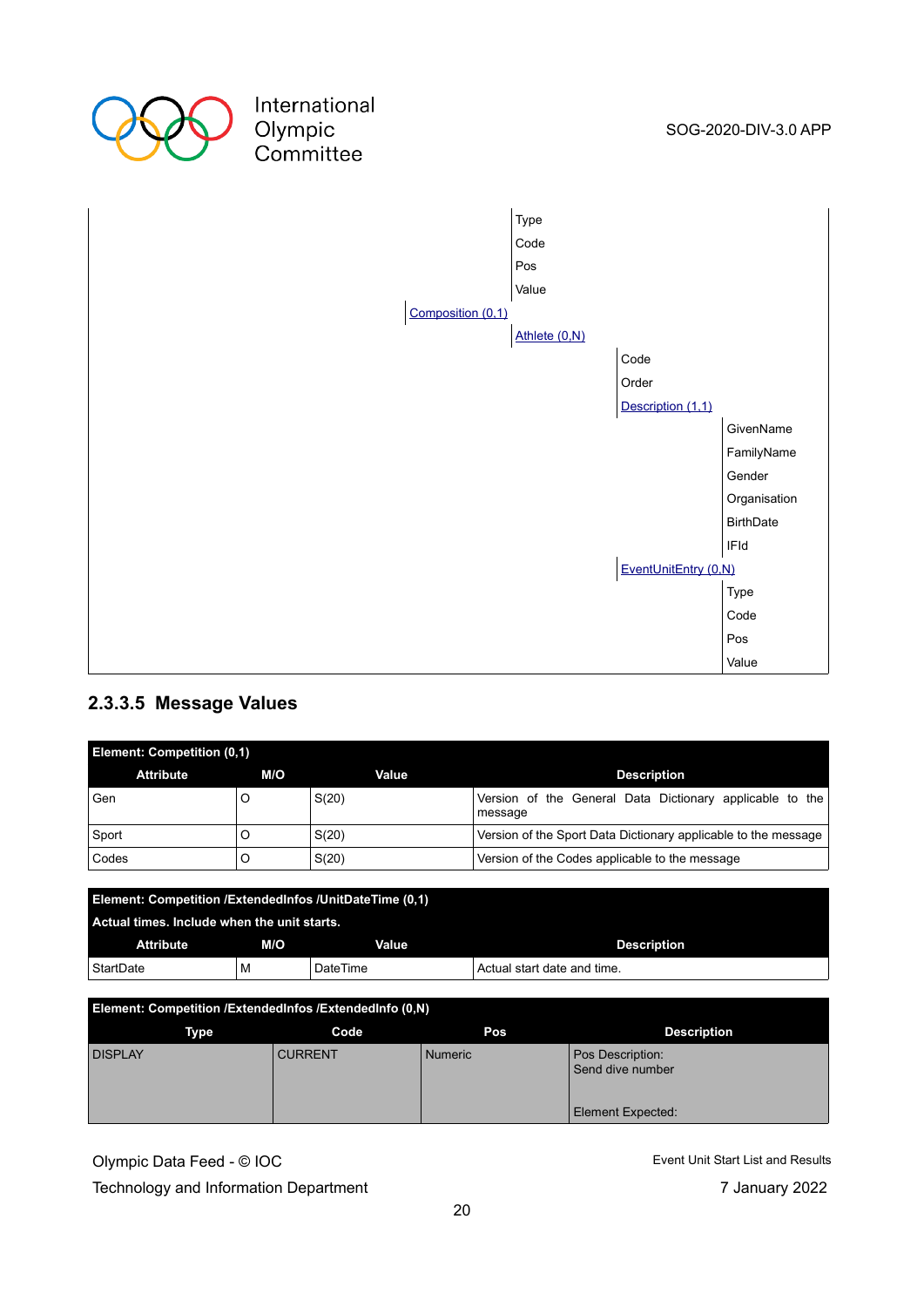



### <span id="page-19-0"></span>**2.3.3.5 Message Values**

<span id="page-19-3"></span>

| <b>Element: Competition (0,1)</b> |     |       |                                                                     |  |
|-----------------------------------|-----|-------|---------------------------------------------------------------------|--|
| <b>Attribute</b>                  | M/O | Value | <b>Description</b>                                                  |  |
| Gen                               |     | S(20) | Version of the General Data Dictionary applicable to the<br>message |  |
| Sport                             |     | S(20) | Version of the Sport Data Dictionary applicable to the message      |  |
| Codes                             |     | S(20) | Version of the Codes applicable to the message                      |  |

<span id="page-19-2"></span>

| Element: Competition /ExtendedInfos /UnitDateTime (0,1) |     |                                                |                    |  |
|---------------------------------------------------------|-----|------------------------------------------------|--------------------|--|
| Actual times. Include when the unit starts.             |     |                                                |                    |  |
| Attribute                                               | M/O | Value                                          | <b>Description</b> |  |
| StartDate                                               | M   | Actual start date and time.<br><b>DateTime</b> |                    |  |

<span id="page-19-1"></span>

| Element: Competition /ExtendedInfos /ExtendedInfo (0,N) |                |                |                                      |  |  |  |
|---------------------------------------------------------|----------------|----------------|--------------------------------------|--|--|--|
| Pos<br>Code<br><b>Description</b><br>Type               |                |                |                                      |  |  |  |
| <b>DISPLAY</b>                                          | <b>CURRENT</b> | <b>Numeric</b> | Pos Description:<br>Send dive number |  |  |  |
|                                                         |                |                | <b>Element Expected:</b>             |  |  |  |

20

Olympic Data Feed - © IOC **Example 2018** Event Unit Start List and Results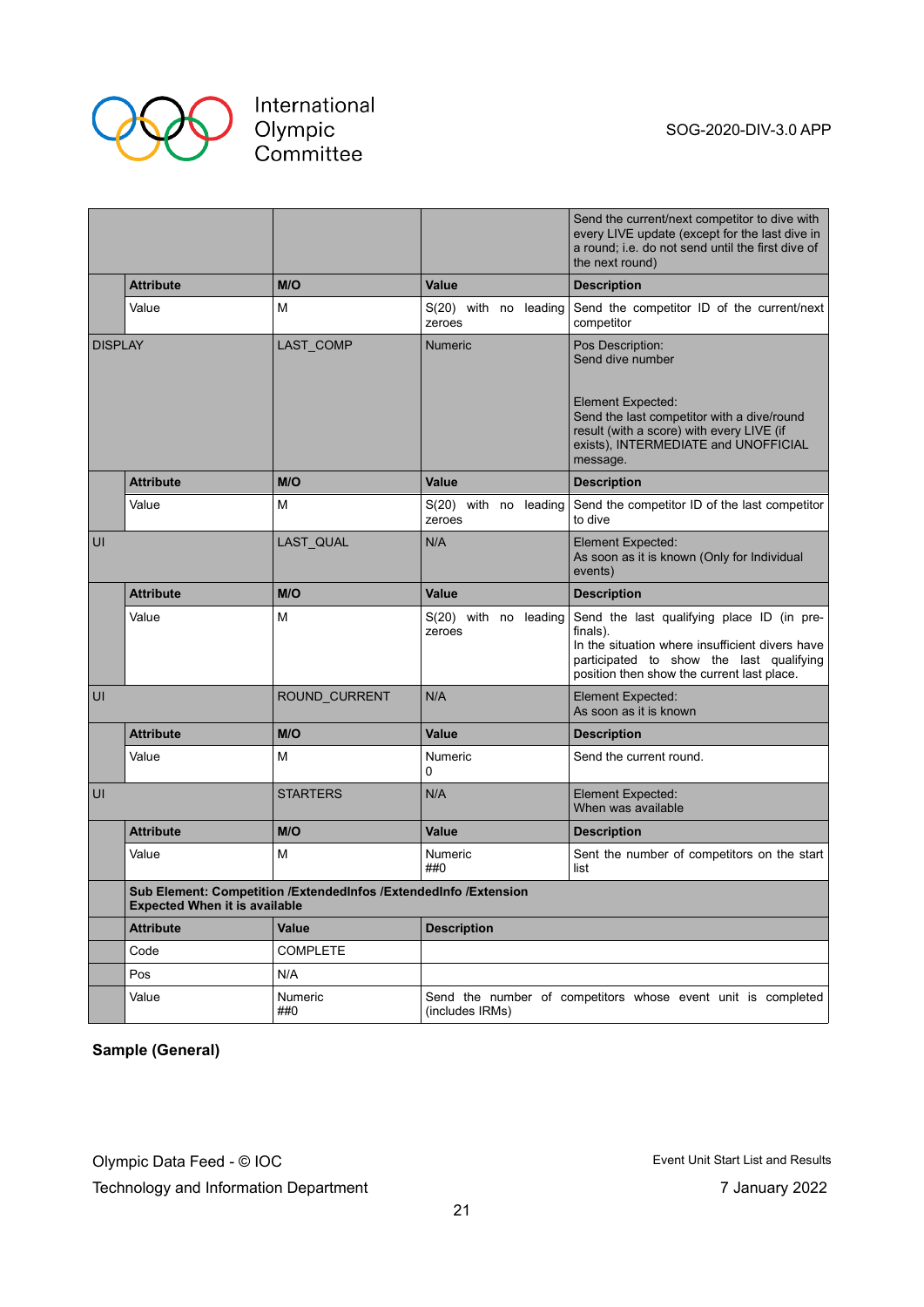

|                |                                                                                                          |                       |                                                                                 | Send the current/next competitor to dive with<br>every LIVE update (except for the last dive in<br>a round; i.e. do not send until the first dive of<br>the next round)                             |
|----------------|----------------------------------------------------------------------------------------------------------|-----------------------|---------------------------------------------------------------------------------|-----------------------------------------------------------------------------------------------------------------------------------------------------------------------------------------------------|
|                | <b>Attribute</b>                                                                                         | M/O                   | <b>Value</b>                                                                    | <b>Description</b>                                                                                                                                                                                  |
|                | Value                                                                                                    | M                     | S(20) with no leading<br>zeroes                                                 | Send the competitor ID of the current/next<br>competitor                                                                                                                                            |
| <b>DISPLAY</b> |                                                                                                          | LAST_COMP             | <b>Numeric</b>                                                                  | Pos Description:<br>Send dive number                                                                                                                                                                |
|                |                                                                                                          |                       |                                                                                 | Element Expected:<br>Send the last competitor with a dive/round<br>result (with a score) with every LIVE (if<br>exists), INTERMEDIATE and UNOFFICIAL<br>message.                                    |
|                | <b>Attribute</b>                                                                                         | M/O                   | Value                                                                           | <b>Description</b>                                                                                                                                                                                  |
|                | Value                                                                                                    | M                     | S(20) with no leading<br>zeroes                                                 | Send the competitor ID of the last competitor<br>to dive                                                                                                                                            |
| UI             |                                                                                                          | <b>LAST QUAL</b>      | N/A                                                                             | Element Expected:<br>As soon as it is known (Only for Individual<br>events)                                                                                                                         |
|                | <b>Attribute</b>                                                                                         | M/O                   | Value                                                                           | <b>Description</b>                                                                                                                                                                                  |
|                | Value                                                                                                    | M                     | S(20) with no leading<br>zeroes                                                 | Send the last qualifying place ID (in pre-<br>finals).<br>In the situation where insufficient divers have<br>participated to show the last qualifying<br>position then show the current last place. |
| UI             |                                                                                                          | ROUND_CURRENT         | N/A                                                                             | <b>Element Expected:</b><br>As soon as it is known                                                                                                                                                  |
|                | <b>Attribute</b>                                                                                         | M/O                   | <b>Value</b>                                                                    | <b>Description</b>                                                                                                                                                                                  |
|                | Value                                                                                                    | M                     | Numeric<br>0                                                                    | Send the current round.                                                                                                                                                                             |
| UI             |                                                                                                          | <b>STARTERS</b>       | N/A                                                                             | Element Expected:<br>When was available                                                                                                                                                             |
|                | <b>Attribute</b>                                                                                         | M/O                   | <b>Value</b>                                                                    | <b>Description</b>                                                                                                                                                                                  |
|                | Value                                                                                                    | M                     | Numeric<br>##0                                                                  | Sent the number of competitors on the start<br>list                                                                                                                                                 |
|                | Sub Element: Competition /ExtendedInfos /ExtendedInfo /Extension<br><b>Expected When it is available</b> |                       |                                                                                 |                                                                                                                                                                                                     |
|                | <b>Attribute</b>                                                                                         | Value                 | <b>Description</b>                                                              |                                                                                                                                                                                                     |
|                | Code                                                                                                     | <b>COMPLETE</b>       |                                                                                 |                                                                                                                                                                                                     |
|                | Pos                                                                                                      | N/A                   |                                                                                 |                                                                                                                                                                                                     |
|                | Value                                                                                                    | <b>Numeric</b><br>##0 | Send the number of competitors whose event unit is completed<br>(includes IRMs) |                                                                                                                                                                                                     |

 **Sample (General)**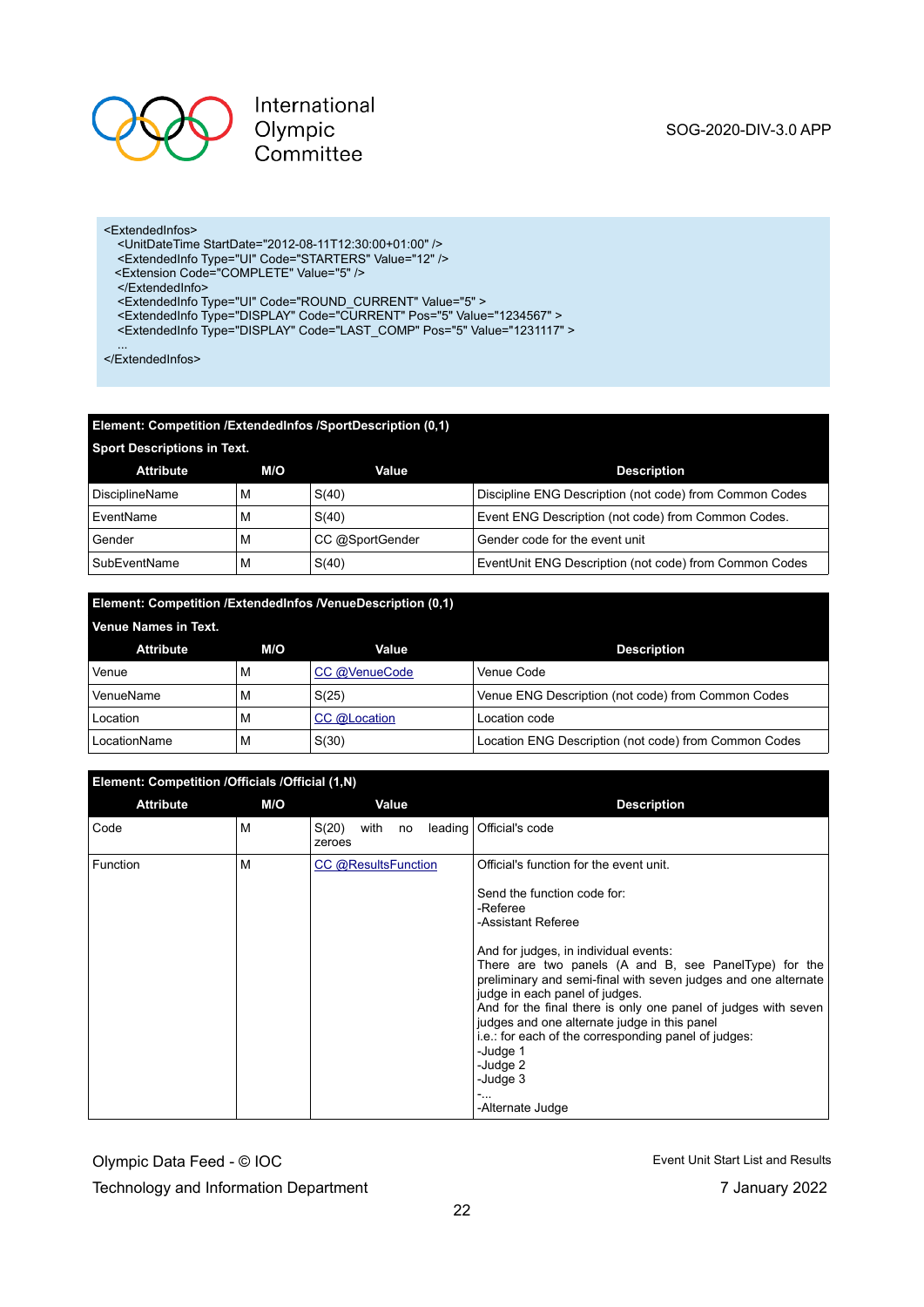

#### <ExtendedInfos>

<UnitDateTime StartDate="2012-08-11T12:30:00+01:00" />

- <ExtendedInfo Type="UI" Code="STARTERS" Value="12" />
- <Extension Code="COMPLETE" Value="5" />

</ExtendedInfo>

- <ExtendedInfo Type="UI" Code="ROUND\_CURRENT" Value="5" >
- <ExtendedInfo Type="DISPLAY" Code="CURRENT" Pos="5" Value="1234567" >
	- <ExtendedInfo Type="DISPLAY" Code="LAST\_COMP" Pos="5" Value="1231117" >

 ... </ExtendedInfos>

#### <span id="page-21-2"></span>**Element: Competition /ExtendedInfos /SportDescription (0,1)**

| <b>Sport Descriptions in Text.</b> |     |                 |                                                         |  |
|------------------------------------|-----|-----------------|---------------------------------------------------------|--|
| <b>Attribute</b>                   | M/O | Value           | <b>Description</b>                                      |  |
| <b>DisciplineName</b>              | M   | S(40)           | Discipline ENG Description (not code) from Common Codes |  |
| EventName                          | M   | S(40)           | Event ENG Description (not code) from Common Codes.     |  |
| Gender                             | м   | CC @SportGender | Gender code for the event unit                          |  |
| SubEventName                       | M   | S(40)           | EventUnit ENG Description (not code) from Common Codes  |  |

#### <span id="page-21-1"></span>**Element: Competition /ExtendedInfos /VenueDescription (0,1)**

| Venue Names in Text. |     |               |                                                       |  |
|----------------------|-----|---------------|-------------------------------------------------------|--|
| <b>Attribute</b>     | M/O | Value         | <b>Description</b>                                    |  |
| Venue                | М   | CC @VenueCode | Venue Code                                            |  |
| VenueName            | M   | S(25)         | Venue ENG Description (not code) from Common Codes    |  |
| Location             | M   | CC @Location  | Location code                                         |  |
| LocationName         | M   | S(30)         | Location ENG Description (not code) from Common Codes |  |

<span id="page-21-0"></span>

| Element: Competition / Officials / Official (1,N) |     |                               |                                                                                                                                                                                                                                                                                                                                                                                                                                                                                                                              |  |  |
|---------------------------------------------------|-----|-------------------------------|------------------------------------------------------------------------------------------------------------------------------------------------------------------------------------------------------------------------------------------------------------------------------------------------------------------------------------------------------------------------------------------------------------------------------------------------------------------------------------------------------------------------------|--|--|
| <b>Attribute</b>                                  | M/O | Value                         | <b>Description</b>                                                                                                                                                                                                                                                                                                                                                                                                                                                                                                           |  |  |
| Code                                              | м   | S(20)<br>with<br>no<br>zeroes | leading   Official's code                                                                                                                                                                                                                                                                                                                                                                                                                                                                                                    |  |  |
| Function                                          | м   | CC @ResultsFunction           | Official's function for the event unit.<br>Send the function code for:<br>-Referee<br>-Assistant Referee<br>And for judges, in individual events:<br>There are two panels (A and B, see PanelType) for the<br>preliminary and semi-final with seven judges and one alternate<br>judge in each panel of judges.<br>And for the final there is only one panel of judges with seven<br>judges and one alternate judge in this panel<br>i.e.: for each of the corresponding panel of judges:<br>-Judge 1<br>-Judge 2<br>-Judge 3 |  |  |
|                                                   |     |                               | -Alternate Judge                                                                                                                                                                                                                                                                                                                                                                                                                                                                                                             |  |  |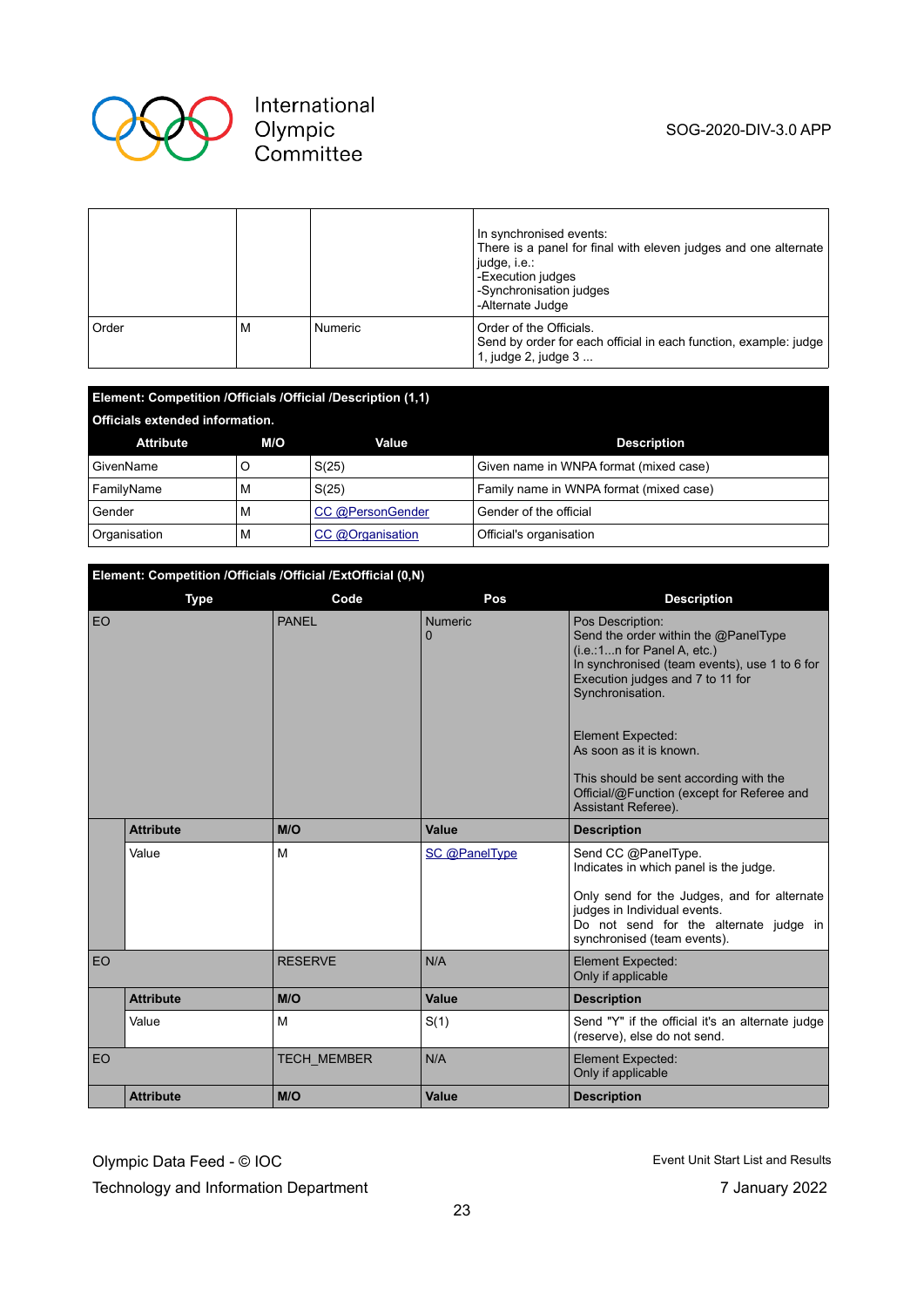

|       |   |                | In synchronised events:<br>There is a panel for final with eleven judges and one alternate<br>judge, i.e.:<br>-Execution judges<br>-Synchronisation judges<br>-Alternate Judge |
|-------|---|----------------|--------------------------------------------------------------------------------------------------------------------------------------------------------------------------------|
| Order | М | <b>Numeric</b> | Order of the Officials.<br>Send by order for each official in each function, example: judge<br>1, judge $2$ , judge $3 \dots$                                                  |

<span id="page-22-0"></span>

| Element: Competition /Officials /Official /Description (1.1) |     |                  |                                         |  |  |
|--------------------------------------------------------------|-----|------------------|-----------------------------------------|--|--|
| Officials extended information.                              |     |                  |                                         |  |  |
| <b>Attribute</b>                                             | M/O | Value            | <b>Description</b>                      |  |  |
| GivenName                                                    | O   | S(25)            | Given name in WNPA format (mixed case)  |  |  |
| FamilyName                                                   | м   | S(25)            | Family name in WNPA format (mixed case) |  |  |
| Gender                                                       | м   | CC @PersonGender | Gender of the official                  |  |  |
| Organisation                                                 | м   | CC @Organisation | Official's organisation                 |  |  |

<span id="page-22-1"></span>

| Element: Competition /Officials /Official /ExtOfficial (0,N) |                  |                    |                            |                                                                                                                                                                                                                                                                                                                                                                           |  |
|--------------------------------------------------------------|------------------|--------------------|----------------------------|---------------------------------------------------------------------------------------------------------------------------------------------------------------------------------------------------------------------------------------------------------------------------------------------------------------------------------------------------------------------------|--|
|                                                              | <b>Type</b>      | Code               | Pos                        | <b>Description</b>                                                                                                                                                                                                                                                                                                                                                        |  |
| E <sub>O</sub>                                               | <b>PANEL</b>     |                    | <b>Numeric</b><br>$\Omega$ | Pos Description:<br>Send the order within the @PanelType<br>$(i.e.: 1n$ for Panel A, etc.)<br>In synchronised (team events), use 1 to 6 for<br>Execution judges and 7 to 11 for<br>Synchronisation.<br><b>Element Expected:</b><br>As soon as it is known.<br>This should be sent according with the<br>Official/@Function (except for Referee and<br>Assistant Referee). |  |
|                                                              | <b>Attribute</b> | M/O                | Value                      | <b>Description</b>                                                                                                                                                                                                                                                                                                                                                        |  |
|                                                              | Value            | M                  | SC @PanelType              | Send CC @PanelType.<br>Indicates in which panel is the judge.<br>Only send for the Judges, and for alternate<br>judges in Individual events.<br>Do not send for the alternate judge in<br>synchronised (team events).                                                                                                                                                     |  |
| EO                                                           |                  | <b>RESERVE</b>     | N/A                        | <b>Element Expected:</b><br>Only if applicable                                                                                                                                                                                                                                                                                                                            |  |
|                                                              | <b>Attribute</b> | M/O                | <b>Value</b>               | <b>Description</b>                                                                                                                                                                                                                                                                                                                                                        |  |
|                                                              | Value            | M                  | S(1)                       | Send "Y" if the official it's an alternate judge<br>(reserve), else do not send.                                                                                                                                                                                                                                                                                          |  |
| <b>EO</b>                                                    |                  | <b>TECH MEMBER</b> | N/A                        | <b>Element Expected:</b><br>Only if applicable                                                                                                                                                                                                                                                                                                                            |  |
|                                                              | <b>Attribute</b> | M/O                | Value                      | <b>Description</b>                                                                                                                                                                                                                                                                                                                                                        |  |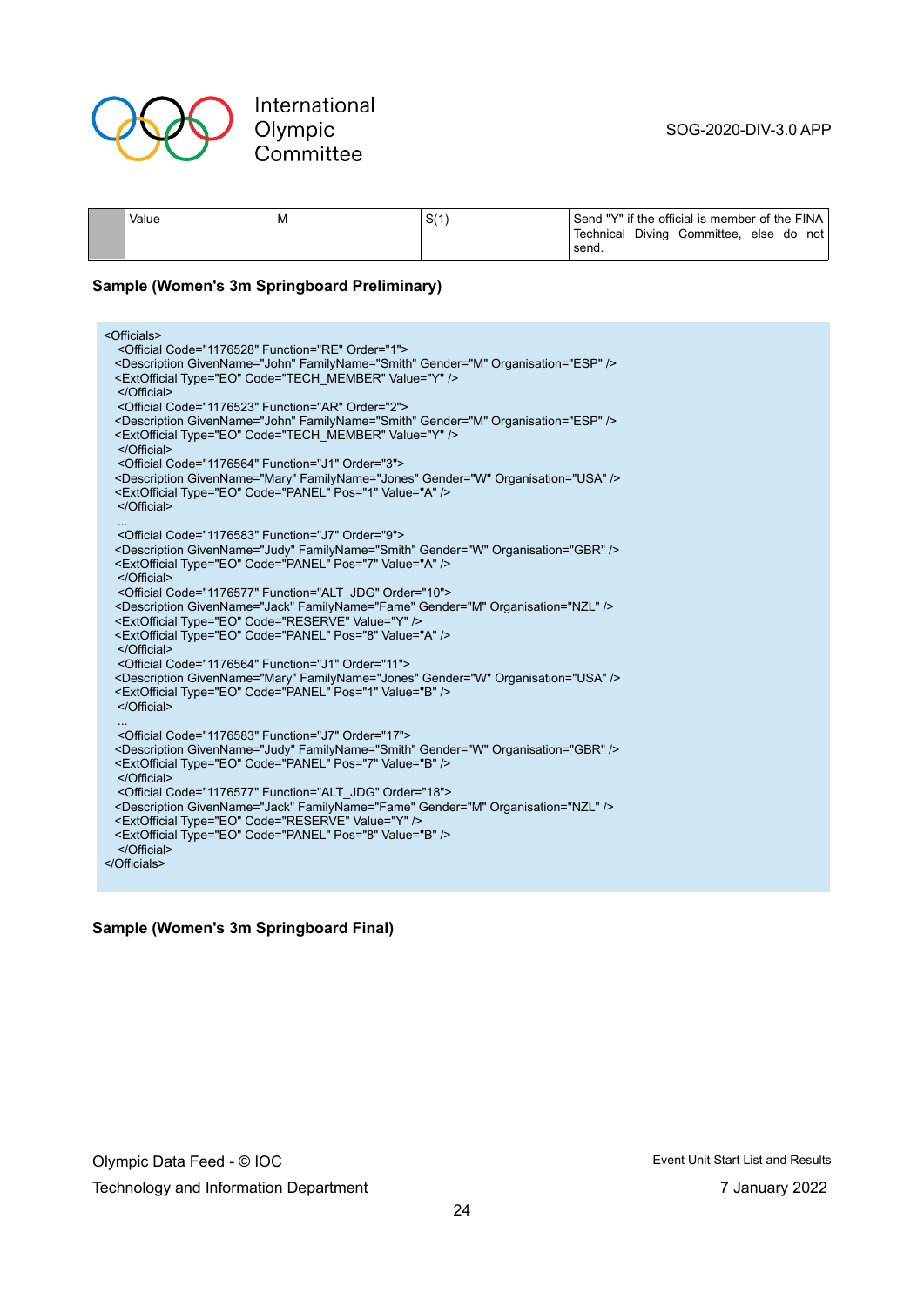

| Value | M | S(1) | Send "Y" if the official is member of the FINA   |
|-------|---|------|--------------------------------------------------|
|       |   |      | Technical Diving Committee, else do not<br>sena. |

### **Sample (Women's 3m Springboard Preliminary)**

| <officials><br/><official code="1176528" function="RE" order="1"><br/><description familyname="Smith" gender="M" givenname="John" organisation="ESP"></description><br/><extofficial code="TECH_MEMBER" type="EO" value="Y"></extofficial><br/></official><br/><official code="1176523" function="AR" order="2"><br/><description familyname="Smith" gender="M" givenname="John" organisation="ESP"></description><br/><extofficial code="TECH MEMBER" type="EO" value="Y"></extofficial><br/></official><br/><official code="1176564" function="J1" order="3"><br/><description familyname="Jones" gender="W" givenname="Mary" organisation="USA"></description><br/><extofficial code="PANEL" pos="1" type="EO" value="A"></extofficial><br/></official></officials>                                                |  |
|-----------------------------------------------------------------------------------------------------------------------------------------------------------------------------------------------------------------------------------------------------------------------------------------------------------------------------------------------------------------------------------------------------------------------------------------------------------------------------------------------------------------------------------------------------------------------------------------------------------------------------------------------------------------------------------------------------------------------------------------------------------------------------------------------------------------------|--|
| <official code="1176583" function="J7" order="9"><br/><description familyname="Smith" gender="W" givenname="Judy" organisation="GBR"></description><br/><extofficial code="PANEL" pos="7" type="EO" value="A"></extofficial><br/></official><br><official code="1176577" function="ALT JDG" order="10"><br/><description familyname="Fame" gender="M" givenname="Jack" organisation="NZL"></description><br/><extofficial code="RESERVE" type="EO" value="Y"></extofficial><br/><extofficial code="PANEL" pos="8" type="EO" value="A"></extofficial><br/></official><br><official code="1176564" function="J1" order="11"><br/><description familyname="Jones" gender="W" givenname="Mary" organisation="USA"></description><br/><extofficial code="PANEL" pos="1" type="EO" value="B"></extofficial><br/></official> |  |
| <official code="1176583" function="J7" order="17"><br/><description familyname="Smith" gender="W" givenname="Judy" organisation="GBR"></description><br/><extofficial code="PANEL" pos="7" type="EO" value="B"></extofficial><br/></official><br><official code="1176577" function="ALT JDG" order="18"><br/><description familyname="Fame" gender="M" givenname="Jack" organisation="NZL"></description><br/><extofficial code="RESERVE" type="EO" value="Y"></extofficial><br/><extofficial code="PANEL" pos="8" type="EO" value="B"></extofficial><br/></official><br>                                                                                                                                                                                                                                             |  |

#### **Sample (Women's 3m Springboard Final)**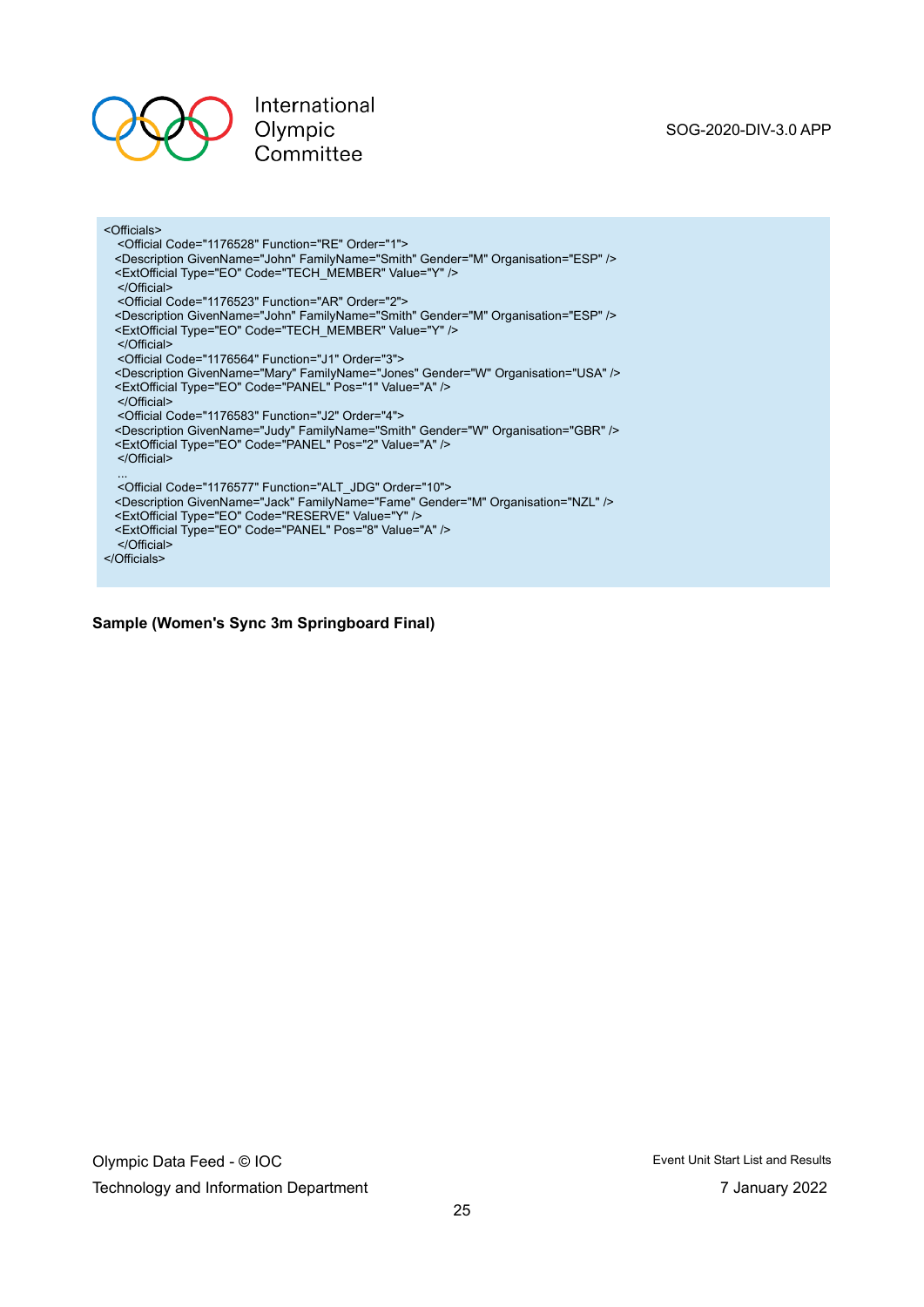

#### SOG-2020-DIV-3.0 APP

| <officials></officials>                                                                       |
|-----------------------------------------------------------------------------------------------|
| <official code="1176528" function="RE" order="1"></official>                                  |
| <description familyname="Smith" gender="M" givenname="John" organisation="ESP"></description> |
| <extofficial code="TECH MEMBER" type="EO" value="Y"></extofficial>                            |
|                                                                                               |
| <official code="1176523" function="AR" order="2"></official>                                  |
| <description familyname="Smith" gender="M" givenname="John" organisation="ESP"></description> |
| <extofficial code="TECH MEMBER" type="EO" value="Y"></extofficial>                            |
|                                                                                               |
| <official code="1176564" function="J1" order="3"></official>                                  |
| <description familyname="Jones" gender="W" givenname="Mary" organisation="USA"></description> |
| <extofficial code="PANEL" pos="1" type="EO" value="A"></extofficial>                          |
|                                                                                               |
| <official code="1176583" function="J2" order="4"></official>                                  |
| <description familyname="Smith" gender="W" givenname="Judy" organisation="GBR"></description> |
| <extofficial code="PANEL" pos="2" type="EO" value="A"></extofficial>                          |
|                                                                                               |
|                                                                                               |
| <official code="1176577" function="ALT JDG" order="10"></official>                            |
| <description familyname="Fame" gender="M" givenname="Jack" organisation="NZL"></description>  |
| <extofficial code="RESERVE" type="EO" value="Y"></extofficial>                                |
| <extofficial code="PANEL" pos="8" type="EO" value="A"></extofficial>                          |
|                                                                                               |
|                                                                                               |

 **Sample (Women's Sync 3m Springboard Final)**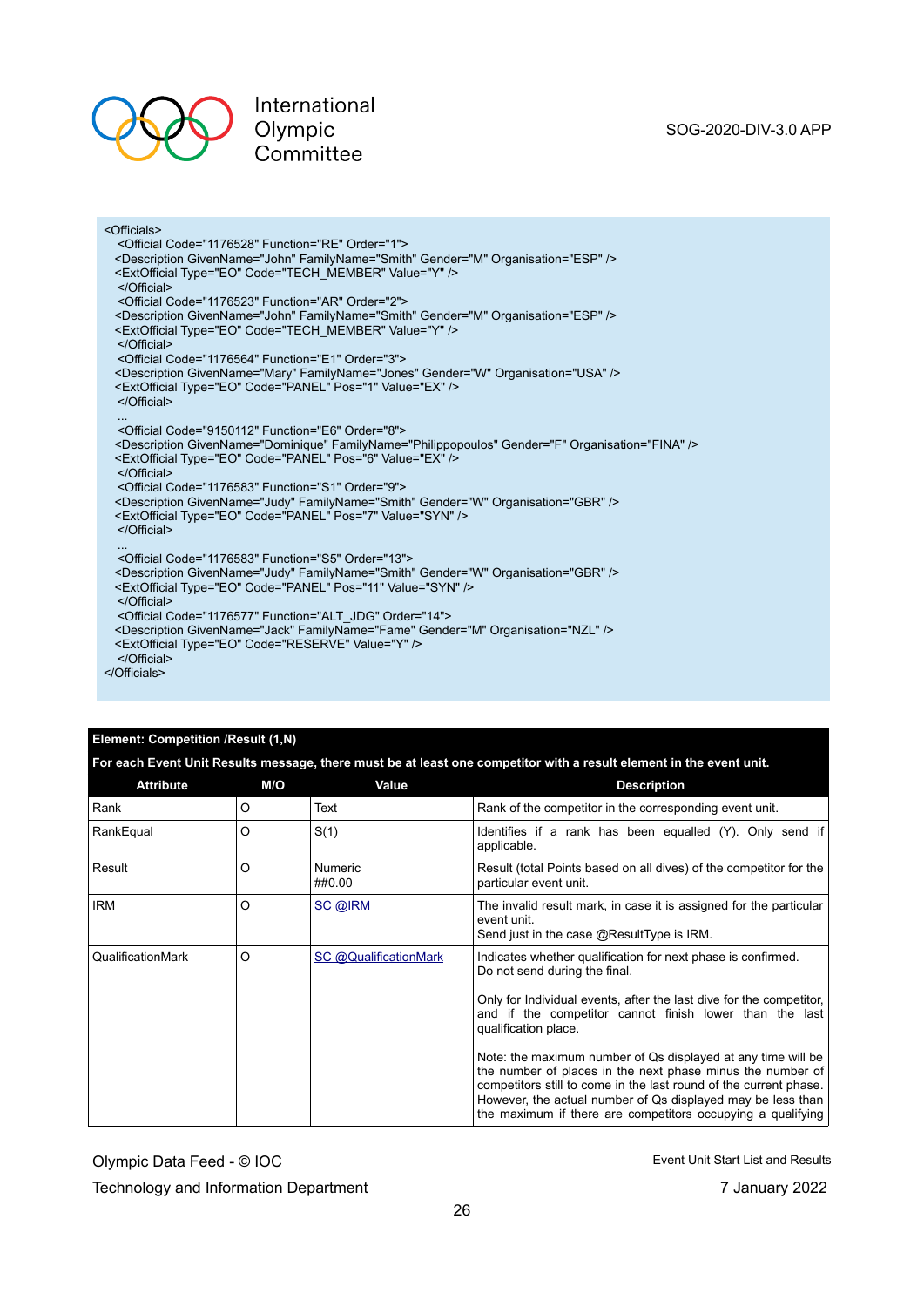

#### SOG-2020-DIV-3.0 APP

| <officials><br/><official code="1176528" function="RE" order="1"><br/><description familyname="Smith" gender="M" givenname="John" organisation="ESP"></description><br/><extofficial code="TECH MEMBER" type="EO" value="Y"></extofficial><br/></official><br/><official code="1176523" function="AR" order="2"><br/><description familyname="Smith" gender="M" givenname="John" organisation="ESP"></description><br/><extofficial code="TECH MEMBER" type="EO" value="Y"></extofficial><br/></official><br/><official code="1176564" function="E1" order="3"><br/><description familyname="Jones" gender="W" givenname="Mary" organisation="USA"></description><br/><extofficial code="PANEL" pos="1" type="EO" value="EX"></extofficial><br/><math>&lt;</math>/Official&gt;</official></officials> |
|-------------------------------------------------------------------------------------------------------------------------------------------------------------------------------------------------------------------------------------------------------------------------------------------------------------------------------------------------------------------------------------------------------------------------------------------------------------------------------------------------------------------------------------------------------------------------------------------------------------------------------------------------------------------------------------------------------------------------------------------------------------------------------------------------------|
| <official code="9150112" function="E6" order="8"><br/><description familyname="Philippopoulos" gender="F" givenname="Dominique" organisation="FINA"></description><br/><extofficial code="PANEL" pos="6" type="EO" value="EX"></extofficial><br/></official><br><official code="1176583" function="S1" order="9"><br/><description familyname="Smith" gender="W" givenname="Judy" organisation="GBR"></description><br/><extofficial code="PANEL" pos="7" type="EO" value="SYN"></extofficial><br/></official>                                                                                                                                                                                                                                                                                        |
| <official code="1176583" function="S5" order="13"><br/><description familyname="Smith" gender="W" givenname="Judy" organisation="GBR"></description><br/><extofficial code="PANEL" pos="11" type="EO" value="SYN"></extofficial><br/></official><br><official code="1176577" function="ALT JDG" order="14"><br/><description familyname="Fame" gender="M" givenname="Jack" organisation="NZL"></description><br/><extofficial code="RESERVE" type="EO" value="Y"></extofficial><br/></official>                                                                                                                                                                                                                                                                                                       |

</Officials>

#### <span id="page-25-0"></span>**Element: Competition /Result (1,N)**

#### **For each Event Unit Results message, there must be at least one competitor with a result element in the event unit.**

| <b>Attribute</b>  | M/O | Value                 | <b>Description</b>                                                                                                                                                                                                                                                                                                                                                                                                                                                                                                                                                                       |  |  |
|-------------------|-----|-----------------------|------------------------------------------------------------------------------------------------------------------------------------------------------------------------------------------------------------------------------------------------------------------------------------------------------------------------------------------------------------------------------------------------------------------------------------------------------------------------------------------------------------------------------------------------------------------------------------------|--|--|
| Rank              | O   | Text                  | Rank of the competitor in the corresponding event unit.                                                                                                                                                                                                                                                                                                                                                                                                                                                                                                                                  |  |  |
| RankEqual         | O   | S(1)                  | Identifies if a rank has been equalled (Y). Only send if<br>applicable.                                                                                                                                                                                                                                                                                                                                                                                                                                                                                                                  |  |  |
| Result            | O   | Numeric<br>##0.00     | Result (total Points based on all dives) of the competitor for the<br>particular event unit.                                                                                                                                                                                                                                                                                                                                                                                                                                                                                             |  |  |
| <b>IRM</b>        | O   | SC @IRM               | The invalid result mark, in case it is assigned for the particular<br>event unit.<br>Send just in the case @ResultType is IRM.                                                                                                                                                                                                                                                                                                                                                                                                                                                           |  |  |
| QualificationMark | O   | SC @QualificationMark | Indicates whether qualification for next phase is confirmed.<br>Do not send during the final.<br>Only for Individual events, after the last dive for the competitor,<br>and if the competitor cannot finish lower than the last<br>qualification place.<br>Note: the maximum number of Qs displayed at any time will be<br>the number of places in the next phase minus the number of<br>competitors still to come in the last round of the current phase.<br>However, the actual number of Qs displayed may be less than<br>the maximum if there are competitors occupying a qualifying |  |  |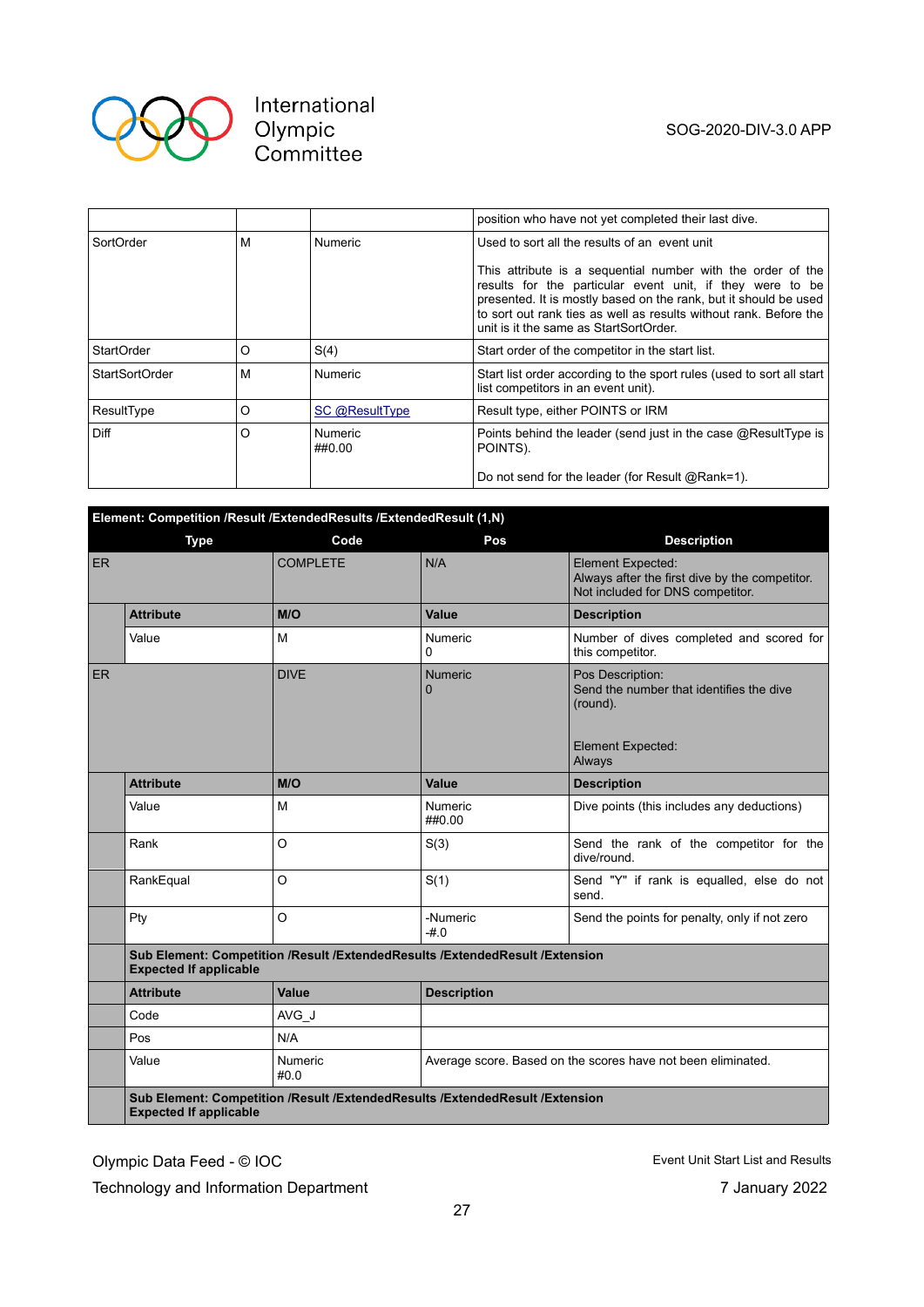

|                       |   |                          | position who have not yet completed their last dive.                                                                                                                                                                                                                                                        |
|-----------------------|---|--------------------------|-------------------------------------------------------------------------------------------------------------------------------------------------------------------------------------------------------------------------------------------------------------------------------------------------------------|
| SortOrder             | м | Numeric                  | Used to sort all the results of an event unit                                                                                                                                                                                                                                                               |
|                       |   |                          | This attribute is a sequential number with the order of the<br>results for the particular event unit, if they were to be<br>presented. It is mostly based on the rank, but it should be used<br>to sort out rank ties as well as results without rank. Before the<br>unit is it the same as StartSortOrder. |
| <b>StartOrder</b>     | O | S(4)                     | Start order of the competitor in the start list.                                                                                                                                                                                                                                                            |
| <b>StartSortOrder</b> | м | <b>Numeric</b>           | Start list order according to the sport rules (used to sort all start<br>list competitors in an event unit).                                                                                                                                                                                                |
| ResultType            | O | <b>SC @ResultType</b>    | Result type, either POINTS or IRM                                                                                                                                                                                                                                                                           |
| Diff                  | O | <b>Numeric</b><br>##0.00 | Points behind the leader (send just in the case @ResultType is<br>POINTS).                                                                                                                                                                                                                                  |
|                       |   |                          | Do not send for the leader (for Result @Rank=1).                                                                                                                                                                                                                                                            |

<span id="page-26-0"></span>

|           | Element: Competition /Result /ExtendedResults /ExtendedResult (1,N)                                           |                            |                                                                              |                                                                                                                |  |  |  |
|-----------|---------------------------------------------------------------------------------------------------------------|----------------------------|------------------------------------------------------------------------------|----------------------------------------------------------------------------------------------------------------|--|--|--|
|           | <b>Type</b>                                                                                                   | Code                       | Pos                                                                          | <b>Description</b>                                                                                             |  |  |  |
| <b>ER</b> |                                                                                                               | <b>COMPLETE</b>            | N/A                                                                          | <b>Element Expected:</b><br>Always after the first dive by the competitor.<br>Not included for DNS competitor. |  |  |  |
|           | <b>Attribute</b>                                                                                              | M/O                        | Value                                                                        | <b>Description</b>                                                                                             |  |  |  |
|           | Value                                                                                                         | M                          | <b>Numeric</b><br>0                                                          | Number of dives completed and scored for<br>this competitor.                                                   |  |  |  |
| ER.       |                                                                                                               | <b>DIVE</b>                | <b>Numeric</b><br>$\overline{0}$                                             | Pos Description:<br>Send the number that identifies the dive<br>(round).<br>Element Expected:<br>Always        |  |  |  |
|           | <b>Attribute</b>                                                                                              | M/O                        | Value                                                                        | <b>Description</b>                                                                                             |  |  |  |
|           | Value                                                                                                         | M                          | <b>Numeric</b><br>##0.00                                                     | Dive points (this includes any deductions)                                                                     |  |  |  |
|           | Rank                                                                                                          | $\Omega$                   | S(3)                                                                         | Send the rank of the competitor for the<br>dive/round.                                                         |  |  |  |
|           | RankEqual                                                                                                     | $\Omega$                   | S(1)                                                                         | Send "Y" if rank is equalled, else do not<br>send.                                                             |  |  |  |
|           | Pty                                                                                                           | $\Omega$                   | -Numeric<br>$-# 0$                                                           | Send the points for penalty, only if not zero                                                                  |  |  |  |
|           | <b>Expected If applicable</b>                                                                                 |                            | Sub Element: Competition /Result /ExtendedResults /ExtendedResult /Extension |                                                                                                                |  |  |  |
|           | <b>Attribute</b>                                                                                              | Value                      | <b>Description</b>                                                           |                                                                                                                |  |  |  |
|           | Code                                                                                                          | AVG J                      |                                                                              |                                                                                                                |  |  |  |
|           | Pos                                                                                                           | N/A                        |                                                                              |                                                                                                                |  |  |  |
|           | Value                                                                                                         | Numeric<br>#0 <sub>0</sub> |                                                                              | Average score. Based on the scores have not been eliminated.                                                   |  |  |  |
|           | Sub Element: Competition /Result /ExtendedResults /ExtendedResult /Extension<br><b>Expected If applicable</b> |                            |                                                                              |                                                                                                                |  |  |  |

Olympic Data Feed - © IOC **Example 2018** Event Unit Start List and Results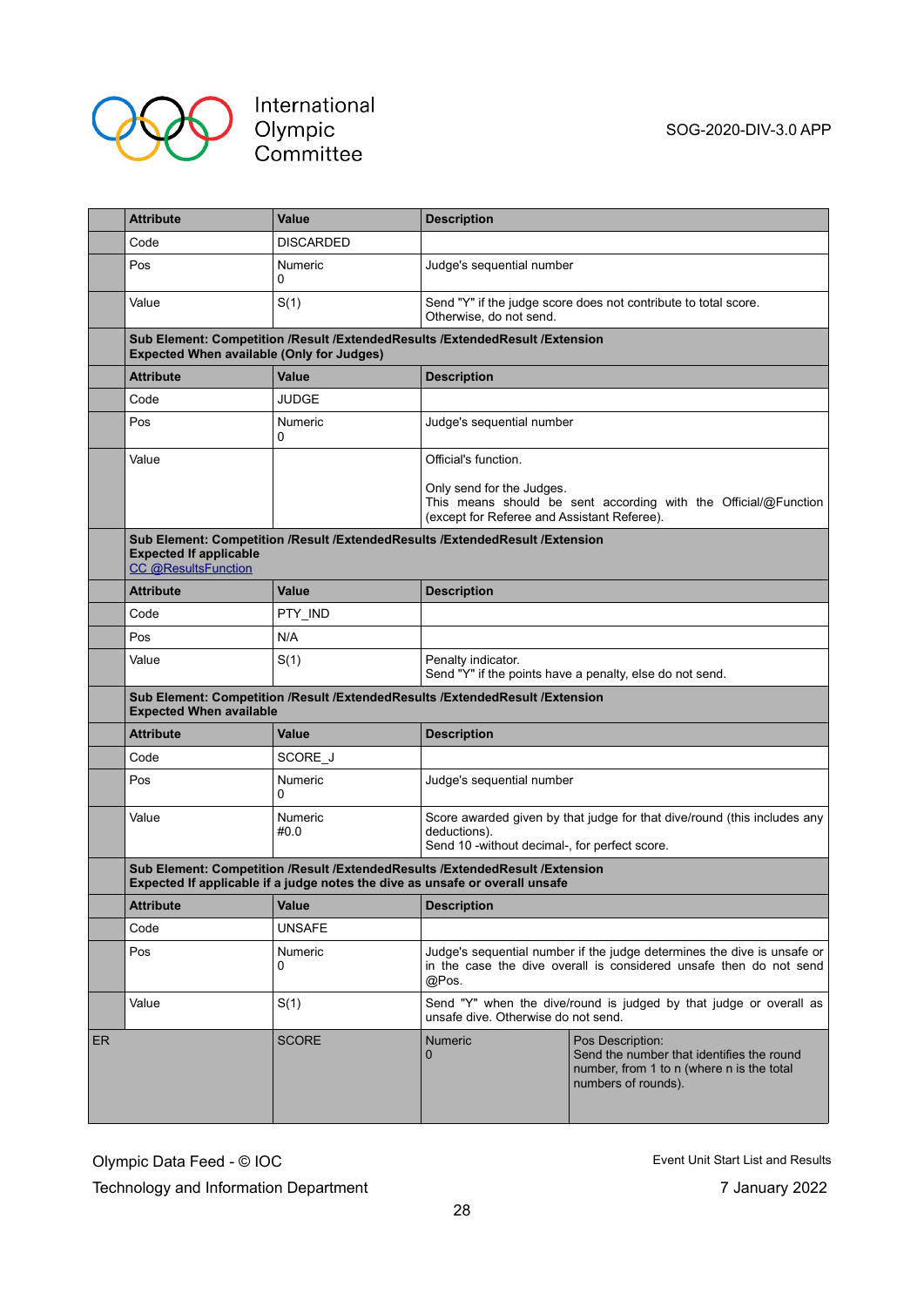

|                                                                                                 | <b>Attribute</b>                                                                                                                     | Value                                                                                  | <b>Description</b>                                                                                                                                           |                                                                          |  |
|-------------------------------------------------------------------------------------------------|--------------------------------------------------------------------------------------------------------------------------------------|----------------------------------------------------------------------------------------|--------------------------------------------------------------------------------------------------------------------------------------------------------------|--------------------------------------------------------------------------|--|
|                                                                                                 | Code                                                                                                                                 | <b>DISCARDED</b>                                                                       |                                                                                                                                                              |                                                                          |  |
|                                                                                                 | Pos                                                                                                                                  | Numeric<br>0                                                                           | Judge's sequential number                                                                                                                                    |                                                                          |  |
|                                                                                                 | Value                                                                                                                                | S(1)                                                                                   | Send "Y" if the judge score does not contribute to total score.<br>Otherwise, do not send.                                                                   |                                                                          |  |
|                                                                                                 | Sub Element: Competition /Result /ExtendedResults /ExtendedResult /Extension<br><b>Expected When available (Only for Judges)</b>     |                                                                                        |                                                                                                                                                              |                                                                          |  |
|                                                                                                 | <b>Attribute</b>                                                                                                                     | <b>Value</b>                                                                           | <b>Description</b>                                                                                                                                           |                                                                          |  |
|                                                                                                 | Code                                                                                                                                 | JUDGE                                                                                  |                                                                                                                                                              |                                                                          |  |
|                                                                                                 | Pos                                                                                                                                  | Numeric<br>0                                                                           | Judge's sequential number                                                                                                                                    |                                                                          |  |
|                                                                                                 | Value                                                                                                                                |                                                                                        | Official's function.                                                                                                                                         |                                                                          |  |
|                                                                                                 |                                                                                                                                      |                                                                                        | Only send for the Judges.<br>This means should be sent according with the Official/@Function<br>(except for Referee and Assistant Referee).                  |                                                                          |  |
|                                                                                                 | Sub Element: Competition /Result /ExtendedResults /ExtendedResult /Extension<br><b>Expected If applicable</b><br>CC @ResultsFunction |                                                                                        |                                                                                                                                                              |                                                                          |  |
|                                                                                                 | <b>Attribute</b>                                                                                                                     | <b>Value</b>                                                                           | <b>Description</b>                                                                                                                                           |                                                                          |  |
| Code<br>PTY_IND                                                                                 |                                                                                                                                      |                                                                                        |                                                                                                                                                              |                                                                          |  |
|                                                                                                 | Pos                                                                                                                                  | N/A                                                                                    |                                                                                                                                                              |                                                                          |  |
|                                                                                                 | Value                                                                                                                                | S(1)                                                                                   | Penalty indicator.                                                                                                                                           | Send "Y" if the points have a penalty, else do not send.                 |  |
|                                                                                                 | <b>Expected When available</b>                                                                                                       |                                                                                        | Sub Element: Competition /Result /ExtendedResults /ExtendedResult /Extension                                                                                 |                                                                          |  |
|                                                                                                 | <b>Attribute</b>                                                                                                                     | <b>Value</b>                                                                           | <b>Description</b>                                                                                                                                           |                                                                          |  |
|                                                                                                 | Code                                                                                                                                 | SCORE J                                                                                |                                                                                                                                                              |                                                                          |  |
|                                                                                                 | Pos                                                                                                                                  | Numeric<br>0                                                                           | Judge's sequential number                                                                                                                                    |                                                                          |  |
|                                                                                                 | Value                                                                                                                                | Numeric<br>#0.0                                                                        | deductions).<br>Send 10 -without decimal-, for perfect score.                                                                                                | Score awarded given by that judge for that dive/round (this includes any |  |
|                                                                                                 |                                                                                                                                      |                                                                                        | Sub Element: Competition /Result /ExtendedResults /ExtendedResult /Extension<br>Expected If applicable if a judge notes the dive as unsafe or overall unsafe |                                                                          |  |
|                                                                                                 | <b>Attribute</b>                                                                                                                     | $\sqrt{\frac{1}{2}}$ Value                                                             | Description                                                                                                                                                  |                                                                          |  |
|                                                                                                 | Code                                                                                                                                 | <b>UNSAFE</b>                                                                          |                                                                                                                                                              |                                                                          |  |
|                                                                                                 | Pos                                                                                                                                  | Numeric<br>0                                                                           | Judge's sequential number if the judge determines the dive is unsafe or<br>in the case the dive overall is considered unsafe then do not send<br>@Pos.       |                                                                          |  |
|                                                                                                 | Value                                                                                                                                | S(1)                                                                                   | Send "Y" when the dive/round is judged by that judge or overall as<br>unsafe dive. Otherwise do not send.                                                    |                                                                          |  |
| <b>SCORE</b><br><b>Numeric</b><br>Pos Description:<br>ER<br>$\mathbf{0}$<br>numbers of rounds). |                                                                                                                                      | Send the number that identifies the round<br>number, from 1 to n (where n is the total |                                                                                                                                                              |                                                                          |  |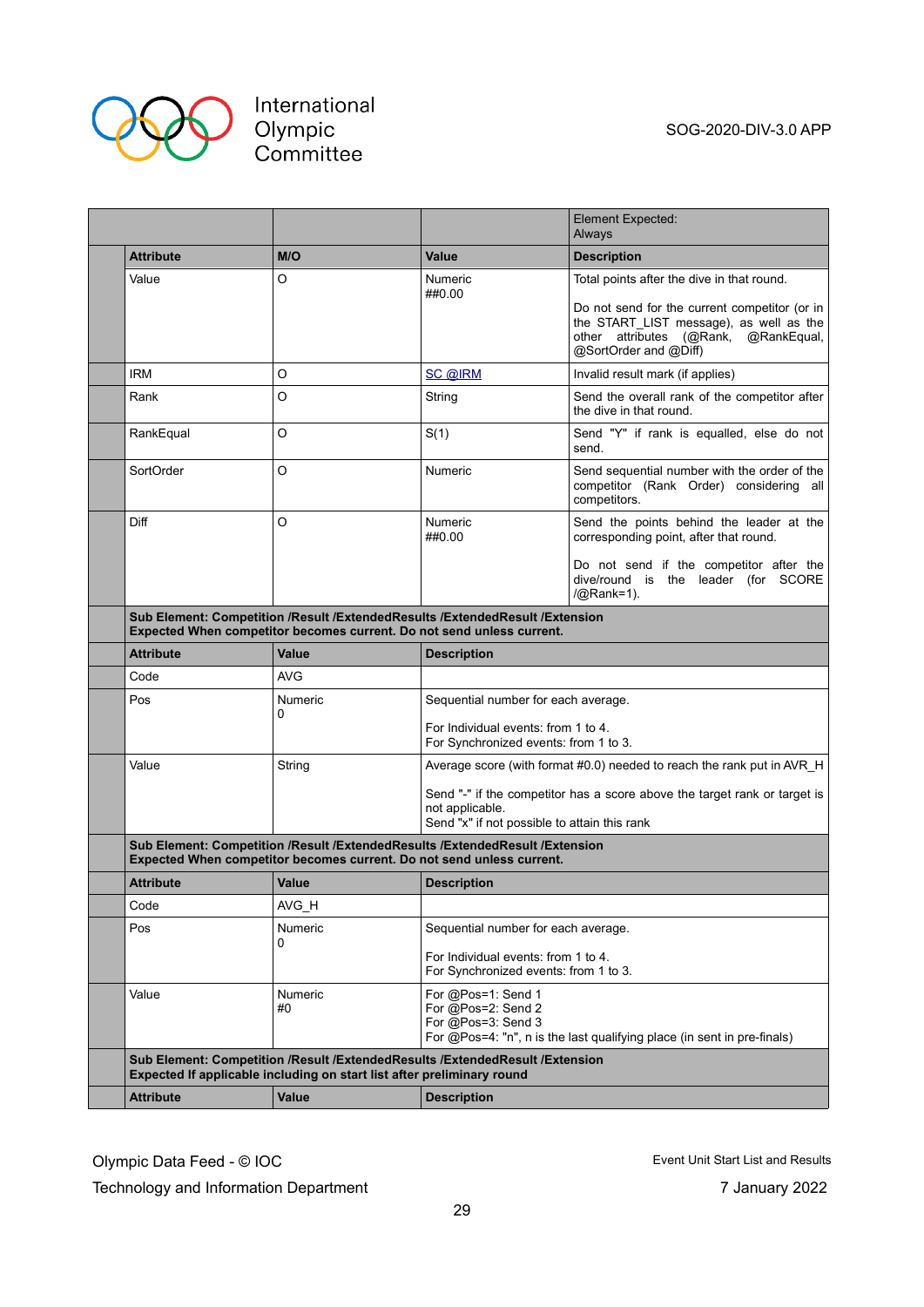

|                                                                                                                                                       |                                                                                                                                                        |                                                                                                                                              | <b>Element Expected:</b><br>Always                                                                                                                                                                      |
|-------------------------------------------------------------------------------------------------------------------------------------------------------|--------------------------------------------------------------------------------------------------------------------------------------------------------|----------------------------------------------------------------------------------------------------------------------------------------------|---------------------------------------------------------------------------------------------------------------------------------------------------------------------------------------------------------|
| <b>Attribute</b>                                                                                                                                      | M/O                                                                                                                                                    | Value                                                                                                                                        | <b>Description</b>                                                                                                                                                                                      |
| Value                                                                                                                                                 | O                                                                                                                                                      | <b>Numeric</b><br>##0.00                                                                                                                     | Total points after the dive in that round.<br>Do not send for the current competitor (or in<br>the START_LIST message), as well as the<br>other attributes (@Rank, @RankEqual,<br>@SortOrder and @Diff) |
| <b>IRM</b>                                                                                                                                            | O                                                                                                                                                      | SC @IRM                                                                                                                                      | Invalid result mark (if applies)                                                                                                                                                                        |
| Rank                                                                                                                                                  | O                                                                                                                                                      | String                                                                                                                                       | Send the overall rank of the competitor after<br>the dive in that round.                                                                                                                                |
| RankEqual                                                                                                                                             | O                                                                                                                                                      | S(1)                                                                                                                                         | Send "Y" if rank is equalled, else do not<br>send.                                                                                                                                                      |
| SortOrder                                                                                                                                             | O                                                                                                                                                      | <b>Numeric</b>                                                                                                                               | Send sequential number with the order of the<br>competitor (Rank Order) considering all<br>competitors.                                                                                                 |
| Diff                                                                                                                                                  | O                                                                                                                                                      | <b>Numeric</b><br>##0.00                                                                                                                     | Send the points behind the leader at the<br>corresponding point, after that round.                                                                                                                      |
|                                                                                                                                                       |                                                                                                                                                        |                                                                                                                                              | Do not send if the competitor after the<br>dive/round is the leader (for SCORE<br>/@Rank=1).                                                                                                            |
| Sub Element: Competition /Result /ExtendedResults /ExtendedResult /Extension<br>Expected When competitor becomes current. Do not send unless current. |                                                                                                                                                        |                                                                                                                                              |                                                                                                                                                                                                         |
| <b>Attribute</b>                                                                                                                                      | <b>Value</b>                                                                                                                                           | <b>Description</b>                                                                                                                           |                                                                                                                                                                                                         |
| Code                                                                                                                                                  | <b>AVG</b>                                                                                                                                             |                                                                                                                                              |                                                                                                                                                                                                         |
| Pos                                                                                                                                                   | Numeric<br>0                                                                                                                                           | Sequential number for each average.<br>For Individual events: from 1 to 4.<br>For Synchronized events: from 1 to 3.                          |                                                                                                                                                                                                         |
| Value                                                                                                                                                 | String                                                                                                                                                 |                                                                                                                                              | Average score (with format #0.0) needed to reach the rank put in AVR H                                                                                                                                  |
|                                                                                                                                                       |                                                                                                                                                        | Send "-" if the competitor has a score above the target rank or target is<br>not applicable.<br>Send "x" if not possible to attain this rank |                                                                                                                                                                                                         |
|                                                                                                                                                       | Sub Element: Competition /Result /ExtendedResults /ExtendedResult /Extension<br>Expected When competitor becomes current. Do not send unless current.  |                                                                                                                                              |                                                                                                                                                                                                         |
| <b>Attribute</b>                                                                                                                                      | Value                                                                                                                                                  | <b>Description</b>                                                                                                                           |                                                                                                                                                                                                         |
| Code                                                                                                                                                  | AVG_H                                                                                                                                                  |                                                                                                                                              |                                                                                                                                                                                                         |
| Pos                                                                                                                                                   | Numeric<br>0                                                                                                                                           | Sequential number for each average.                                                                                                          |                                                                                                                                                                                                         |
|                                                                                                                                                       |                                                                                                                                                        | For Individual events: from 1 to 4.<br>For Synchronized events: from 1 to 3.                                                                 |                                                                                                                                                                                                         |
| Value                                                                                                                                                 | Numeric<br>#0                                                                                                                                          | For @Pos=1: Send 1<br>For @Pos=2: Send 2<br>For @Pos=3: Send 3                                                                               | For $@Pos=4$ : "n", n is the last qualifying place (in sent in pre-finals)                                                                                                                              |
|                                                                                                                                                       | Sub Element: Competition /Result /ExtendedResults /ExtendedResult /Extension<br>Expected If applicable including on start list after preliminary round |                                                                                                                                              |                                                                                                                                                                                                         |
| <b>Attribute</b>                                                                                                                                      | <b>Value</b>                                                                                                                                           | <b>Description</b>                                                                                                                           |                                                                                                                                                                                                         |

Olympic Data Feed - © IOC **Example 2018** Event Unit Start List and Results Technology and Information Department 7 January 2022

29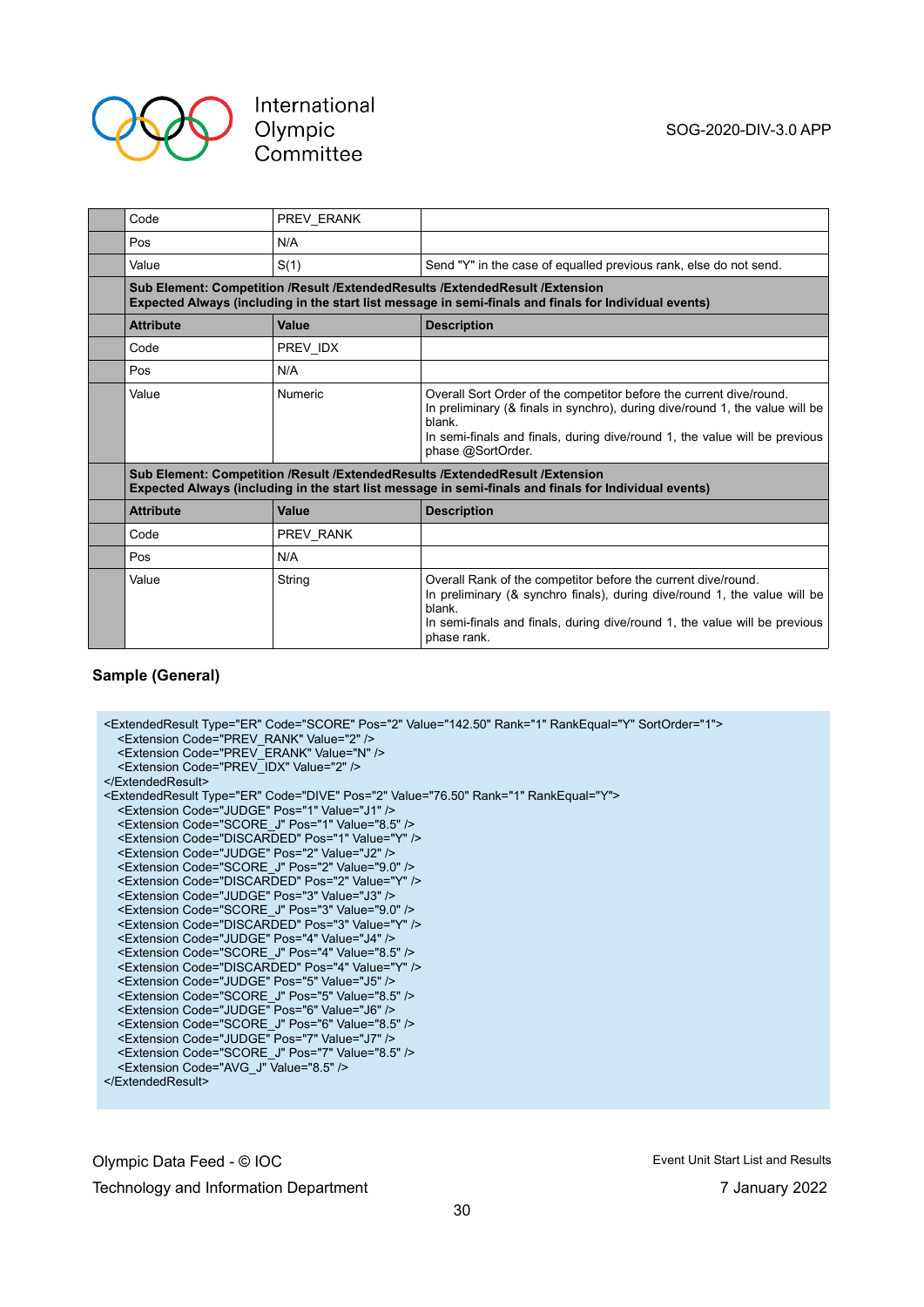

| Code                                                                                                                                                                                        | PREV ERANK     |                                                                                                                                                                                                                                                                  |  |
|---------------------------------------------------------------------------------------------------------------------------------------------------------------------------------------------|----------------|------------------------------------------------------------------------------------------------------------------------------------------------------------------------------------------------------------------------------------------------------------------|--|
| Pos                                                                                                                                                                                         | N/A            |                                                                                                                                                                                                                                                                  |  |
| Value                                                                                                                                                                                       | S(1)           | Send "Y" in the case of equalled previous rank, else do not send.                                                                                                                                                                                                |  |
| Sub Element: Competition / Result / Extended Results / Extended Result / Extension<br>Expected Always (including in the start list message in semi-finals and finals for Individual events) |                |                                                                                                                                                                                                                                                                  |  |
| <b>Attribute</b>                                                                                                                                                                            | Value          | <b>Description</b>                                                                                                                                                                                                                                               |  |
| Code                                                                                                                                                                                        | PREV IDX       |                                                                                                                                                                                                                                                                  |  |
| Pos                                                                                                                                                                                         | N/A            |                                                                                                                                                                                                                                                                  |  |
| Value                                                                                                                                                                                       | <b>Numeric</b> | Overall Sort Order of the competitor before the current dive/round.<br>In preliminary (& finals in synchro), during dive/round 1, the value will be<br>blank.<br>In semi-finals and finals, during dive/round 1, the value will be previous<br>phase @SortOrder. |  |
| Sub Element: Competition / Result / Extended Results / Extended Result / Extension<br>Expected Always (including in the start list message in semi-finals and finals for Individual events) |                |                                                                                                                                                                                                                                                                  |  |
| <b>Attribute</b>                                                                                                                                                                            | Value          | <b>Description</b>                                                                                                                                                                                                                                               |  |
| Code                                                                                                                                                                                        | PREV RANK      |                                                                                                                                                                                                                                                                  |  |
| Pos                                                                                                                                                                                         | N/A            |                                                                                                                                                                                                                                                                  |  |
| Value                                                                                                                                                                                       | String         | Overall Rank of the competitor before the current dive/round.<br>In preliminary (& synchro finals), during dive/round 1, the value will be<br>blank.<br>In semi-finals and finals, during dive/round 1, the value will be previous<br>phase rank.                |  |

#### **Sample (General)**

<ExtendedResult Type="ER" Code="SCORE" Pos="2" Value="142.50" Rank="1" RankEqual="Y" SortOrder="1">

<Extension Code="PREV\_RANK" Value="2" />

<Extension Code="PREV\_ERANK" Value="N" />

<Extension Code="PREV\_IDX" Value="2" />

</ExtendedResult>

<ExtendedResult Type="ER" Code="DIVE" Pos="2" Value="76.50" Rank="1" RankEqual="Y">

- <Extension Code="JUDGE" Pos="1" Value="J1" />
- <Extension Code="SCORE\_J" Pos="1" Value="8.5" />
- <Extension Code="DISCARDED" Pos="1" Value="Y" />

<Extension Code="JUDGE" Pos="2" Value="J2" />

<Extension Code="SCORE\_J" Pos="2" Value="9.0" />

<Extension Code="DISCARDED" Pos="2" Value="Y" />

<Extension Code="JUDGE" Pos="3" Value="J3" />

<Extension Code="SCORE\_J" Pos="3" Value="9.0" />

- <Extension Code="DISCARDED" Pos="3" Value="Y" />
- <Extension Code="JUDGE" Pos="4" Value="J4" />

<Extension Code="SCORE\_J" Pos="4" Value="8.5" />

<Extension Code="DISCARDED" Pos="4" Value="Y" />

<Extension Code="JUDGE" Pos="5" Value="J5" />

```
 <Extension Code="SCORE_J" Pos="5" Value="8.5" />
```
 <Extension Code="JUDGE" Pos="6" Value="J6" /> <Extension Code="SCORE\_J" Pos="6" Value="8.5" />

<Extension Code="JUDGE" Pos="7" Value="J7" />

- <Extension Code="SCORE\_J" Pos="7" Value="8.5" />
- <Extension Code="AVG\_J" Value="8.5" />

<sup>&</sup>lt;/ExtendedResult>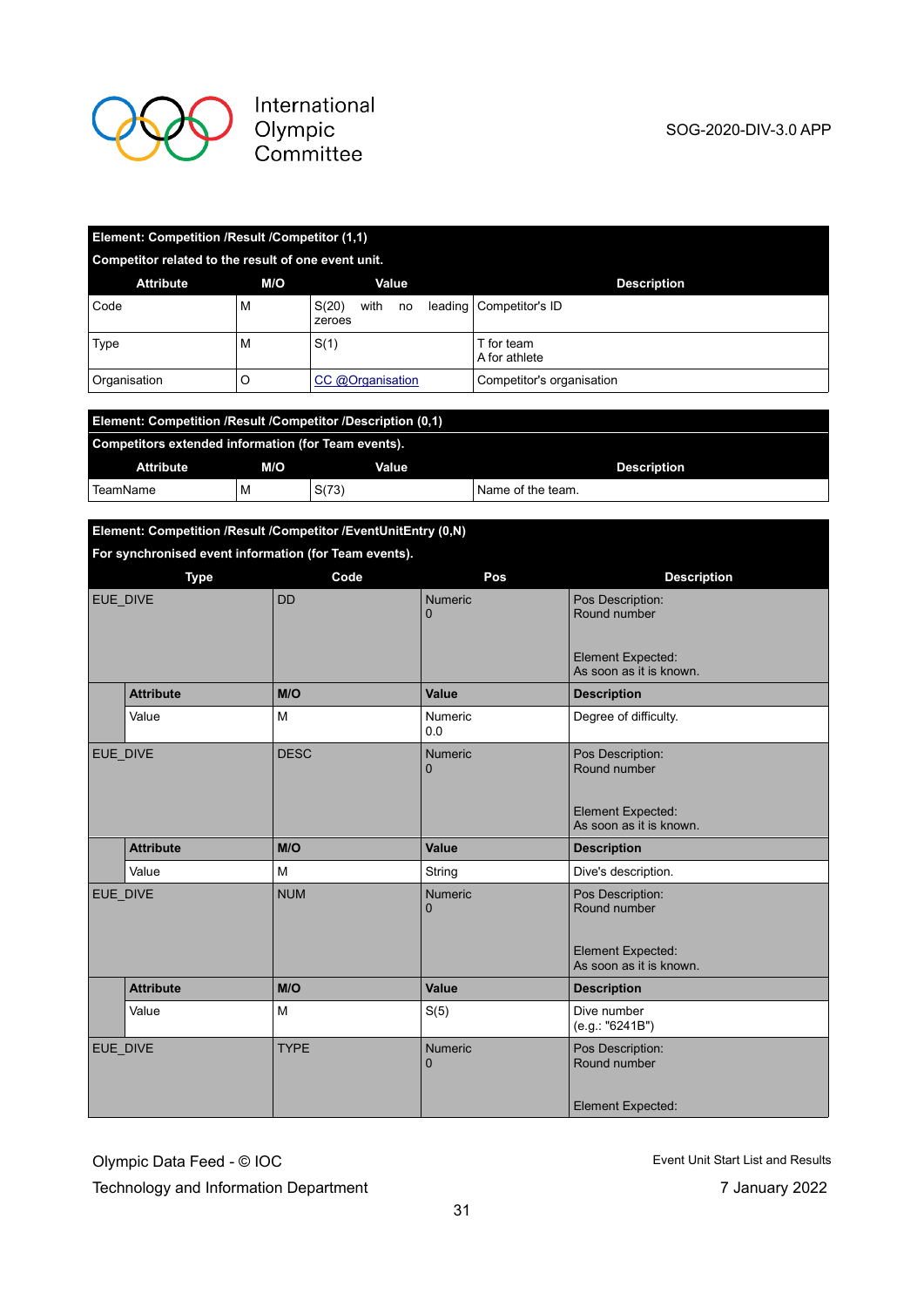

<span id="page-30-2"></span><span id="page-30-1"></span><span id="page-30-0"></span>

| Element: Competition /Result /Competitor (1,1)      |                                                                |             |                               |                                |                             |                                                                                  |
|-----------------------------------------------------|----------------------------------------------------------------|-------------|-------------------------------|--------------------------------|-----------------------------|----------------------------------------------------------------------------------|
| Competitor related to the result of one event unit. |                                                                |             |                               |                                |                             |                                                                                  |
|                                                     | <b>Attribute</b>                                               | M/O         | Value                         |                                |                             | <b>Description</b>                                                               |
| Code                                                |                                                                | M           | S(20)<br>with<br>no<br>zeroes | leading                        | Competitor's ID             |                                                                                  |
| Type                                                |                                                                | M           | S(1)                          |                                | T for team<br>A for athlete |                                                                                  |
|                                                     | Organisation                                                   | O           | CC @Organisation              |                                | Competitor's organisation   |                                                                                  |
|                                                     |                                                                |             |                               |                                |                             |                                                                                  |
|                                                     | Element: Competition /Result /Competitor /Description (0,1)    |             |                               |                                |                             |                                                                                  |
|                                                     | Competitors extended information (for Team events).            |             |                               |                                |                             |                                                                                  |
| TeamName                                            | <b>Attribute</b>                                               | M/O<br>M    | Value                         |                                | Name of the team.           | <b>Description</b>                                                               |
|                                                     |                                                                |             | S(73)                         |                                |                             |                                                                                  |
|                                                     | Element: Competition /Result /Competitor /EventUnitEntry (0,N) |             |                               |                                |                             |                                                                                  |
|                                                     | For synchronised event information (for Team events).          |             |                               |                                |                             |                                                                                  |
|                                                     | <b>Type</b>                                                    |             | Code                          |                                | Pos                         | <b>Description</b>                                                               |
| EUE_DIVE                                            |                                                                | <b>DD</b>   |                               | <b>Numeric</b>                 |                             | Pos Description:<br>Round number                                                 |
|                                                     |                                                                |             |                               | $\overline{0}$                 |                             |                                                                                  |
|                                                     |                                                                |             |                               |                                |                             | <b>Element Expected:</b>                                                         |
|                                                     |                                                                |             |                               |                                |                             | As soon as it is known.                                                          |
|                                                     | <b>Attribute</b>                                               | M/O         |                               | <b>Value</b>                   |                             | <b>Description</b>                                                               |
|                                                     | Value                                                          | M           |                               | <b>Numeric</b><br>0.0          |                             | Degree of difficulty.                                                            |
| EUE_DIVE                                            |                                                                | <b>DESC</b> |                               | <b>Numeric</b><br>$\mathbf{0}$ |                             | Pos Description:<br>Round number                                                 |
|                                                     |                                                                |             |                               |                                |                             | Element Expected:<br>As soon as it is known.                                     |
|                                                     | <b>Attribute</b>                                               | M/O         |                               | <b>Value</b>                   |                             | <b>Description</b>                                                               |
|                                                     | Value                                                          | M           |                               | String                         |                             | Dive's description.                                                              |
| EUE_DIVE                                            |                                                                | <b>NUM</b>  |                               | <b>Numeric</b><br>$\mathbf{0}$ |                             | Pos Description:<br>Round number<br>Element Expected:<br>As soon as it is known. |
|                                                     | <b>Attribute</b>                                               | M/O         |                               | <b>Value</b>                   |                             | <b>Description</b>                                                               |
|                                                     | Value                                                          | м           |                               | S(5)                           |                             | Dive number<br>(e.g.: "6241B")                                                   |
| EUE DIVE                                            |                                                                | <b>TYPE</b> |                               | Numeric<br>0                   |                             | Pos Description:<br>Round number<br>Element Expected:                            |

Olympic Data Feed - © IOC **Example 2018** Event Unit Start List and Results Technology and Information Department 7 January 2022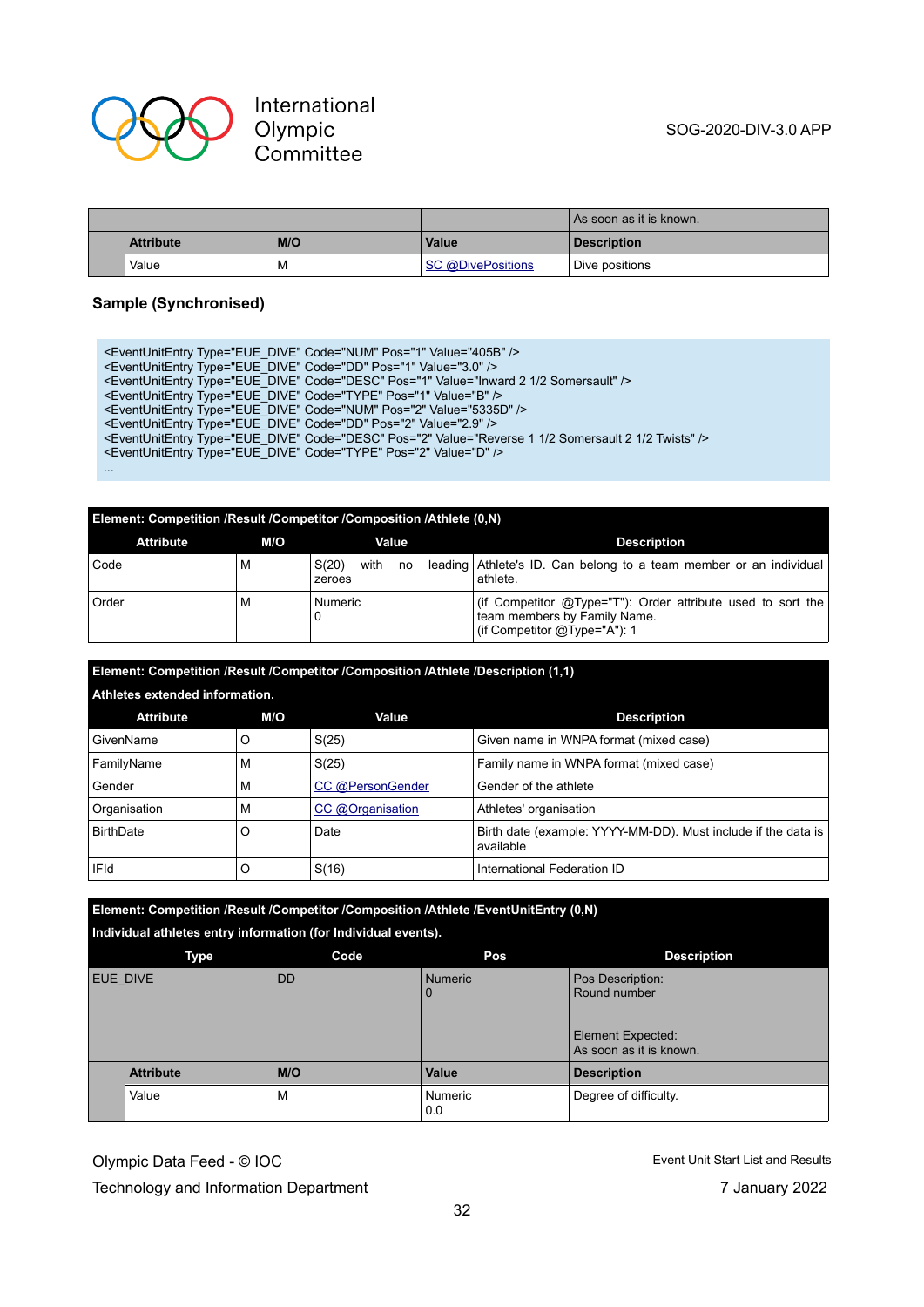

|  |                  |     |                          | As soon as it is known. |
|--|------------------|-----|--------------------------|-------------------------|
|  | <b>Attribute</b> | M/O | <b>Value</b>             | Description             |
|  | Value            | M   | <b>SC @DivePositions</b> | Dive positions          |

#### **Sample (Synchronised)**

| <eventunitentry code="NUM" pos="1" type="EUE DIVE" value="405B"></eventunitentry>                                   |
|---------------------------------------------------------------------------------------------------------------------|
| <eventunitentry code="DD" pos="1" type="EUE DIVE" value="3.0"></eventunitentry>                                     |
| <eventunitentry code="DESC" pos="1" type="EUE DIVE" value="Inward 2 1/2 Somersault"></eventunitentry>               |
| <eventunitentry code="TYPE" pos="1" type="EUE DIVE" value="B"></eventunitentry>                                     |
| <eventunitentry code="NUM" pos="2" type="EUE DIVE" value="5335D"></eventunitentry>                                  |
| <eventunitentry code="DD" pos="2" type="EUE DIVE" value="2.9"></eventunitentry>                                     |
| <eventunitentry code="DESC" pos="2" type="EUE DIVE" value="Reverse 1 1/2 Somersault 2 1/2 Twists"></eventunitentry> |
| <eventunitentry code="TYPE" pos="2" type="EUE DIVE" value="D"></eventunitentry>                                     |
| $\cdots$                                                                                                            |
|                                                                                                                     |

<span id="page-31-2"></span>

| <b>Element: Competition /Result /Competitor /Composition /Athlete (0.N)</b> |     |                               |                                                                                                                                   |  |  |
|-----------------------------------------------------------------------------|-----|-------------------------------|-----------------------------------------------------------------------------------------------------------------------------------|--|--|
| <b>Attribute</b>                                                            | M/O | Value                         | <b>Description</b>                                                                                                                |  |  |
| Code                                                                        | м   | S(20)<br>with<br>no<br>zeroes | leading Athlete's ID. Can belong to a team member or an individual<br>athlete.                                                    |  |  |
| Order                                                                       | M   | Numeric<br>0                  | (if Competitor $@Type="T"$ ): Order attribute used to sort the<br>team members by Family Name.<br>(if Competitor $@Type="A"$ ): 1 |  |  |

<span id="page-31-1"></span>

| Element: Competition /Result /Competitor /Composition /Athlete /Description (1,1) |     |                  |                                                                            |  |  |  |
|-----------------------------------------------------------------------------------|-----|------------------|----------------------------------------------------------------------------|--|--|--|
| Athletes extended information.                                                    |     |                  |                                                                            |  |  |  |
| <b>Attribute</b>                                                                  | M/O | Value            | <b>Description</b>                                                         |  |  |  |
| GivenName                                                                         | O   | S(25)            | Given name in WNPA format (mixed case)                                     |  |  |  |
| FamilyName                                                                        | м   | S(25)            | Family name in WNPA format (mixed case)                                    |  |  |  |
| Gender                                                                            | м   | CC @PersonGender | Gender of the athlete                                                      |  |  |  |
| Organisation                                                                      | м   | CC @Organisation | Athletes' organisation                                                     |  |  |  |
| <b>BirthDate</b>                                                                  | O   | Date             | Birth date (example: YYYY-MM-DD). Must include if the data is<br>available |  |  |  |
| <b>IFId</b>                                                                       | O   | S(16)            | International Federation ID                                                |  |  |  |

<span id="page-31-0"></span>**Element: Competition /Result /Competitor /Composition /Athlete /EventUnitEntry (0,N) Individual athletes entry information (for Individual events). Type Code Pos Description** EUE\_DIVE DD Numeric 0 Pos Description: Round number Element Expected: As soon as it is known. **Attribute M/O Value Description** Value M M Numeric 0.0 Degree of difficulty.

Olympic Data Feed - © IOC **Example 2018** Event Unit Start List and Results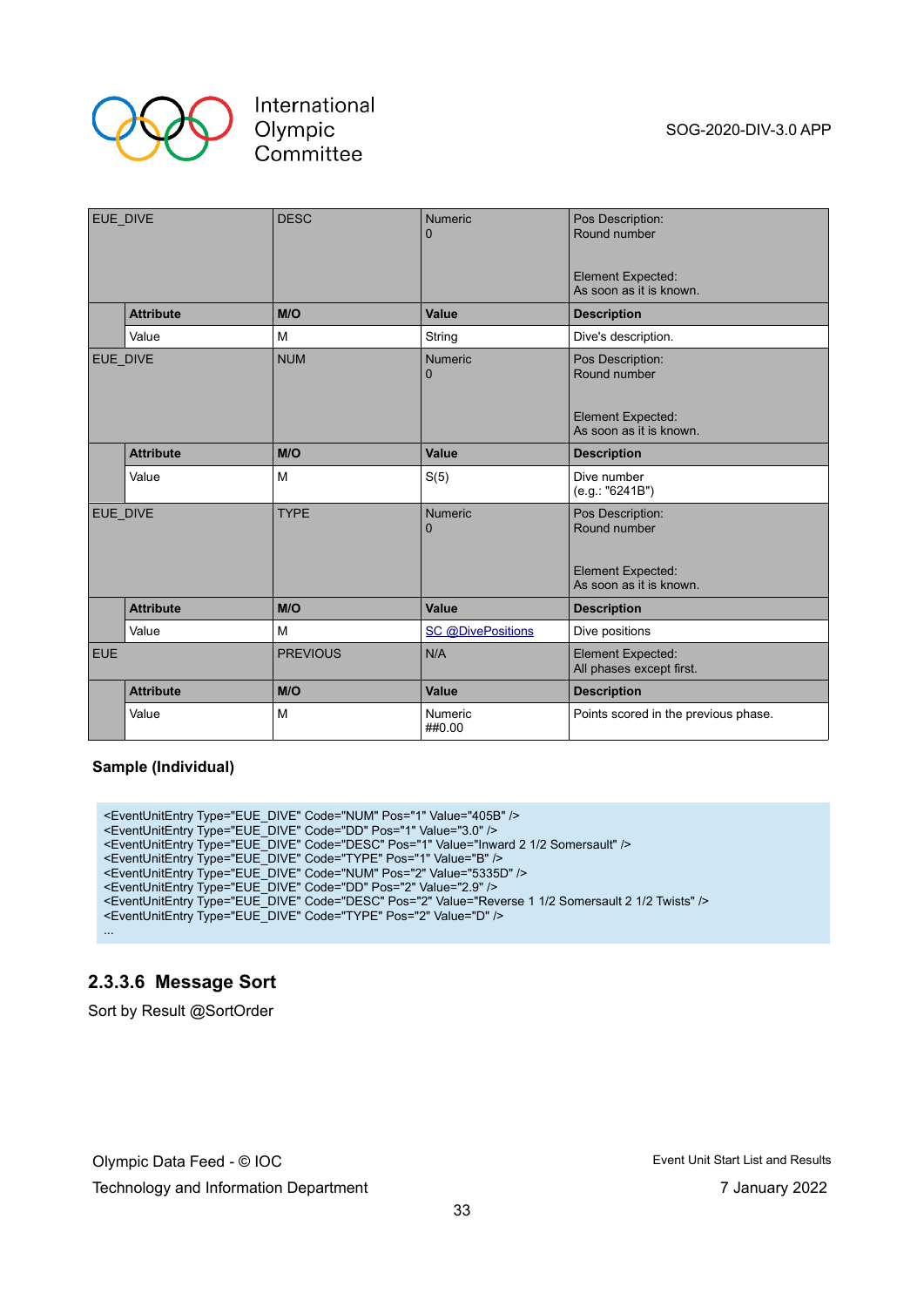

| EUE DIVE   |                  | <b>DESC</b>     | <b>Numeric</b><br>$\Omega$ | Pos Description:<br>Round number<br><b>Element Expected:</b><br>As soon as it is known. |
|------------|------------------|-----------------|----------------------------|-----------------------------------------------------------------------------------------|
|            |                  |                 |                            |                                                                                         |
|            | <b>Attribute</b> | M/O             | Value                      | <b>Description</b>                                                                      |
|            | Value            | M               | String                     | Dive's description.                                                                     |
| EUE_DIVE   |                  | <b>NUM</b>      | <b>Numeric</b><br>$\Omega$ | Pos Description:<br>Round number<br><b>Element Expected:</b>                            |
|            |                  |                 |                            | As soon as it is known.                                                                 |
|            | <b>Attribute</b> | M/O             | Value                      | <b>Description</b>                                                                      |
|            | Value            | M               | S(5)                       | Dive number<br>(e.g.: "6241B")                                                          |
| EUE_DIVE   |                  | <b>TYPE</b>     | <b>Numeric</b><br>$\Omega$ | Pos Description:<br>Round number<br><b>Element Expected:</b><br>As soon as it is known. |
|            | <b>Attribute</b> | M/O             | Value                      | <b>Description</b>                                                                      |
|            | Value            | M               | <b>SC @DivePositions</b>   | Dive positions                                                                          |
| <b>EUE</b> |                  | <b>PREVIOUS</b> | N/A                        | <b>Element Expected:</b><br>All phases except first.                                    |
|            | <b>Attribute</b> | M/O             | <b>Value</b>               | <b>Description</b>                                                                      |
|            | Value            | M               | Numeric<br>##0.00          | Points scored in the previous phase.                                                    |

 **Sample (Individual)** 

```
<EventUnitEntry Type="EUE_DIVE" Code="NUM" Pos="1" Value="405B" />
<EventUnitEntry Type="EUE_DIVE" Code="DD" Pos="1" Value="3.0" />
<EventUnitEntry Type="EUE_DIVE" Code="DESC" Pos="1" Value="Inward 2 1/2 Somersault" /> 
<EventUnitEntry Type="EUE_DIVE" Code="TYPE" Pos="1" Value="B" />
<EventUnitEntry Type="EUE_DIVE" Code="NUM" Pos="2" Value="5335D" />
<EventUnitEntry Type="EUE_DIVE" Code="DD" Pos="2" Value="2.9" />
<EventUnitEntry Type="EUE_DIVE" Code="DESC" Pos="2" Value="Reverse 1 1/2 Somersault 2 1/2 Twists" />
<EventUnitEntry Type="EUE_DIVE" Code="TYPE" Pos="2" Value="D" />
...
```
33

### <span id="page-32-0"></span>**2.3.3.6 Message Sort**

Sort by Result @SortOrder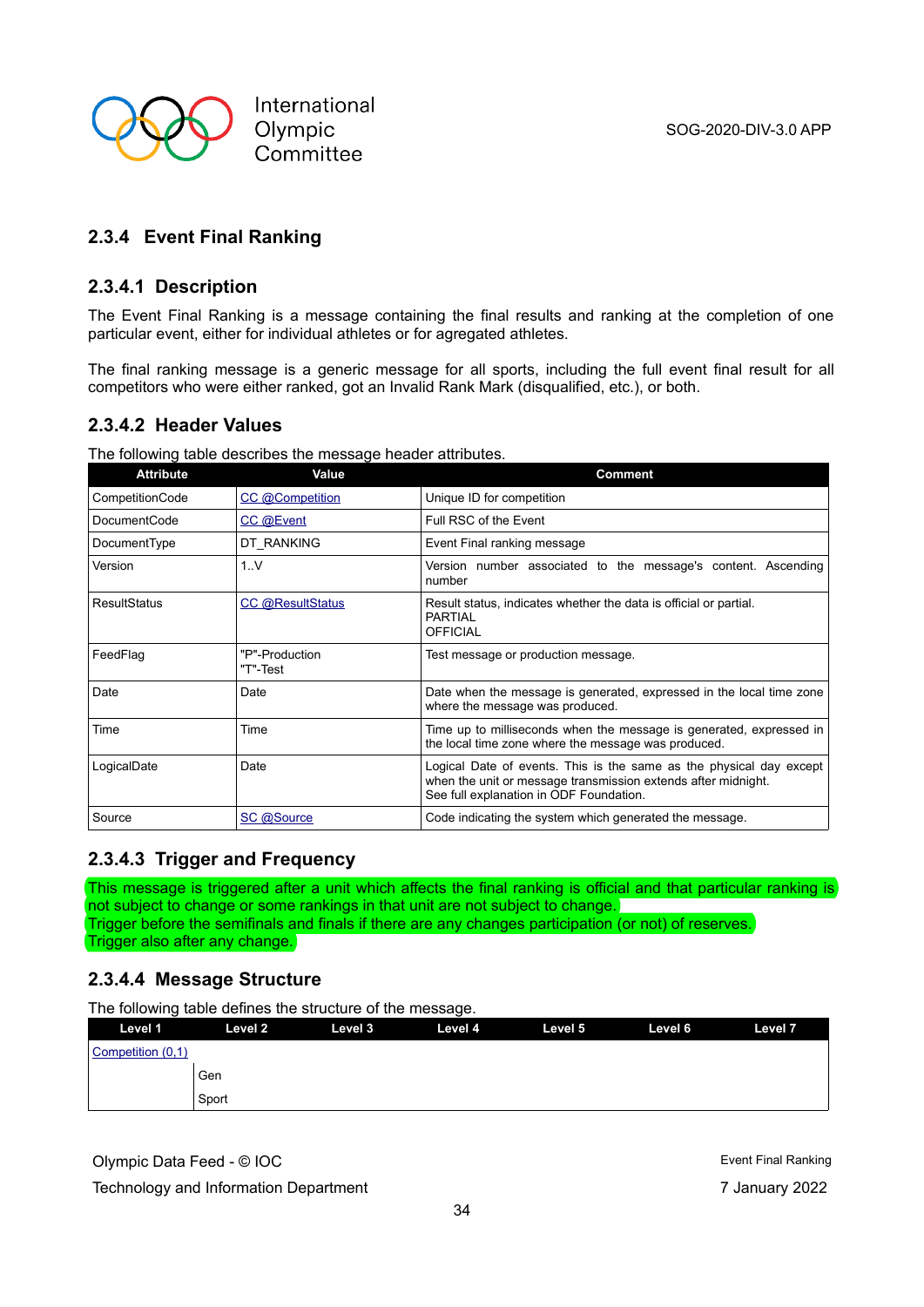### <span id="page-33-4"></span>**2.3.4 Event Final Ranking**

### <span id="page-33-3"></span>**2.3.4.1 Description**

The Event Final Ranking is a message containing the final results and ranking at the completion of one particular event, either for individual athletes or for agregated athletes.

The final ranking message is a generic message for all sports, including the full event final result for all competitors who were either ranked, got an Invalid Rank Mark (disqualified, etc.), or both.

### <span id="page-33-2"></span>**2.3.4.2 Header Values**

The following table describes the message header attributes.

| <b>Attribute</b>    | Value                      | <b>Comment</b>                                                                                                                                                                  |
|---------------------|----------------------------|---------------------------------------------------------------------------------------------------------------------------------------------------------------------------------|
| CompetitionCode     | CC @Competition            | Unique ID for competition                                                                                                                                                       |
| DocumentCode        | CC @Event                  | Full RSC of the Event                                                                                                                                                           |
| DocumentType        | DT RANKING                 | Event Final ranking message                                                                                                                                                     |
| Version             | 1.1V                       | Version number associated to the message's content. Ascending<br>number                                                                                                         |
| <b>ResultStatus</b> | CC @ResultStatus           | Result status, indicates whether the data is official or partial.<br><b>PARTIAL</b><br><b>OFFICIAL</b>                                                                          |
| FeedFlag            | "P"-Production<br>"T"-Test | Test message or production message.                                                                                                                                             |
| Date                | Date                       | Date when the message is generated, expressed in the local time zone<br>where the message was produced.                                                                         |
| Time                | Time                       | Time up to milliseconds when the message is generated, expressed in<br>the local time zone where the message was produced.                                                      |
| LogicalDate         | Date                       | Logical Date of events. This is the same as the physical day except<br>when the unit or message transmission extends after midnight.<br>See full explanation in ODF Foundation. |
| Source              | SC @Source                 | Code indicating the system which generated the message.                                                                                                                         |

### <span id="page-33-1"></span>**2.3.4.3 Trigger and Frequency**

This message is triggered after a unit which affects the final ranking is official and that particular ranking is not subject to change or some rankings in that unit are not subject to change. Trigger before the semifinals and finals if there are any changes participation (or not) of reserves. Trigger also after any change.

### <span id="page-33-0"></span>**2.3.4.4 Message Structure**

The following table defines the structure of the message.

| Level 1           | Level 2 | Level 3 | Level 4 | Level 5 | Level 6 | Level 7 |
|-------------------|---------|---------|---------|---------|---------|---------|
| Competition (0.1) |         |         |         |         |         |         |
|                   | Gen     |         |         |         |         |         |
|                   | Sport   |         |         |         |         |         |

Olympic Data Feed - © IOC **Example 2018** Event Final Ranking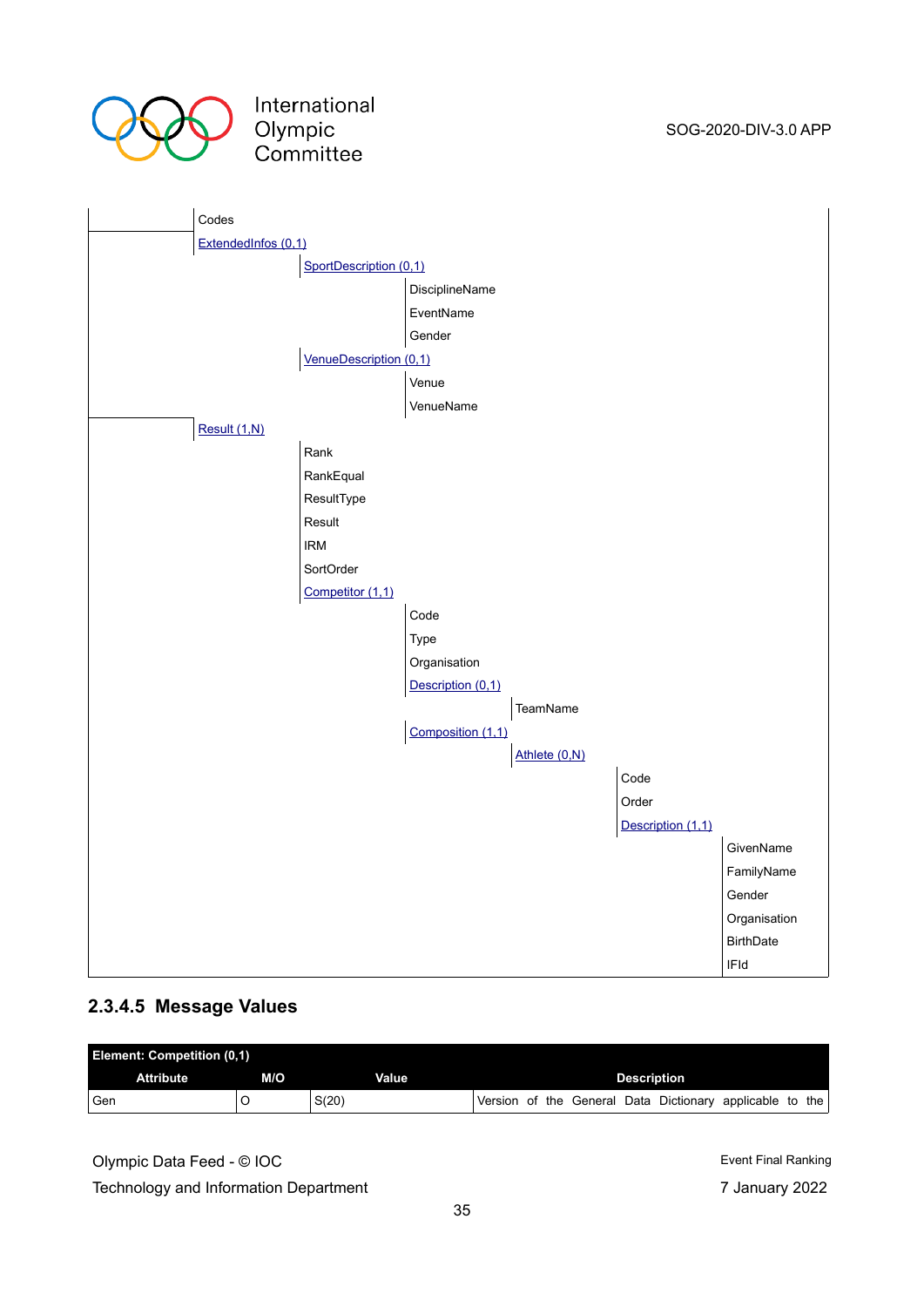



### <span id="page-34-0"></span>**2.3.4.5 Message Values**

<span id="page-34-1"></span>

| <b>Element: Competition (0,1)</b> |     |       |  |  |  |  |                    |                                                          |  |
|-----------------------------------|-----|-------|--|--|--|--|--------------------|----------------------------------------------------------|--|
| <b>Attribute</b>                  | M/O | Value |  |  |  |  | <b>Description</b> |                                                          |  |
| Gen                               |     | S(20) |  |  |  |  |                    | Version of the General Data Dictionary applicable to the |  |

Olympic Data Feed - © IOC **Example 2018** Event Final Ranking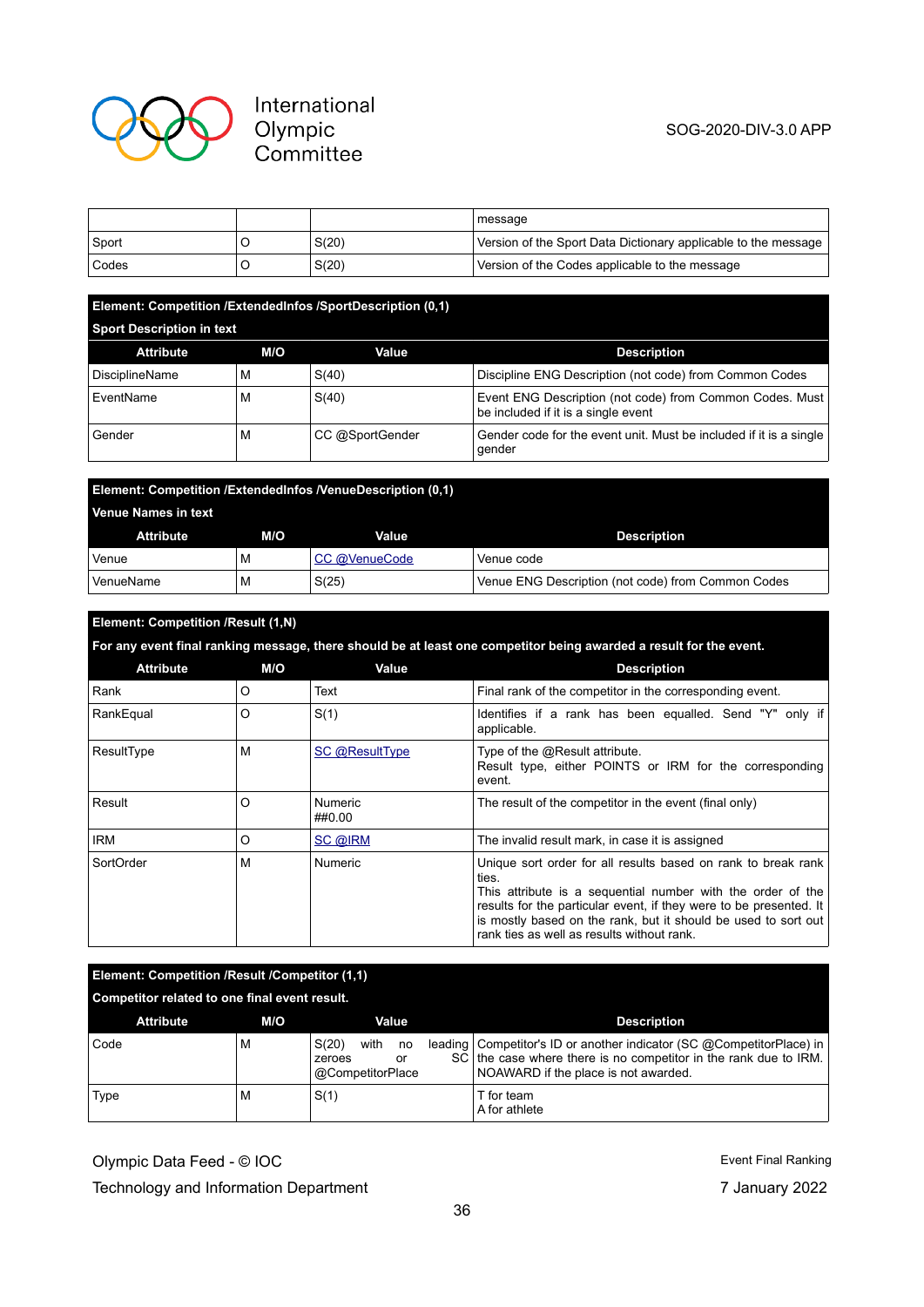

|       |       | message                                                        |
|-------|-------|----------------------------------------------------------------|
| Sport | S(20) | Version of the Sport Data Dictionary applicable to the message |
| Codes | S(20) | Version of the Codes applicable to the message                 |

<span id="page-35-3"></span>

| Element: Competition /ExtendedInfos /SportDescription (0.1) |     |                 |                                                                                                 |  |  |  |
|-------------------------------------------------------------|-----|-----------------|-------------------------------------------------------------------------------------------------|--|--|--|
| <b>Sport Description in text</b>                            |     |                 |                                                                                                 |  |  |  |
| <b>Attribute</b>                                            | M/O | Value           | <b>Description</b>                                                                              |  |  |  |
| <b>DisciplineName</b>                                       | м   | S(40)           | Discipline ENG Description (not code) from Common Codes                                         |  |  |  |
| EventName                                                   | M   | S(40)           | Event ENG Description (not code) from Common Codes. Must<br>be included if it is a single event |  |  |  |
| Gender                                                      | м   | CC @SportGender | Gender code for the event unit. Must be included if it is a single<br>gender                    |  |  |  |

<span id="page-35-2"></span>

| Element: Competition /ExtendedInfos /VenueDescription (0,1) |     |               |                                                    |  |  |
|-------------------------------------------------------------|-----|---------------|----------------------------------------------------|--|--|
| l Venue Names in text                                       |     |               |                                                    |  |  |
| <b>Attribute</b>                                            | M/O | Value         | <b>Description</b>                                 |  |  |
| Venue                                                       | м   | CC @VenueCode | Venue code                                         |  |  |
| VenueName                                                   | M   | S(25)         | Venue ENG Description (not code) from Common Codes |  |  |

#### <span id="page-35-1"></span>**Element: Competition /Result (1,N)**

**For any event final ranking message, there should be at least one competitor being awarded a result for the event. Attribute M/O Value Description** Rank O Text Final rank of the competitor in the corresponding event. RankEqual  $\begin{vmatrix} 0 & 1 \\ 1 & 1 \end{vmatrix}$  S(1) Similarly identifies if a rank has been equalled. Send "Y" only if applicable. ResultType  $\vert M \vert$  [SC @ResultType](http://odf.olympictech.org/2024-Paris/codes/HTML/og_sc/odf_sc_ResultType_SOG_DIV.htm)  $\vert T$ ype of the @Result attribute. Result type, either POINTS or IRM for the corresponding event. Result  $\vert$  O Numeric ##0.00 The result of the competitor in the event (final only) IRM  $\vert$  O  $\vert$  [SC @IRM](http://odf.olympictech.org/2024-Paris/codes/HTML/og_sc/odf_sc_IRM_SOG_DIV.htm) The invalid result mark, in case it is assigned SortOrder M Numeric Unique sort order for all results based on rank to break rank ties. This attribute is a sequential number with the order of the results for the particular event, if they were to be presented. It is mostly based on the rank, but it should be used to sort out rank ties as well as results without rank.

#### <span id="page-35-0"></span>**Element: Competition /Result /Competitor (1,1) Competitor related to one final event result. Attribute M/O Value Description** Code M S(20) with no leading<br>zeroes or SC zeroes @CompetitorPlace Competitor's ID or another indicator (SC @CompetitorPlace) in the case where there is no competitor in the rank due to IRM. NOAWARD if the place is not awarded.  $\begin{array}{ccc} \text{Type} & \hspace{1.5cm} |{\sf M}| & \text{S(1)} & \text{I} \end{array}$  or team A for athlete

Olympic Data Feed - © IOC **Example 2018** Event Final Ranking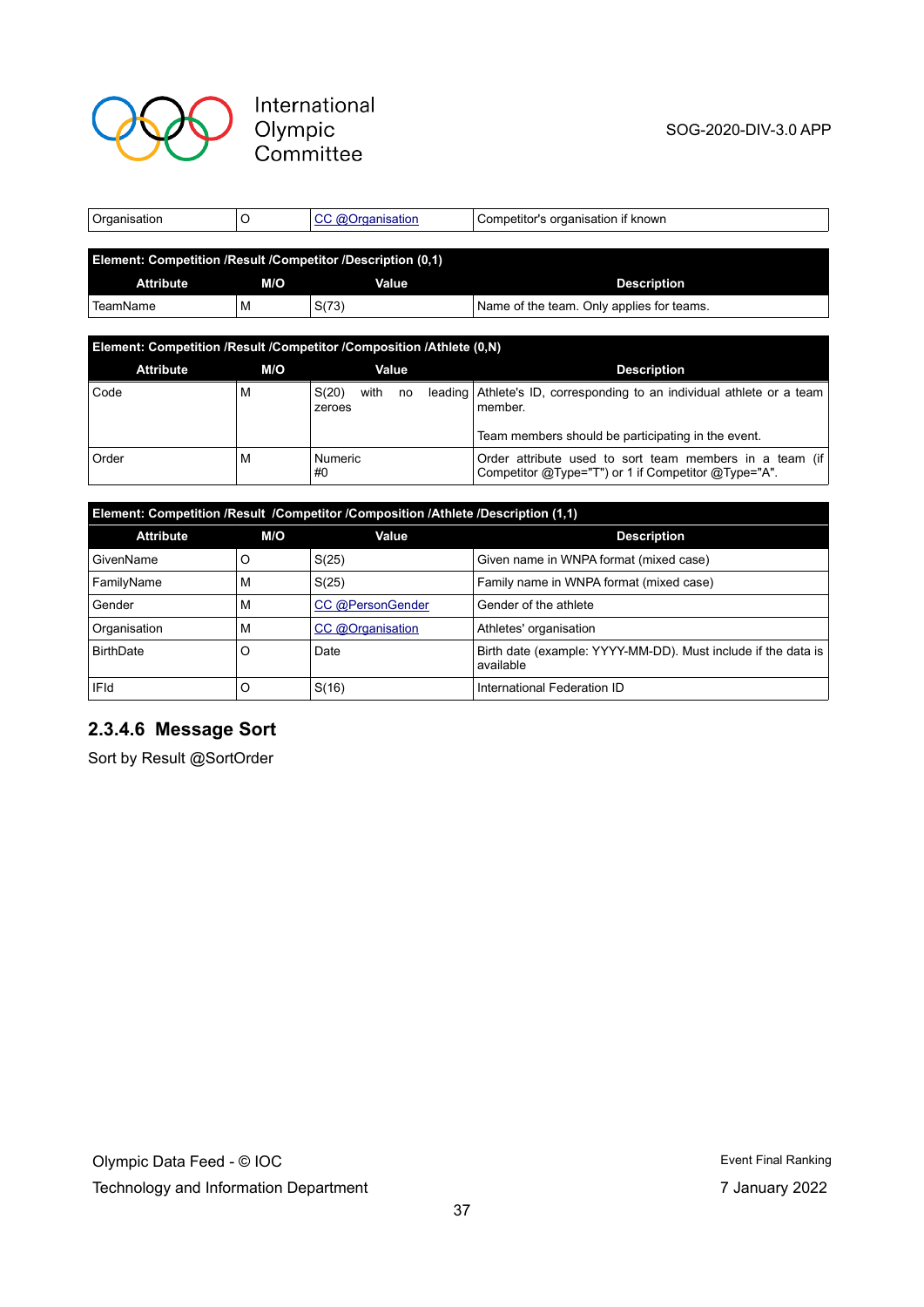

<span id="page-36-3"></span>

| Organisation     | Ő   | CC @Organisation                                                   | Competitor's organisation if known        |  |
|------------------|-----|--------------------------------------------------------------------|-------------------------------------------|--|
|                  |     |                                                                    |                                           |  |
|                  |     | <b>Element: Competition /Result /Competitor /Description (0.1)</b> |                                           |  |
|                  |     |                                                                    |                                           |  |
| <b>Attribute</b> | M/O | Value                                                              | <b>Description</b>                        |  |
| TeamName         | м   | S(73)                                                              | Name of the team. Only applies for teams. |  |

<span id="page-36-2"></span>

| <b>Element: Competition /Result /Competitor /Composition /Athlete (0,N)</b> |     |                               |                                                                                                                                         |  |  |
|-----------------------------------------------------------------------------|-----|-------------------------------|-----------------------------------------------------------------------------------------------------------------------------------------|--|--|
| <b>Attribute</b>                                                            | M/O | Value                         | <b>Description</b>                                                                                                                      |  |  |
| Code                                                                        | M   | S(20)<br>with<br>no<br>zeroes | leading Athlete's ID, corresponding to an individual athlete or a team<br>member.<br>Team members should be participating in the event. |  |  |
| Order                                                                       | м   | <b>Numeric</b><br>#0          | Order attribute used to sort team members in a team (if)<br>Competitor @Type="T") or 1 if Competitor @Type="A".                         |  |  |

<span id="page-36-1"></span>

| Element: Competition /Result /Competitor /Composition /Athlete /Description (1,1) |     |                  |                                                                            |  |
|-----------------------------------------------------------------------------------|-----|------------------|----------------------------------------------------------------------------|--|
| <b>Attribute</b>                                                                  | M/O | Value            | <b>Description</b>                                                         |  |
| GivenName                                                                         | O   | S(25)            | Given name in WNPA format (mixed case)                                     |  |
| FamilyName                                                                        | м   | S(25)            | Family name in WNPA format (mixed case)                                    |  |
| Gender                                                                            | M   | CC @PersonGender | Gender of the athlete                                                      |  |
| Organisation                                                                      | м   | CC @Organisation | Athletes' organisation                                                     |  |
| <b>BirthDate</b>                                                                  | O   | Date             | Birth date (example: YYYY-MM-DD). Must include if the data is<br>available |  |
| IFId                                                                              | O   | S(16)            | International Federation ID                                                |  |

### <span id="page-36-0"></span>**2.3.4.6 Message Sort**

Sort by Result @SortOrder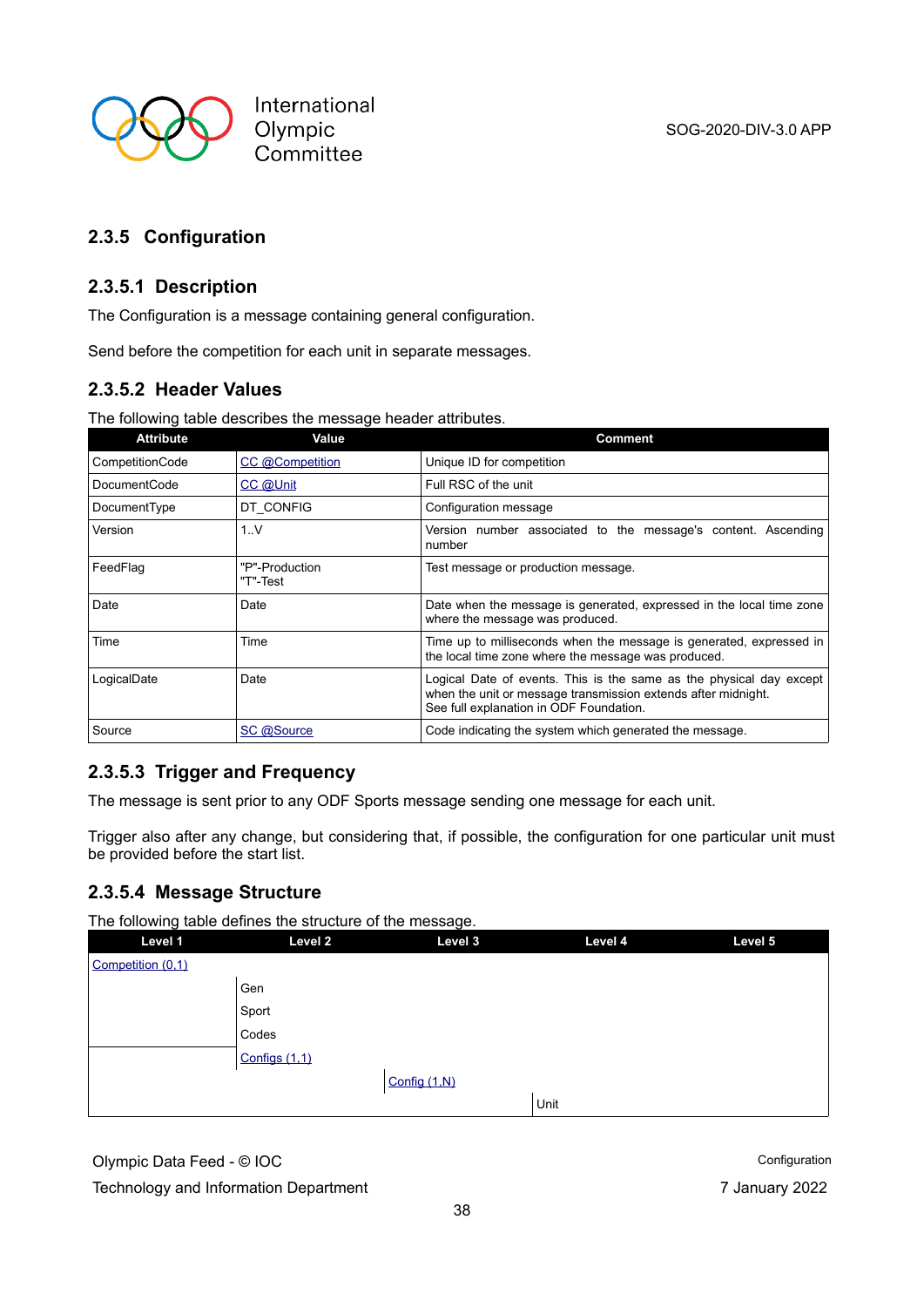

### <span id="page-37-4"></span>**2.3.5 Configuration**

### <span id="page-37-3"></span>**2.3.5.1 Description**

The Configuration is a message containing general configuration.

Send before the competition for each unit in separate messages.

### <span id="page-37-2"></span>**2.3.5.2 Header Values**

The following table describes the message header attributes.

| <b>Attribute</b>    | Value                      | <b>Comment</b>                                                                                                                                                                  |
|---------------------|----------------------------|---------------------------------------------------------------------------------------------------------------------------------------------------------------------------------|
| CompetitionCode     | CC @Competition            | Unique ID for competition                                                                                                                                                       |
| <b>DocumentCode</b> | CC @Unit                   | Full RSC of the unit                                                                                                                                                            |
| DocumentType        | DT CONFIG                  | Configuration message                                                                                                                                                           |
| Version             | 1.1V                       | Version number associated to the message's content. Ascending<br>number                                                                                                         |
| FeedFlag            | "P"-Production<br>"T"-Test | Test message or production message.                                                                                                                                             |
| Date                | Date                       | Date when the message is generated, expressed in the local time zone<br>where the message was produced.                                                                         |
| Time                | Time                       | Time up to milliseconds when the message is generated, expressed in<br>the local time zone where the message was produced.                                                      |
| LogicalDate         | Date                       | Logical Date of events. This is the same as the physical day except<br>when the unit or message transmission extends after midnight.<br>See full explanation in ODF Foundation. |
| Source              | SC @Source                 | Code indicating the system which generated the message.                                                                                                                         |

### <span id="page-37-1"></span>**2.3.5.3 Trigger and Frequency**

The message is sent prior to any ODF Sports message sending one message for each unit.

Trigger also after any change, but considering that, if possible, the configuration for one particular unit must be provided before the start list.

### <span id="page-37-0"></span>**2.3.5.4 Message Structure**

The following table defines the structure of the message.

| Level 1           | Level 2         | Level 3      | Level 4 | Level 5 |
|-------------------|-----------------|--------------|---------|---------|
| Competition (0,1) |                 |              |         |         |
|                   | Gen             |              |         |         |
|                   | Sport           |              |         |         |
|                   | Codes           |              |         |         |
|                   | Configs $(1,1)$ |              |         |         |
|                   |                 | Config (1,N) |         |         |
|                   |                 |              | Unit    |         |

Olympic Data Feed - © IOC Configuration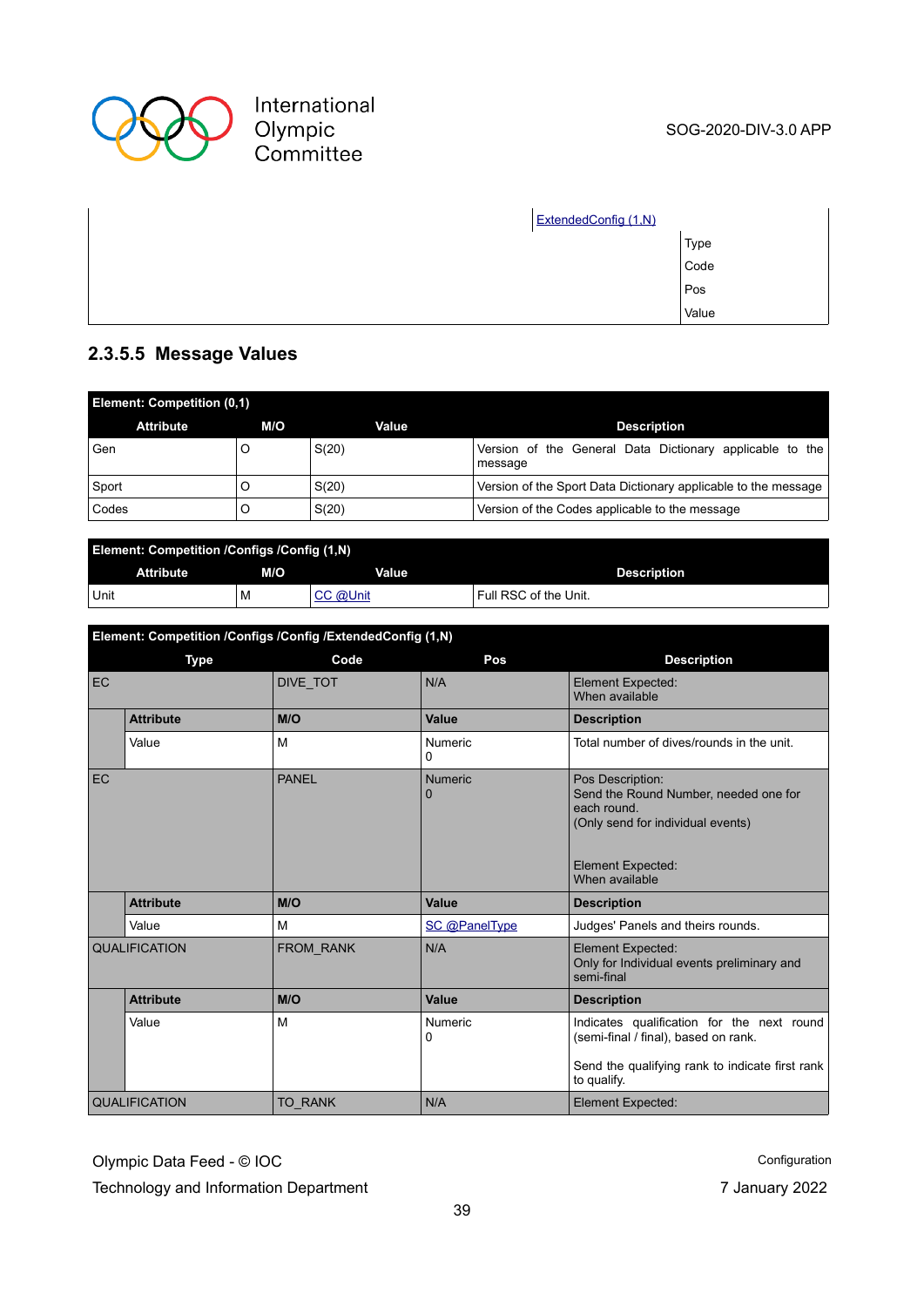

International

Olympic Committee

#### [ExtendedConfig \(1,N\)](#page-38-3)

Type Code Pos Value

### <span id="page-38-0"></span>**2.3.5.5 Message Values**

<span id="page-38-2"></span>

| <b>Element: Competition (0,1)</b> |     |       |                                                                     |
|-----------------------------------|-----|-------|---------------------------------------------------------------------|
| <b>Attribute</b>                  | M/O | Value | <b>Description</b>                                                  |
| Gen                               |     | S(20) | Version of the General Data Dictionary applicable to the<br>message |
| Sport                             |     | S(20) | Version of the Sport Data Dictionary applicable to the message      |
| Codes                             |     | S(20) | Version of the Codes applicable to the message                      |

<span id="page-38-1"></span>

| <b>Element: Competition Configs /Config (1,N)</b> |            |              |                       |  |
|---------------------------------------------------|------------|--------------|-----------------------|--|
| Attribute                                         | M/O        | <b>Value</b> | <b>Description</b>    |  |
| Unit                                              | <b>IVI</b> | CC @Unit     | Full RSC of the Unit. |  |

<span id="page-38-3"></span>

| Element: Competition /Configs /Config /ExtendedConfig (1,N) |                      |                  |                                  |                                                                                                                                                             |
|-------------------------------------------------------------|----------------------|------------------|----------------------------------|-------------------------------------------------------------------------------------------------------------------------------------------------------------|
|                                                             | <b>Type</b>          | Code             | Pos                              | <b>Description</b>                                                                                                                                          |
| EC                                                          |                      | <b>DIVE TOT</b>  | N/A                              | <b>Element Expected:</b><br>When available                                                                                                                  |
|                                                             | <b>Attribute</b>     | M/O              | Value                            | <b>Description</b>                                                                                                                                          |
|                                                             | Value                | M                | <b>Numeric</b><br>0              | Total number of dives/rounds in the unit.                                                                                                                   |
| EC                                                          |                      | <b>PANEL</b>     | <b>Numeric</b><br>$\overline{0}$ | Pos Description:<br>Send the Round Number, needed one for<br>each round.<br>(Only send for individual events)<br><b>Element Expected:</b><br>When available |
|                                                             | <b>Attribute</b>     | M/O              | Value                            | <b>Description</b>                                                                                                                                          |
|                                                             | Value                | M                | <b>SC</b> @PanelType             | Judges' Panels and theirs rounds.                                                                                                                           |
|                                                             | <b>QUALIFICATION</b> | <b>FROM RANK</b> | N/A                              | Element Expected:<br>Only for Individual events preliminary and<br>semi-final                                                                               |
|                                                             | <b>Attribute</b>     | M/O              | Value                            | <b>Description</b>                                                                                                                                          |
|                                                             | Value                | M                | <b>Numeric</b><br>0              | Indicates qualification for the next round<br>(semi-final / final), based on rank.<br>Send the qualifying rank to indicate first rank<br>to qualify.        |
|                                                             | <b>QUALIFICATION</b> | <b>TO RANK</b>   | N/A                              | <b>Element Expected:</b>                                                                                                                                    |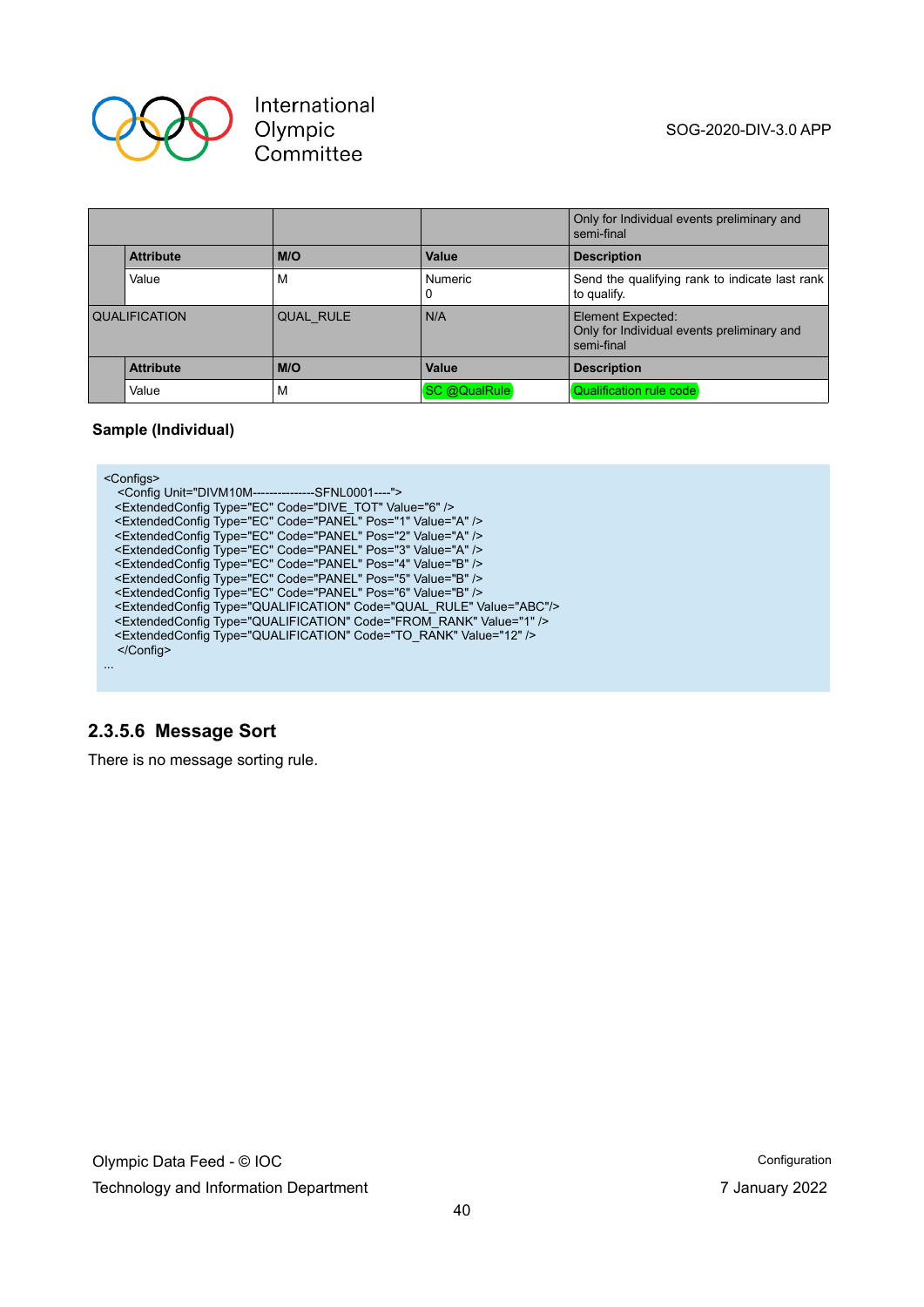

|                      |                  |                  |                     | Only for Individual events preliminary and<br>semi-final                             |
|----------------------|------------------|------------------|---------------------|--------------------------------------------------------------------------------------|
|                      | <b>Attribute</b> | M/O              | Value               | <b>Description</b>                                                                   |
|                      | Value            | м                | <b>Numeric</b><br>0 | Send the qualifying rank to indicate last rank<br>to qualify.                        |
| <b>QUALIFICATION</b> |                  | <b>QUAL RULE</b> | N/A                 | <b>Element Expected:</b><br>Only for Individual events preliminary and<br>semi-final |
|                      | <b>Attribute</b> | M/O              | Value               | <b>Description</b>                                                                   |
|                      | Value            | м                | <b>SC @QualRule</b> | Qualification rule code                                                              |

#### **Sample (Individual)**

| <configs></configs>                                                                 |
|-------------------------------------------------------------------------------------|
| <config unit="DIVM10M---------------SFNL0001----"></config>                         |
| <extendedconfig code="DIVE TOT" type="EC" value="6"></extendedconfig>               |
| <extendedconfig code="PANEL" pos="1" type="EC" value="A"></extendedconfig>          |
| <extendedconfig code="PANEL" pos="2" type="EC" value="A"></extendedconfig>          |
| <extendedconfig code="PANEL" pos="3" type="EC" value="A"></extendedconfig>          |
| <extendedconfig code="PANEL" pos="4" type="EC" value="B"></extendedconfig>          |
| <extendedconfig code="PANEL" pos="5" type="EC" value="B"></extendedconfig>          |
| <extendedconfig code="PANEL" pos="6" type="EC" value="B"></extendedconfig>          |
| <extendedconfig code="QUAL RULE" type="QUALIFICATION" value="ABC"></extendedconfig> |
| <extendedconfig code="FROM RANK" type="QUALIFICATION" value="1"></extendedconfig>   |
| <extendedconfig code="TO RANK" type="QUALIFICATION" value="12"></extendedconfig>    |
|                                                                                     |
|                                                                                     |

### <span id="page-39-0"></span>**2.3.5.6 Message Sort**

There is no message sorting rule.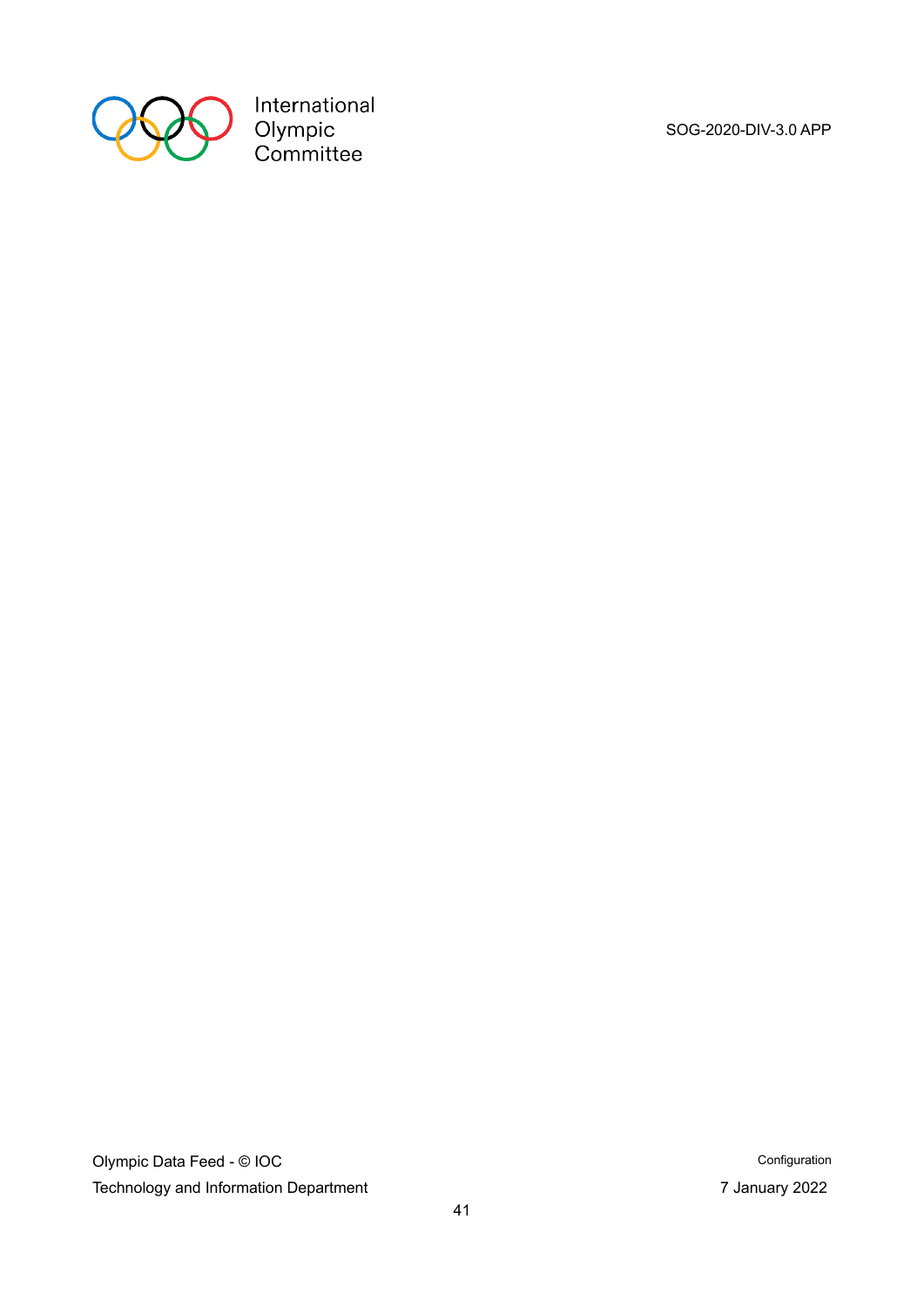

SOG-2020-DIV-3.0 APP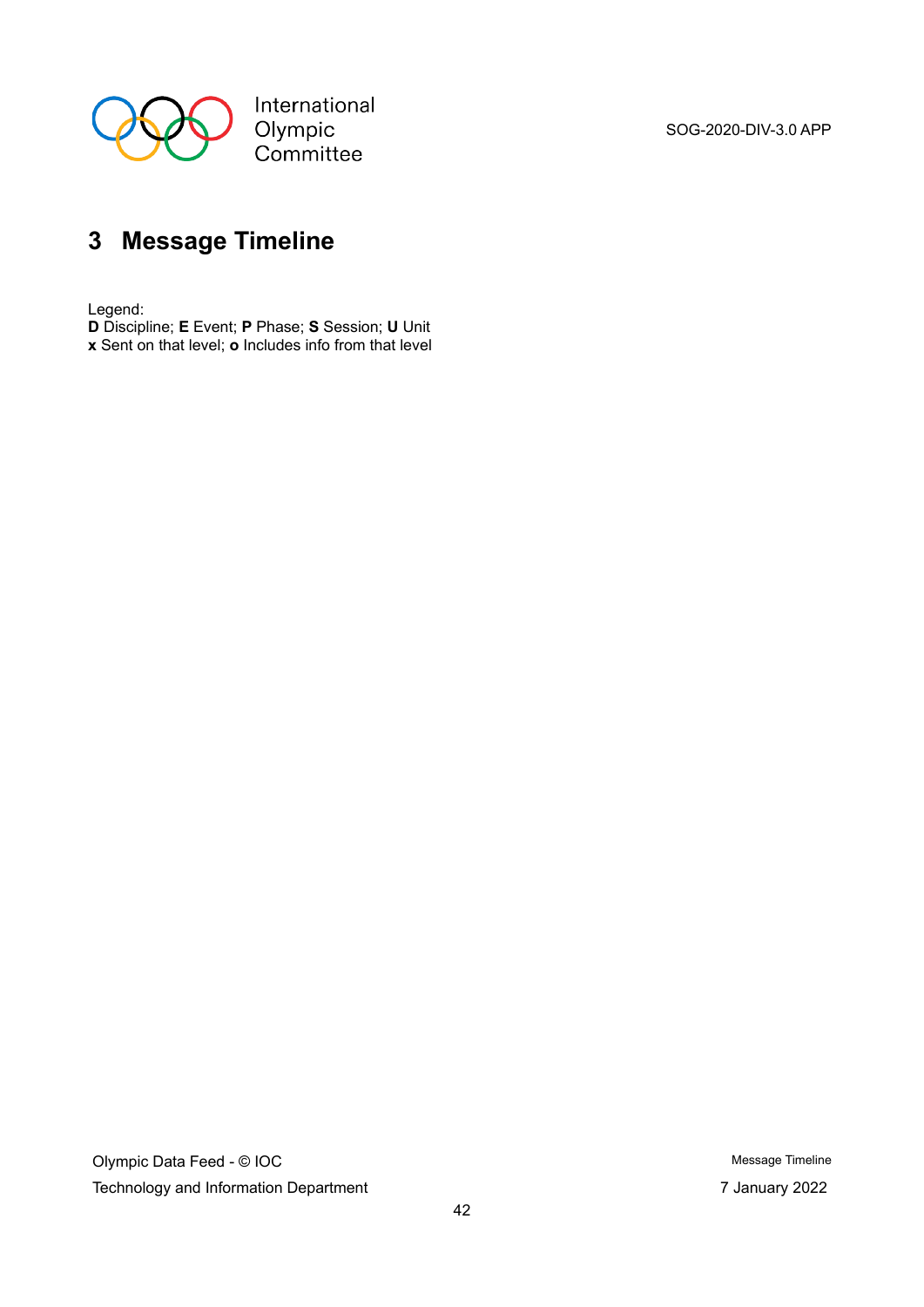

SOG-2020-DIV-3.0 APP

# <span id="page-41-0"></span>**3 Message Timeline**

Legend:

**D** Discipline; **E** Event; **P** Phase; **S** Session; **U** Unit **x** Sent on that level; **o** Includes info from that level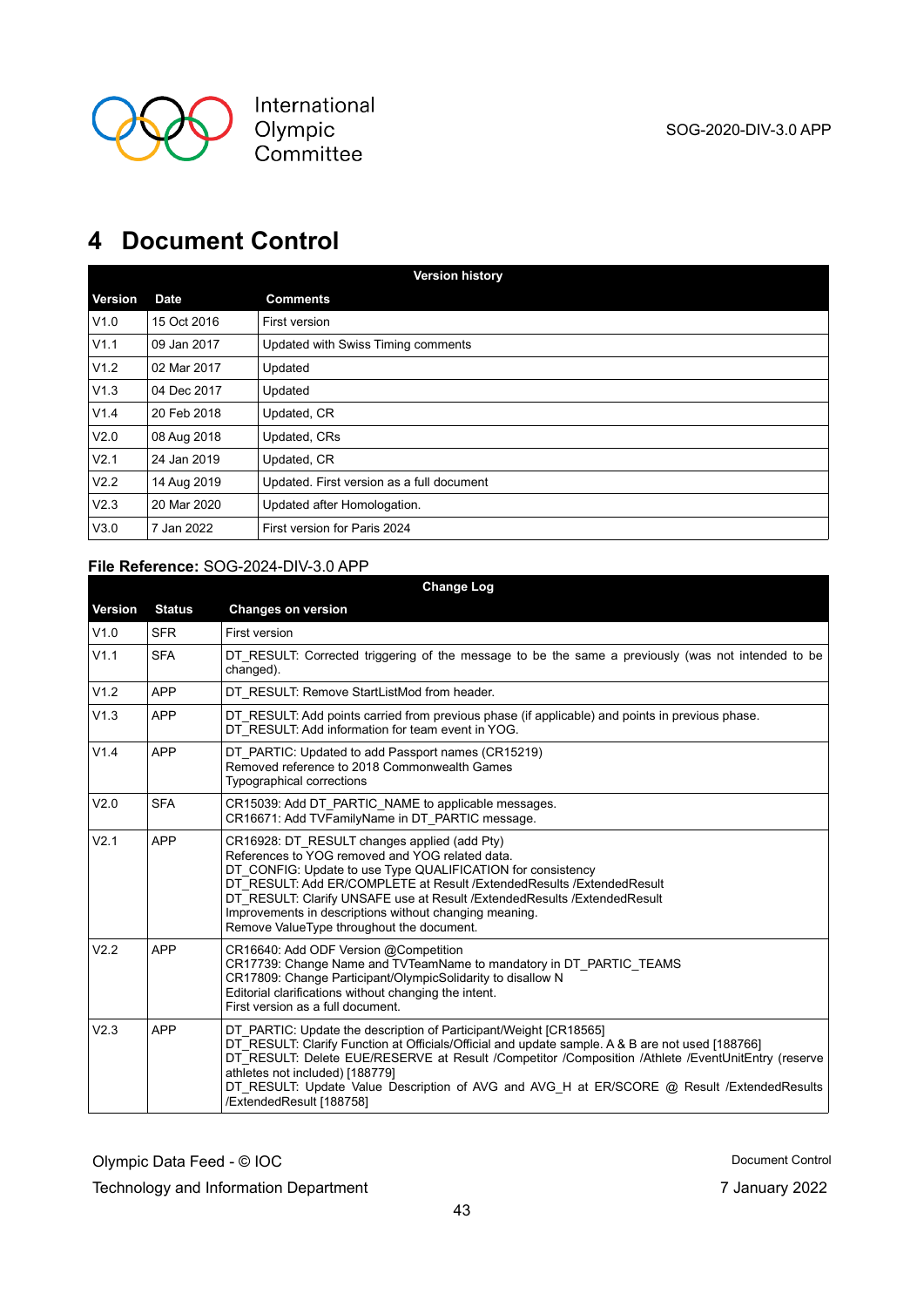

# <span id="page-42-0"></span>**4 Document Control**

| <b>Version history</b> |             |                                           |  |  |
|------------------------|-------------|-------------------------------------------|--|--|
| Version                | <b>Date</b> | <b>Comments</b>                           |  |  |
| V1.0                   | 15 Oct 2016 | First version                             |  |  |
| V1.1                   | 09 Jan 2017 | Updated with Swiss Timing comments        |  |  |
| V1.2                   | 02 Mar 2017 | Updated                                   |  |  |
| V1.3                   | 04 Dec 2017 | Updated                                   |  |  |
| V1.4                   | 20 Feb 2018 | Updated, CR                               |  |  |
| V2.0                   | 08 Aug 2018 | Updated, CRs                              |  |  |
| V <sub>2.1</sub>       | 24 Jan 2019 | Updated, CR                               |  |  |
| V2.2                   | 14 Aug 2019 | Updated. First version as a full document |  |  |
| V2.3                   | 20 Mar 2020 | Updated after Homologation.               |  |  |
| V3.0                   | 7 Jan 2022  | First version for Paris 2024              |  |  |

#### **File Reference:** SOG-2024-DIV-3.0 APP

|                  | <b>Change Log</b> |                                                                                                                                                                                                                                                                                                                                                                                                                                          |  |  |  |
|------------------|-------------------|------------------------------------------------------------------------------------------------------------------------------------------------------------------------------------------------------------------------------------------------------------------------------------------------------------------------------------------------------------------------------------------------------------------------------------------|--|--|--|
| <b>Version</b>   | <b>Status</b>     | <b>Changes on version</b>                                                                                                                                                                                                                                                                                                                                                                                                                |  |  |  |
| V1.0             | <b>SFR</b>        | First version                                                                                                                                                                                                                                                                                                                                                                                                                            |  |  |  |
| V1.1             | <b>SFA</b>        | DT_RESULT: Corrected triggering of the message to be the same a previously (was not intended to be<br>changed).                                                                                                                                                                                                                                                                                                                          |  |  |  |
| V1.2             | <b>APP</b>        | DT RESULT: Remove StartListMod from header.                                                                                                                                                                                                                                                                                                                                                                                              |  |  |  |
| V1.3             | <b>APP</b>        | DT RESULT: Add points carried from previous phase (if applicable) and points in previous phase.<br>DT RESULT: Add information for team event in YOG.                                                                                                                                                                                                                                                                                     |  |  |  |
| V1.4             | <b>APP</b>        | DT PARTIC: Updated to add Passport names (CR15219)<br>Removed reference to 2018 Commonwealth Games<br><b>Typographical corrections</b>                                                                                                                                                                                                                                                                                                   |  |  |  |
| V2.0             | <b>SFA</b>        | CR15039: Add DT PARTIC NAME to applicable messages.<br>CR16671: Add TVFamilyName in DT PARTIC message.                                                                                                                                                                                                                                                                                                                                   |  |  |  |
| V <sub>2.1</sub> | <b>APP</b>        | CR16928: DT RESULT changes applied (add Pty)<br>References to YOG removed and YOG related data.<br>DT CONFIG: Update to use Type QUALIFICATION for consistency<br>DT_RESULT: Add ER/COMPLETE at Result /ExtendedResults /ExtendedResult<br>DT RESULT: Clarify UNSAFE use at Result / Extended Results / Extended Result<br>Improvements in descriptions without changing meaning.<br>Remove ValueType throughout the document.           |  |  |  |
| V2.2             | <b>APP</b>        | CR16640: Add ODF Version @Competition<br>CR17739: Change Name and TVTeamName to mandatory in DT PARTIC TEAMS<br>CR17809: Change Participant/OlympicSolidarity to disallow N<br>Editorial clarifications without changing the intent.<br>First version as a full document.                                                                                                                                                                |  |  |  |
| V2.3             | <b>APP</b>        | DT PARTIC: Update the description of Participant/Weight [CR18565]<br>DT RESULT: Clarify Function at Officials/Official and update sample. A & B are not used [188766]<br>DT RESULT: Delete EUE/RESERVE at Result /Competitor /Composition /Athlete /EventUnitEntry (reserve<br>athletes not included) [188779]<br>DT RESULT: Update Value Description of AVG and AVG H at ER/SCORE @ Result /ExtendedResults<br>/ExtendedResult [188758] |  |  |  |